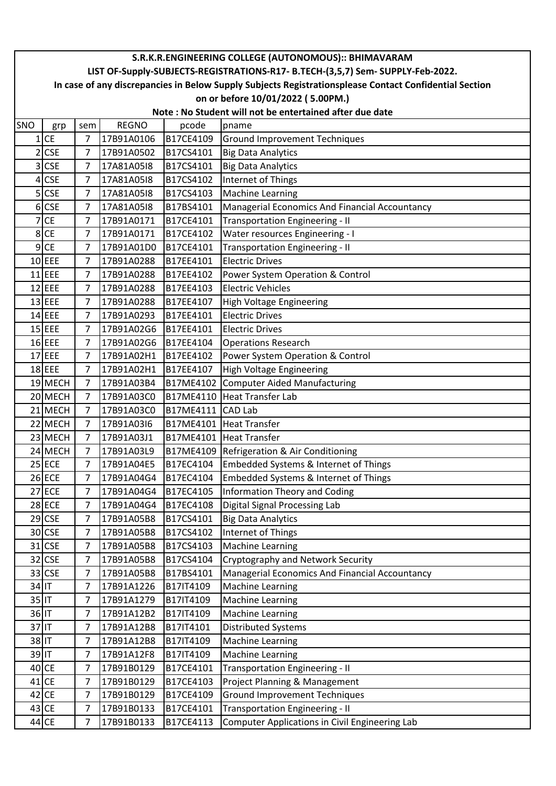|          | S.R.K.R.ENGINEERING COLLEGE (AUTONOMOUS):: BHIMAVARAM                                                  |                |              |           |                                                |  |  |  |  |  |
|----------|--------------------------------------------------------------------------------------------------------|----------------|--------------|-----------|------------------------------------------------|--|--|--|--|--|
|          | LIST OF-Supply-SUBJECTS-REGISTRATIONS-R17- B.TECH-(3,5,7) Sem- SUPPLY-Feb-2022.                        |                |              |           |                                                |  |  |  |  |  |
|          | In case of any discrepancies in Below Supply Subjects Registrationsplease Contact Confidential Section |                |              |           |                                                |  |  |  |  |  |
|          | on or before 10/01/2022 (5.00PM.)                                                                      |                |              |           |                                                |  |  |  |  |  |
|          | Note: No Student will not be entertained after due date                                                |                |              |           |                                                |  |  |  |  |  |
| SNO      | grp                                                                                                    | sem            | <b>REGNO</b> | pcode     | pname                                          |  |  |  |  |  |
|          | $1$ CE                                                                                                 | 7              | 17B91A0106   | B17CE4109 | <b>Ground Improvement Techniques</b>           |  |  |  |  |  |
| 2        | <b>CSE</b>                                                                                             | 7              | 17B91A0502   | B17CS4101 | <b>Big Data Analytics</b>                      |  |  |  |  |  |
|          | 3 CSE                                                                                                  | 7              | 17A81A05I8   | B17CS4101 | <b>Big Data Analytics</b>                      |  |  |  |  |  |
|          | $4$ CSE                                                                                                | $\overline{7}$ | 17A81A05I8   | B17CS4102 | Internet of Things                             |  |  |  |  |  |
| 5        | <b>CSE</b>                                                                                             | 7              | 17A81A05I8   | B17CS4103 | <b>Machine Learning</b>                        |  |  |  |  |  |
|          | 6 CSE                                                                                                  | 7              | 17A81A05I8   | B17BS4101 | Managerial Economics And Financial Accountancy |  |  |  |  |  |
| 7        | <b>CE</b>                                                                                              | 7              | 17B91A0171   | B17CE4101 | Transportation Engineering - II                |  |  |  |  |  |
| 8        | <b>CE</b>                                                                                              | 7              | 17B91A0171   | B17CE4102 | Water resources Engineering - I                |  |  |  |  |  |
|          | $9$ CE                                                                                                 | 7              | 17B91A01D0   | B17CE4101 | Transportation Engineering - II                |  |  |  |  |  |
|          | $10$ EEE                                                                                               | 7              | 17B91A0288   | B17EE4101 | <b>Electric Drives</b>                         |  |  |  |  |  |
|          | $11$ EEE                                                                                               | 7              | 17B91A0288   | B17EE4102 | Power System Operation & Control               |  |  |  |  |  |
|          | $12$ EEE                                                                                               | 7              | 17B91A0288   | B17EE4103 | <b>Electric Vehicles</b>                       |  |  |  |  |  |
|          | $13$ EEE                                                                                               | $\overline{7}$ | 17B91A0288   | B17EE4107 | High Voltage Engineering                       |  |  |  |  |  |
|          | $14$ EEE                                                                                               | 7              | 17B91A0293   | B17EE4101 | <b>Electric Drives</b>                         |  |  |  |  |  |
|          | $15$ EEE                                                                                               | $\overline{7}$ | 17B91A02G6   | B17EE4101 | <b>Electric Drives</b>                         |  |  |  |  |  |
|          | $16$ EEE                                                                                               | $\overline{7}$ | 17B91A02G6   | B17EE4104 | <b>Operations Research</b>                     |  |  |  |  |  |
|          | $17$ EEE                                                                                               | 7              | 17B91A02H1   | B17EE4102 | Power System Operation & Control               |  |  |  |  |  |
|          | $18$ EEE                                                                                               | $\overline{7}$ | 17B91A02H1   | B17EE4107 | High Voltage Engineering                       |  |  |  |  |  |
|          | 19 MECH                                                                                                | $\overline{7}$ | 17B91A03B4   | B17ME4102 | <b>Computer Aided Manufacturing</b>            |  |  |  |  |  |
|          | 20 MECH                                                                                                | $\overline{7}$ | 17B91A03C0   |           | B17ME4110 Heat Transfer Lab                    |  |  |  |  |  |
|          | 21 MECH                                                                                                | $\overline{7}$ | 17B91A03C0   | B17ME4111 | <b>CAD Lab</b>                                 |  |  |  |  |  |
|          | 22 MECH                                                                                                | $\overline{7}$ | 17B91A03I6   | B17ME4101 | <b>Heat Transfer</b>                           |  |  |  |  |  |
|          | 23 MECH                                                                                                | $\overline{7}$ | 17B91A03J1   |           | B17ME4101 Heat Transfer                        |  |  |  |  |  |
|          | 24 MECH                                                                                                | 7              | 17B91A03L9   |           | B17ME4109 Refrigeration & Air Conditioning     |  |  |  |  |  |
|          | $25$ ECE                                                                                               | $\overline{7}$ | 17B91A04E5   | B17EC4104 | Embedded Systems & Internet of Things          |  |  |  |  |  |
|          | <b>26 ECE</b>                                                                                          | 7              | 17B91A04G4   | B17EC4104 | Embedded Systems & Internet of Things          |  |  |  |  |  |
|          | $27$ ECE                                                                                               | 7              | 17B91A04G4   | B17EC4105 | <b>Information Theory and Coding</b>           |  |  |  |  |  |
|          | <b>28 ECE</b>                                                                                          | 7              | 17B91A04G4   | B17EC4108 | Digital Signal Processing Lab                  |  |  |  |  |  |
|          | $29$ CSE                                                                                               | 7              | 17B91A05B8   | B17CS4101 | <b>Big Data Analytics</b>                      |  |  |  |  |  |
|          | 30 CSE                                                                                                 | 7              | 17B91A05B8   | B17CS4102 | Internet of Things                             |  |  |  |  |  |
|          | $31$ CSE                                                                                               | 7              | 17B91A05B8   | B17CS4103 | <b>Machine Learning</b>                        |  |  |  |  |  |
|          | 32 CSE                                                                                                 | 7              | 17B91A05B8   | B17CS4104 | Cryptography and Network Security              |  |  |  |  |  |
|          | 33 CSE                                                                                                 | 7              | 17B91A05B8   | B17BS4101 | Managerial Economics And Financial Accountancy |  |  |  |  |  |
| $34$ IT  |                                                                                                        | 7              | 17B91A1226   | B17IT4109 | <b>Machine Learning</b>                        |  |  |  |  |  |
| $35$  IT |                                                                                                        | 7              | 17B91A1279   | B17IT4109 | <b>Machine Learning</b>                        |  |  |  |  |  |
| $36$ IT  |                                                                                                        | 7              | 17B91A12B2   | B17IT4109 | <b>Machine Learning</b>                        |  |  |  |  |  |
| $37$ IT  |                                                                                                        | 7              | 17B91A12B8   | B17IT4101 | <b>Distributed Systems</b>                     |  |  |  |  |  |
| 38 IT    |                                                                                                        | 7              | 17B91A12B8   | B17IT4109 | <b>Machine Learning</b>                        |  |  |  |  |  |
| $39$ IT  |                                                                                                        | 7              | 17B91A12F8   | B17IT4109 | <b>Machine Learning</b>                        |  |  |  |  |  |
|          | 40 CE                                                                                                  | 7              | 17B91B0129   | B17CE4101 | Transportation Engineering - II                |  |  |  |  |  |
|          | $41$ CE                                                                                                | 7              | 17B91B0129   | B17CE4103 | Project Planning & Management                  |  |  |  |  |  |
|          | $42$ CE                                                                                                | 7              | 17B91B0129   | B17CE4109 | <b>Ground Improvement Techniques</b>           |  |  |  |  |  |
|          | $43$ CE                                                                                                | 7              | 17B91B0133   | B17CE4101 | <b>Transportation Engineering - II</b>         |  |  |  |  |  |
|          | 44 CE                                                                                                  | 7              | 17B91B0133   | B17CE4113 | Computer Applications in Civil Engineering Lab |  |  |  |  |  |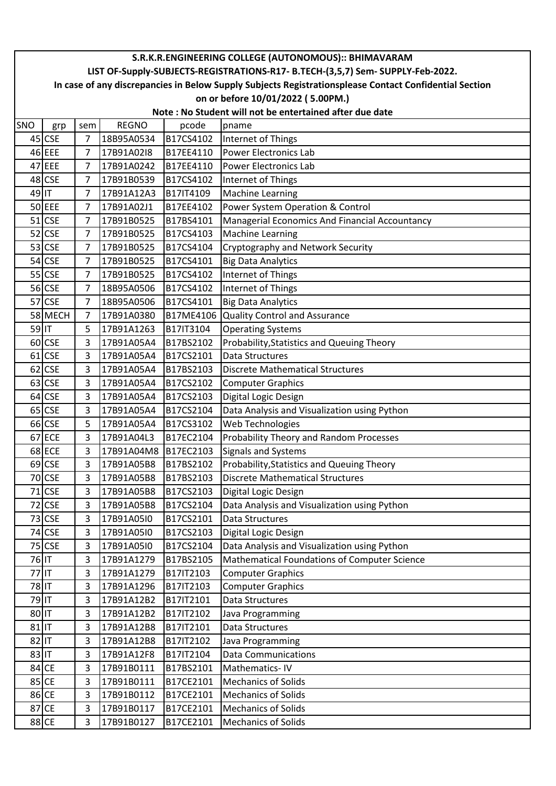|           | S.R.K.R.ENGINEERING COLLEGE (AUTONOMOUS):: BHIMAVARAM                                                  |                |              |           |                                                |  |  |  |  |  |  |
|-----------|--------------------------------------------------------------------------------------------------------|----------------|--------------|-----------|------------------------------------------------|--|--|--|--|--|--|
|           | LIST OF-Supply-SUBJECTS-REGISTRATIONS-R17- B.TECH-(3,5,7) Sem- SUPPLY-Feb-2022.                        |                |              |           |                                                |  |  |  |  |  |  |
|           | In case of any discrepancies in Below Supply Subjects Registrationsplease Contact Confidential Section |                |              |           |                                                |  |  |  |  |  |  |
|           |                                                                                                        |                |              |           | on or before 10/01/2022 (5.00PM.)              |  |  |  |  |  |  |
|           | Note: No Student will not be entertained after due date                                                |                |              |           |                                                |  |  |  |  |  |  |
| SNO       | grp                                                                                                    | sem            | <b>REGNO</b> | pcode     | pname                                          |  |  |  |  |  |  |
|           | 45 CSE                                                                                                 | 7              | 18B95A0534   | B17CS4102 | Internet of Things                             |  |  |  |  |  |  |
|           | 46 EEE                                                                                                 | $\overline{7}$ | 17B91A02I8   | B17EE4110 | <b>Power Electronics Lab</b>                   |  |  |  |  |  |  |
|           | 47 EEE                                                                                                 | 7              | 17B91A0242   | B17EE4110 | <b>Power Electronics Lab</b>                   |  |  |  |  |  |  |
|           | 48 CSE                                                                                                 | $\overline{7}$ | 17B91B0539   | B17CS4102 | Internet of Things                             |  |  |  |  |  |  |
| 49 IT     |                                                                                                        | $\overline{7}$ | 17B91A12A3   | B17IT4109 | <b>Machine Learning</b>                        |  |  |  |  |  |  |
|           | 50 EEE                                                                                                 | 7              | 17B91A02J1   | B17EE4102 | Power System Operation & Control               |  |  |  |  |  |  |
|           | $51$ CSE                                                                                               | $\overline{7}$ | 17B91B0525   | B17BS4101 | Managerial Economics And Financial Accountancy |  |  |  |  |  |  |
|           | $52$ CSE                                                                                               | 7              | 17B91B0525   | B17CS4103 | <b>Machine Learning</b>                        |  |  |  |  |  |  |
|           | 53 CSE                                                                                                 | 7              | 17B91B0525   | B17CS4104 | Cryptography and Network Security              |  |  |  |  |  |  |
|           | 54 CSE                                                                                                 | $\overline{7}$ | 17B91B0525   | B17CS4101 | <b>Big Data Analytics</b>                      |  |  |  |  |  |  |
|           | 55 CSE                                                                                                 | $\overline{7}$ | 17B91B0525   | B17CS4102 | Internet of Things                             |  |  |  |  |  |  |
|           | 56 CSE                                                                                                 | $\overline{7}$ | 18B95A0506   | B17CS4102 | Internet of Things                             |  |  |  |  |  |  |
|           | 57 CSE                                                                                                 | 7              | 18B95A0506   | B17CS4101 | <b>Big Data Analytics</b>                      |  |  |  |  |  |  |
|           | 58 MECH                                                                                                | 7              | 17B91A0380   | B17ME4106 | <b>Quality Control and Assurance</b>           |  |  |  |  |  |  |
| 59 IT     |                                                                                                        | 5              | 17B91A1263   | B17IT3104 | <b>Operating Systems</b>                       |  |  |  |  |  |  |
|           | 60 CSE                                                                                                 | 3              | 17B91A05A4   | B17BS2102 | Probability, Statistics and Queuing Theory     |  |  |  |  |  |  |
|           | 61 CSE                                                                                                 | 3              | 17B91A05A4   | B17CS2101 | <b>Data Structures</b>                         |  |  |  |  |  |  |
|           | 62 CSE                                                                                                 | 3              | 17B91A05A4   | B17BS2103 | <b>Discrete Mathematical Structures</b>        |  |  |  |  |  |  |
|           | 63 CSE                                                                                                 | 3              | 17B91A05A4   | B17CS2102 | <b>Computer Graphics</b>                       |  |  |  |  |  |  |
|           | 64 CSE                                                                                                 | 3              | 17B91A05A4   | B17CS2103 | Digital Logic Design                           |  |  |  |  |  |  |
|           | 65 CSE                                                                                                 | 3              | 17B91A05A4   | B17CS2104 | Data Analysis and Visualization using Python   |  |  |  |  |  |  |
|           | 66 CSE                                                                                                 | 5              | 17B91A05A4   | B17CS3102 | Web Technologies                               |  |  |  |  |  |  |
|           | 67 ECE                                                                                                 | 3              | 17B91A04L3   | B17EC2104 | Probability Theory and Random Processes        |  |  |  |  |  |  |
|           | 68 ECE                                                                                                 | 3              | 17B91A04M8   | B17EC2103 | Signals and Systems                            |  |  |  |  |  |  |
|           | 69 CSE                                                                                                 | 3              | 17B91A05B8   | B17BS2102 | Probability, Statistics and Queuing Theory     |  |  |  |  |  |  |
|           | 70 CSE                                                                                                 | 3              | 17B91A05B8   | B17BS2103 | <b>Discrete Mathematical Structures</b>        |  |  |  |  |  |  |
|           | 71 CSE                                                                                                 | 3              | 17B91A05B8   | B17CS2103 | Digital Logic Design                           |  |  |  |  |  |  |
|           | 72 CSE                                                                                                 | $\overline{3}$ | 17B91A05B8   | B17CS2104 | Data Analysis and Visualization using Python   |  |  |  |  |  |  |
|           | 73 CSE                                                                                                 | 3              | 17B91A05I0   | B17CS2101 | Data Structures                                |  |  |  |  |  |  |
|           | 74 CSE                                                                                                 | 3              | 17B91A05I0   | B17CS2103 | Digital Logic Design                           |  |  |  |  |  |  |
|           | 75 CSE                                                                                                 | 3              | 17B91A05I0   | B17CS2104 | Data Analysis and Visualization using Python   |  |  |  |  |  |  |
| 76 IT     |                                                                                                        | 3              | 17B91A1279   | B17BS2105 | Mathematical Foundations of Computer Science   |  |  |  |  |  |  |
| 77 IT     |                                                                                                        | 3              | 17B91A1279   | B17IT2103 | <b>Computer Graphics</b>                       |  |  |  |  |  |  |
| 78 IT     |                                                                                                        | 3              | 17B91A1296   | B17IT2103 | <b>Computer Graphics</b>                       |  |  |  |  |  |  |
| 79 IT     |                                                                                                        | 3              | 17B91A12B2   | B17IT2101 | Data Structures                                |  |  |  |  |  |  |
| 80 IT     |                                                                                                        | 3              | 17B91A12B2   | B17IT2102 | Java Programming                               |  |  |  |  |  |  |
| $81$   IT |                                                                                                        | 3              | 17B91A12B8   | B17IT2101 | Data Structures                                |  |  |  |  |  |  |
| 82 IT     |                                                                                                        | 3              | 17B91A12B8   | B17IT2102 | Java Programming                               |  |  |  |  |  |  |
| $83$ IT   |                                                                                                        | 3              | 17B91A12F8   | B17IT2104 | <b>Data Communications</b>                     |  |  |  |  |  |  |
|           | 84 CE                                                                                                  | 3              | 17B91B0111   | B17BS2101 | Mathematics-IV                                 |  |  |  |  |  |  |
|           | 85 CE                                                                                                  | 3              | 17B91B0111   | B17CE2101 | <b>Mechanics of Solids</b>                     |  |  |  |  |  |  |
|           | 86 CE                                                                                                  | 3              | 17B91B0112   | B17CE2101 | <b>Mechanics of Solids</b>                     |  |  |  |  |  |  |
|           | 87 CE                                                                                                  | 3              | 17B91B0117   | B17CE2101 | <b>Mechanics of Solids</b>                     |  |  |  |  |  |  |
|           | 88 CE                                                                                                  | 3              | 17B91B0127   | B17CE2101 | <b>Mechanics of Solids</b>                     |  |  |  |  |  |  |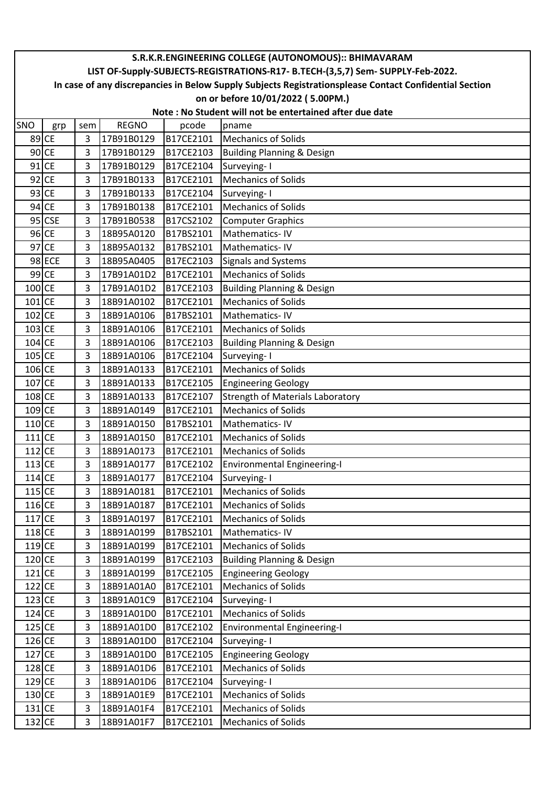|          | S.R.K.R.ENGINEERING COLLEGE (AUTONOMOUS):: BHIMAVARAM                                                  |                |              |           |                                         |  |  |  |  |  |  |
|----------|--------------------------------------------------------------------------------------------------------|----------------|--------------|-----------|-----------------------------------------|--|--|--|--|--|--|
|          | LIST OF-Supply-SUBJECTS-REGISTRATIONS-R17- B.TECH-(3,5,7) Sem- SUPPLY-Feb-2022.                        |                |              |           |                                         |  |  |  |  |  |  |
|          | In case of any discrepancies in Below Supply Subjects Registrationsplease Contact Confidential Section |                |              |           |                                         |  |  |  |  |  |  |
|          |                                                                                                        |                |              |           | on or before 10/01/2022 (5.00PM.)       |  |  |  |  |  |  |
|          | Note: No Student will not be entertained after due date                                                |                |              |           |                                         |  |  |  |  |  |  |
| SNO      | grp                                                                                                    | sem            | <b>REGNO</b> | pcode     | pname                                   |  |  |  |  |  |  |
|          | 89 CE                                                                                                  | 3              | 17B91B0129   | B17CE2101 | <b>Mechanics of Solids</b>              |  |  |  |  |  |  |
|          | $90$ CE                                                                                                | 3              | 17B91B0129   | B17CE2103 | <b>Building Planning &amp; Design</b>   |  |  |  |  |  |  |
|          | $91$ CE                                                                                                | 3              | 17B91B0129   | B17CE2104 | Surveying-1                             |  |  |  |  |  |  |
|          | $92$ CE                                                                                                | 3              | 17B91B0133   | B17CE2101 | <b>Mechanics of Solids</b>              |  |  |  |  |  |  |
|          | $93$ CE                                                                                                | 3              | 17B91B0133   | B17CE2104 | Surveying-1                             |  |  |  |  |  |  |
|          | $94$ CE                                                                                                | 3              | 17B91B0138   | B17CE2101 | <b>Mechanics of Solids</b>              |  |  |  |  |  |  |
|          | 95 CSE                                                                                                 | 3              | 17B91B0538   | B17CS2102 | <b>Computer Graphics</b>                |  |  |  |  |  |  |
|          | $96$ CE                                                                                                | 3              | 18B95A0120   | B17BS2101 | Mathematics-IV                          |  |  |  |  |  |  |
|          | $97$ CE                                                                                                | 3              | 18B95A0132   | B17BS2101 | Mathematics-IV                          |  |  |  |  |  |  |
|          | 98 ECE                                                                                                 | 3              | 18B95A0405   | B17EC2103 | <b>Signals and Systems</b>              |  |  |  |  |  |  |
|          | $99$ CE                                                                                                | 3              | 17B91A01D2   | B17CE2101 | <b>Mechanics of Solids</b>              |  |  |  |  |  |  |
| 100 CE   |                                                                                                        | 3              | 17B91A01D2   | B17CE2103 | <b>Building Planning &amp; Design</b>   |  |  |  |  |  |  |
| $101$ CE |                                                                                                        | $\overline{3}$ | 18B91A0102   | B17CE2101 | <b>Mechanics of Solids</b>              |  |  |  |  |  |  |
| $102$ CE |                                                                                                        | 3              | 18B91A0106   | B17BS2101 | Mathematics-IV                          |  |  |  |  |  |  |
| $103$ CE |                                                                                                        | 3              | 18B91A0106   | B17CE2101 | <b>Mechanics of Solids</b>              |  |  |  |  |  |  |
| 104 CE   |                                                                                                        | 3              | 18B91A0106   | B17CE2103 | <b>Building Planning &amp; Design</b>   |  |  |  |  |  |  |
| $105$ CE |                                                                                                        | 3              | 18B91A0106   | B17CE2104 | Surveying-1                             |  |  |  |  |  |  |
| 106 CE   |                                                                                                        | 3              | 18B91A0133   | B17CE2101 | <b>Mechanics of Solids</b>              |  |  |  |  |  |  |
| 107 CE   |                                                                                                        | 3              | 18B91A0133   | B17CE2105 | <b>Engineering Geology</b>              |  |  |  |  |  |  |
| $108$ CE |                                                                                                        | 3              | 18B91A0133   | B17CE2107 | <b>Strength of Materials Laboratory</b> |  |  |  |  |  |  |
| 109 CE   |                                                                                                        | 3              | 18B91A0149   | B17CE2101 | <b>Mechanics of Solids</b>              |  |  |  |  |  |  |
| 110 CE   |                                                                                                        | 3              | 18B91A0150   | B17BS2101 | Mathematics-IV                          |  |  |  |  |  |  |
| $111$ CE |                                                                                                        | 3              | 18B91A0150   | B17CE2101 | <b>Mechanics of Solids</b>              |  |  |  |  |  |  |
| $112$ CE |                                                                                                        | 3              | 18B91A0173   | B17CE2101 | <b>Mechanics of Solids</b>              |  |  |  |  |  |  |
| $113$ CE |                                                                                                        | 3              | 18B91A0177   | B17CE2102 | <b>Environmental Engineering-I</b>      |  |  |  |  |  |  |
| $114$ CE |                                                                                                        | 3              | 18B91A0177   | B17CE2104 | Surveying-1                             |  |  |  |  |  |  |
| $115$ CE |                                                                                                        | 3              | 18B91A0181   | B17CE2101 | <b>Mechanics of Solids</b>              |  |  |  |  |  |  |
| $116$ CE |                                                                                                        | 3              | 18B91A0187   | B17CE2101 | <b>Mechanics of Solids</b>              |  |  |  |  |  |  |
| $117$ CE |                                                                                                        | 3              | 18B91A0197   | B17CE2101 | <b>Mechanics of Solids</b>              |  |  |  |  |  |  |
| $118$ CE |                                                                                                        | 3              | 18B91A0199   | B17BS2101 | Mathematics-IV                          |  |  |  |  |  |  |
| 119 CE   |                                                                                                        | 3              | 18B91A0199   | B17CE2101 | <b>Mechanics of Solids</b>              |  |  |  |  |  |  |
| $120$ CE |                                                                                                        | 3              | 18B91A0199   | B17CE2103 | <b>Building Planning &amp; Design</b>   |  |  |  |  |  |  |
| $121$ CE |                                                                                                        | 3              | 18B91A0199   | B17CE2105 | <b>Engineering Geology</b>              |  |  |  |  |  |  |
| $122$ CE |                                                                                                        | 3              | 18B91A01A0   | B17CE2101 | <b>Mechanics of Solids</b>              |  |  |  |  |  |  |
| $123$ CE |                                                                                                        | 3              | 18B91A01C9   | B17CE2104 | Surveying-1                             |  |  |  |  |  |  |
| $124$ CE |                                                                                                        | 3              | 18B91A01D0   | B17CE2101 | <b>Mechanics of Solids</b>              |  |  |  |  |  |  |
| $125$ CE |                                                                                                        | 3              | 18B91A01D0   | B17CE2102 | <b>Environmental Engineering-I</b>      |  |  |  |  |  |  |
| 126 CE   |                                                                                                        | 3              | 18B91A01D0   | B17CE2104 | Surveying-1                             |  |  |  |  |  |  |
| $127$ CE |                                                                                                        | 3              | 18B91A01D0   | B17CE2105 | <b>Engineering Geology</b>              |  |  |  |  |  |  |
| $128$ CE |                                                                                                        | 3              | 18B91A01D6   | B17CE2101 | <b>Mechanics of Solids</b>              |  |  |  |  |  |  |
| 129 CE   |                                                                                                        | 3              | 18B91A01D6   | B17CE2104 | Surveying-I                             |  |  |  |  |  |  |
| 130 CE   |                                                                                                        | 3              | 18B91A01E9   | B17CE2101 | <b>Mechanics of Solids</b>              |  |  |  |  |  |  |
| $131$ CE |                                                                                                        | 3              | 18B91A01F4   | B17CE2101 | <b>Mechanics of Solids</b>              |  |  |  |  |  |  |
| 132 CE   |                                                                                                        | 3              | 18B91A01F7   | B17CE2101 | <b>Mechanics of Solids</b>              |  |  |  |  |  |  |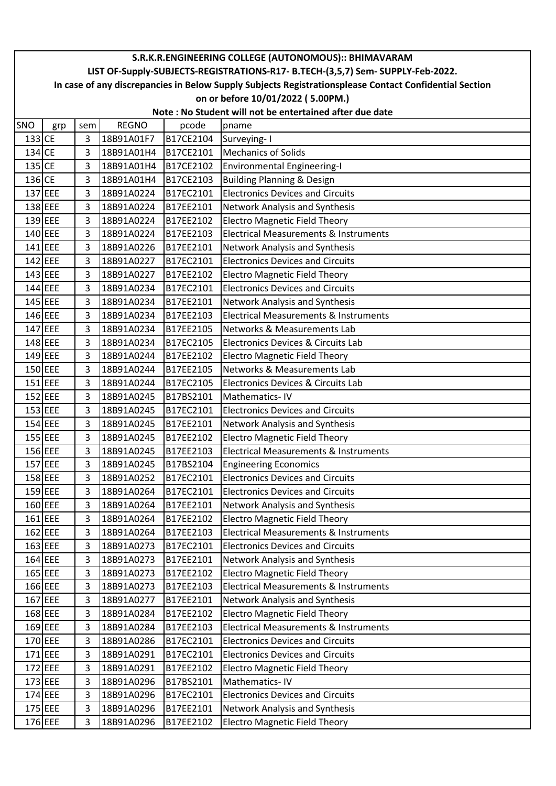|          | S.R.K.R.ENGINEERING COLLEGE (AUTONOMOUS):: BHIMAVARAM                                                  |     |              |           |                                                  |  |  |  |  |  |
|----------|--------------------------------------------------------------------------------------------------------|-----|--------------|-----------|--------------------------------------------------|--|--|--|--|--|
|          | LIST OF-Supply-SUBJECTS-REGISTRATIONS-R17- B.TECH-(3,5,7) Sem- SUPPLY-Feb-2022.                        |     |              |           |                                                  |  |  |  |  |  |
|          | In case of any discrepancies in Below Supply Subjects Registrationsplease Contact Confidential Section |     |              |           |                                                  |  |  |  |  |  |
|          |                                                                                                        |     |              |           | on or before 10/01/2022 (5.00PM.)                |  |  |  |  |  |
|          | Note: No Student will not be entertained after due date                                                |     |              |           |                                                  |  |  |  |  |  |
| SNO      | grp                                                                                                    | sem | <b>REGNO</b> | pcode     | pname                                            |  |  |  |  |  |
| 133 CE   |                                                                                                        | 3   | 18B91A01F7   | B17CE2104 | Surveying-I                                      |  |  |  |  |  |
| 134      | <b>CE</b>                                                                                              | 3   | 18B91A01H4   | B17CE2101 | <b>Mechanics of Solids</b>                       |  |  |  |  |  |
| $135$ CE |                                                                                                        | 3   | 18B91A01H4   | B17CE2102 | <b>Environmental Engineering-I</b>               |  |  |  |  |  |
| 136 CE   |                                                                                                        | 3   | 18B91A01H4   | B17CE2103 | <b>Building Planning &amp; Design</b>            |  |  |  |  |  |
|          | 137 EEE                                                                                                | 3   | 18B91A0224   | B17EC2101 | <b>Electronics Devices and Circuits</b>          |  |  |  |  |  |
|          | 138 EEE                                                                                                | 3   | 18B91A0224   | B17EE2101 | Network Analysis and Synthesis                   |  |  |  |  |  |
|          | 139 EEE                                                                                                | 3   | 18B91A0224   | B17EE2102 | <b>Electro Magnetic Field Theory</b>             |  |  |  |  |  |
|          | 140 EEE                                                                                                | 3   | 18B91A0224   | B17EE2103 | <b>Electrical Measurements &amp; Instruments</b> |  |  |  |  |  |
|          | 141 EEE                                                                                                | 3   | 18B91A0226   | B17EE2101 | Network Analysis and Synthesis                   |  |  |  |  |  |
|          | 142 EEE                                                                                                | 3   | 18B91A0227   | B17EC2101 | <b>Electronics Devices and Circuits</b>          |  |  |  |  |  |
|          | 143 EEE                                                                                                | 3   | 18B91A0227   | B17EE2102 | <b>Electro Magnetic Field Theory</b>             |  |  |  |  |  |
|          | 144 EEE                                                                                                | 3   | 18B91A0234   | B17EC2101 | <b>Electronics Devices and Circuits</b>          |  |  |  |  |  |
|          | 145 EEE                                                                                                | 3   | 18B91A0234   | B17EE2101 | Network Analysis and Synthesis                   |  |  |  |  |  |
|          | 146 EEE                                                                                                | 3   | 18B91A0234   | B17EE2103 | <b>Electrical Measurements &amp; Instruments</b> |  |  |  |  |  |
|          | 147 EEE                                                                                                | 3   | 18B91A0234   | B17EE2105 | Networks & Measurements Lab                      |  |  |  |  |  |
|          | 148 EEE                                                                                                | 3   | 18B91A0234   | B17EC2105 | Electronics Devices & Circuits Lab               |  |  |  |  |  |
|          | 149 EEE                                                                                                | 3   | 18B91A0244   | B17EE2102 | <b>Electro Magnetic Field Theory</b>             |  |  |  |  |  |
|          | 150 EEE                                                                                                | 3   | 18B91A0244   | B17EE2105 | <b>Networks &amp; Measurements Lab</b>           |  |  |  |  |  |
|          | $151$ EEE                                                                                              | 3   | 18B91A0244   | B17EC2105 | Electronics Devices & Circuits Lab               |  |  |  |  |  |
|          | $152$ EEE                                                                                              | 3   | 18B91A0245   | B17BS2101 | Mathematics-IV                                   |  |  |  |  |  |
|          | 153 EEE                                                                                                | 3   | 18B91A0245   | B17EC2101 | <b>Electronics Devices and Circuits</b>          |  |  |  |  |  |
|          | 154 EEE                                                                                                | 3   | 18B91A0245   | B17EE2101 | Network Analysis and Synthesis                   |  |  |  |  |  |
|          | $155$ EEE                                                                                              | 3   | 18B91A0245   | B17EE2102 | <b>Electro Magnetic Field Theory</b>             |  |  |  |  |  |
|          | 156 EEE                                                                                                | 3   | 18B91A0245   | B17EE2103 | <b>Electrical Measurements &amp; Instruments</b> |  |  |  |  |  |
|          | 157 EEE                                                                                                | 3   | 18B91A0245   | B17BS2104 | <b>Engineering Economics</b>                     |  |  |  |  |  |
|          | 158 EEE                                                                                                | 3   | 18B91A0252   | B17EC2101 | <b>Electronics Devices and Circuits</b>          |  |  |  |  |  |
|          | 159 EEE                                                                                                | 3   | 18B91A0264   | B17EC2101 | <b>Electronics Devices and Circuits</b>          |  |  |  |  |  |
|          | 160 EEE                                                                                                | 3   | 18B91A0264   | B17EE2101 | Network Analysis and Synthesis                   |  |  |  |  |  |
|          | 161 EEE                                                                                                | 3   | 18B91A0264   | B17EE2102 | <b>Electro Magnetic Field Theory</b>             |  |  |  |  |  |
|          | 162 EEE                                                                                                | 3   | 18B91A0264   | B17EE2103 | <b>Electrical Measurements &amp; Instruments</b> |  |  |  |  |  |
|          | 163 EEE                                                                                                | 3   | 18B91A0273   | B17EC2101 | <b>Electronics Devices and Circuits</b>          |  |  |  |  |  |
|          | 164 EEE                                                                                                | 3   | 18B91A0273   | B17EE2101 | Network Analysis and Synthesis                   |  |  |  |  |  |
|          | 165 EEE                                                                                                | 3   | 18B91A0273   | B17EE2102 | <b>Electro Magnetic Field Theory</b>             |  |  |  |  |  |
|          | 166 EEE                                                                                                | 3   | 18B91A0273   | B17EE2103 | <b>Electrical Measurements &amp; Instruments</b> |  |  |  |  |  |
|          | 167 EEE                                                                                                | 3   | 18B91A0277   | B17EE2101 | Network Analysis and Synthesis                   |  |  |  |  |  |
|          | 168 EEE                                                                                                | 3   | 18B91A0284   | B17EE2102 | <b>Electro Magnetic Field Theory</b>             |  |  |  |  |  |
|          | 169 EEE                                                                                                | 3   | 18B91A0284   | B17EE2103 | <b>Electrical Measurements &amp; Instruments</b> |  |  |  |  |  |
|          | 170 EEE                                                                                                | 3   | 18B91A0286   | B17EC2101 | <b>Electronics Devices and Circuits</b>          |  |  |  |  |  |
|          | 171 EEE                                                                                                | 3   | 18B91A0291   | B17EC2101 | <b>Electronics Devices and Circuits</b>          |  |  |  |  |  |
|          | 172 EEE                                                                                                | 3   | 18B91A0291   | B17EE2102 | <b>Electro Magnetic Field Theory</b>             |  |  |  |  |  |
|          | 173 EEE                                                                                                | 3   | 18B91A0296   | B17BS2101 | Mathematics-IV                                   |  |  |  |  |  |
|          | 174 EEE                                                                                                | 3   | 18B91A0296   | B17EC2101 | <b>Electronics Devices and Circuits</b>          |  |  |  |  |  |
|          | 175 EEE                                                                                                | 3   | 18B91A0296   | B17EE2101 | Network Analysis and Synthesis                   |  |  |  |  |  |
|          | 176 EEE                                                                                                | 3   | 18B91A0296   | B17EE2102 | <b>Electro Magnetic Field Theory</b>             |  |  |  |  |  |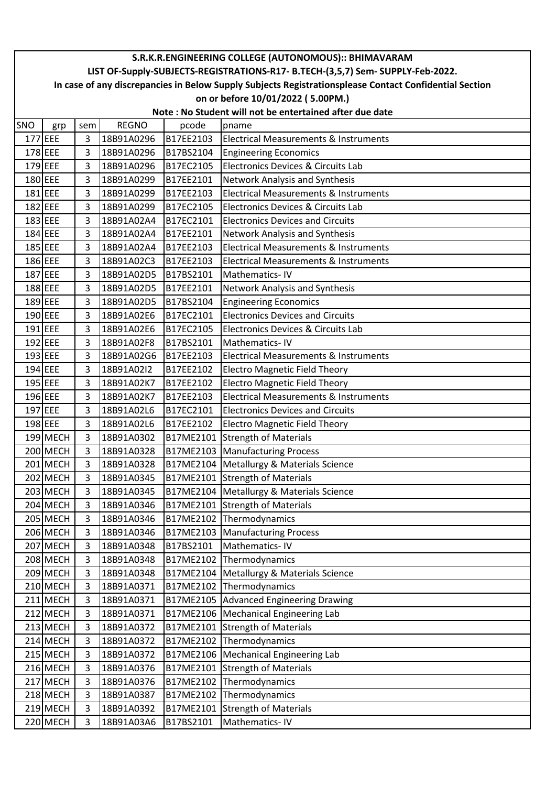|     | S.R.K.R.ENGINEERING COLLEGE (AUTONOMOUS):: BHIMAVARAM                                                  |                |              |           |                                                  |  |  |  |  |  |
|-----|--------------------------------------------------------------------------------------------------------|----------------|--------------|-----------|--------------------------------------------------|--|--|--|--|--|
|     | LIST OF-Supply-SUBJECTS-REGISTRATIONS-R17- B.TECH-(3,5,7) Sem- SUPPLY-Feb-2022.                        |                |              |           |                                                  |  |  |  |  |  |
|     | In case of any discrepancies in Below Supply Subjects Registrationsplease Contact Confidential Section |                |              |           |                                                  |  |  |  |  |  |
|     |                                                                                                        |                |              |           | on or before 10/01/2022 (5.00PM.)                |  |  |  |  |  |
|     | Note: No Student will not be entertained after due date                                                |                |              |           |                                                  |  |  |  |  |  |
| SNO | grp                                                                                                    | sem            | <b>REGNO</b> | pcode     | pname                                            |  |  |  |  |  |
|     | 177 EEE                                                                                                | 3              | 18B91A0296   | B17EE2103 | <b>Electrical Measurements &amp; Instruments</b> |  |  |  |  |  |
|     | 178 EEE                                                                                                | 3              | 18B91A0296   | B17BS2104 | <b>Engineering Economics</b>                     |  |  |  |  |  |
|     | 179 EEE                                                                                                | 3              | 18B91A0296   | B17EC2105 | Electronics Devices & Circuits Lab               |  |  |  |  |  |
|     | 180 EEE                                                                                                | 3              | 18B91A0299   | B17EE2101 | <b>Network Analysis and Synthesis</b>            |  |  |  |  |  |
|     | $181$ EEE                                                                                              | 3              | 18B91A0299   | B17EE2103 | <b>Electrical Measurements &amp; Instruments</b> |  |  |  |  |  |
|     | 182 EEE                                                                                                | 3              | 18B91A0299   | B17EC2105 | Electronics Devices & Circuits Lab               |  |  |  |  |  |
|     | 183 EEE                                                                                                | 3              | 18B91A02A4   | B17EC2101 | <b>Electronics Devices and Circuits</b>          |  |  |  |  |  |
|     | 184 EEE                                                                                                | 3              | 18B91A02A4   | B17EE2101 | Network Analysis and Synthesis                   |  |  |  |  |  |
|     | 185 EEE                                                                                                | 3              | 18B91A02A4   | B17EE2103 | Electrical Measurements & Instruments            |  |  |  |  |  |
|     | 186 EEE                                                                                                | 3              | 18B91A02C3   | B17EE2103 | Electrical Measurements & Instruments            |  |  |  |  |  |
|     | 187 EEE                                                                                                | 3              | 18B91A02D5   | B17BS2101 | Mathematics-IV                                   |  |  |  |  |  |
|     | 188 EEE                                                                                                | 3              | 18B91A02D5   | B17EE2101 | <b>Network Analysis and Synthesis</b>            |  |  |  |  |  |
|     | 189 EEE                                                                                                | 3              | 18B91A02D5   | B17BS2104 | <b>Engineering Economics</b>                     |  |  |  |  |  |
|     | 190 EEE                                                                                                | 3              | 18B91A02E6   | B17EC2101 | <b>Electronics Devices and Circuits</b>          |  |  |  |  |  |
|     | 191 EEE                                                                                                | 3              | 18B91A02E6   | B17EC2105 | Electronics Devices & Circuits Lab               |  |  |  |  |  |
|     | 192 EEE                                                                                                | 3              | 18B91A02F8   | B17BS2101 | Mathematics-IV                                   |  |  |  |  |  |
|     | 193 EEE                                                                                                | 3              | 18B91A02G6   | B17EE2103 | <b>Electrical Measurements &amp; Instruments</b> |  |  |  |  |  |
|     | 194 EEE                                                                                                | $\overline{3}$ | 18B91A02I2   | B17EE2102 | <b>Electro Magnetic Field Theory</b>             |  |  |  |  |  |
|     | $195$ EEE                                                                                              | 3              | 18B91A02K7   | B17EE2102 | <b>Electro Magnetic Field Theory</b>             |  |  |  |  |  |
|     | 196 EEE                                                                                                | 3              | 18B91A02K7   | B17EE2103 | <b>Electrical Measurements &amp; Instruments</b> |  |  |  |  |  |
|     | 197 EEE                                                                                                | 3              | 18B91A02L6   | B17EC2101 | <b>Electronics Devices and Circuits</b>          |  |  |  |  |  |
|     | 198 EEE                                                                                                | 3              | 18B91A02L6   | B17EE2102 | <b>Electro Magnetic Field Theory</b>             |  |  |  |  |  |
|     | 199 MECH                                                                                               | 3              | 18B91A0302   |           | B17ME2101 Strength of Materials                  |  |  |  |  |  |
|     | 200 MECH                                                                                               | 3              | 18B91A0328   |           | B17ME2103 Manufacturing Process                  |  |  |  |  |  |
|     | 201 MECH                                                                                               | 3              | 18B91A0328   |           | B17ME2104   Metallurgy & Materials Science       |  |  |  |  |  |
|     | 202 MECH                                                                                               | 3              | 18B91A0345   |           | B17ME2101 Strength of Materials                  |  |  |  |  |  |
|     | 203 MECH                                                                                               | 3              | 18B91A0345   |           | B17ME2104 Metallurgy & Materials Science         |  |  |  |  |  |
|     | 204 MECH                                                                                               | 3              | 18B91A0346   |           | B17ME2101 Strength of Materials                  |  |  |  |  |  |
|     | 205 MECH                                                                                               | 3              | 18B91A0346   |           | B17ME2102 Thermodynamics                         |  |  |  |  |  |
|     | 206 MECH                                                                                               | 3              | 18B91A0346   |           | B17ME2103 Manufacturing Process                  |  |  |  |  |  |
|     | 207 MECH                                                                                               | 3              | 18B91A0348   | B17BS2101 | Mathematics-IV                                   |  |  |  |  |  |
|     | 208 MECH                                                                                               | 3              | 18B91A0348   |           | B17ME2102 Thermodynamics                         |  |  |  |  |  |
|     | 209 MECH                                                                                               | 3              | 18B91A0348   | B17ME2104 | Metallurgy & Materials Science                   |  |  |  |  |  |
|     | 210 MECH                                                                                               | 3              | 18B91A0371   |           | B17ME2102 Thermodynamics                         |  |  |  |  |  |
|     | 211 MECH                                                                                               | 3              | 18B91A0371   |           | B17ME2105 Advanced Engineering Drawing           |  |  |  |  |  |
|     | 212 MECH                                                                                               | 3              | 18B91A0371   |           | B17ME2106   Mechanical Engineering Lab           |  |  |  |  |  |
|     | 213 MECH                                                                                               | 3              | 18B91A0372   | B17ME2101 | Strength of Materials                            |  |  |  |  |  |
|     | 214 MECH                                                                                               | 3              | 18B91A0372   |           | B17ME2102 Thermodynamics                         |  |  |  |  |  |
|     | 215 MECH                                                                                               | 3              | 18B91A0372   |           | B17ME2106   Mechanical Engineering Lab           |  |  |  |  |  |
|     | 216 MECH                                                                                               | 3              | 18B91A0376   |           | B17ME2101 Strength of Materials                  |  |  |  |  |  |
|     | 217 MECH                                                                                               | 3              | 18B91A0376   |           | B17ME2102 Thermodynamics                         |  |  |  |  |  |
|     | 218 MECH                                                                                               | 3              | 18B91A0387   |           | B17ME2102 Thermodynamics                         |  |  |  |  |  |
|     | 219 MECH                                                                                               | 3              | 18B91A0392   | B17ME2101 | <b>Strength of Materials</b>                     |  |  |  |  |  |
|     | 220 MECH                                                                                               | 3              | 18B91A03A6   | B17BS2101 | Mathematics-IV                                   |  |  |  |  |  |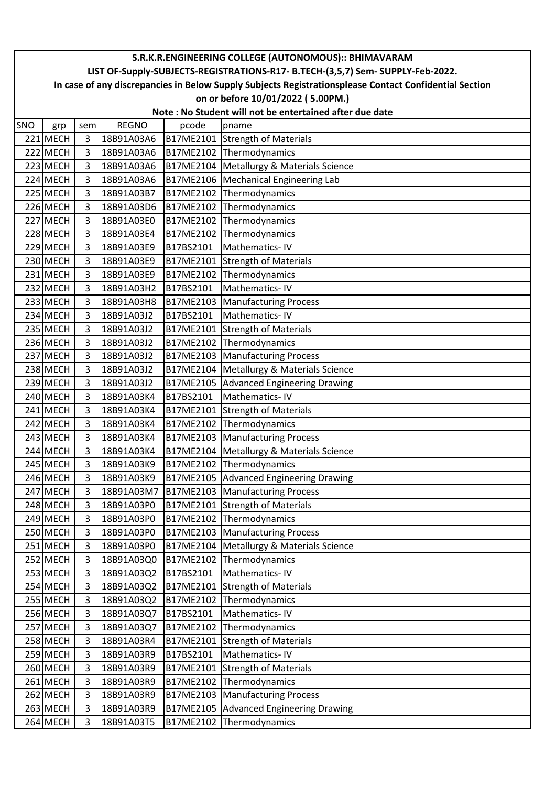|     | S.R.K.R.ENGINEERING COLLEGE (AUTONOMOUS):: BHIMAVARAM                                                                                                                                     |                       |                          |                        |                                                              |  |  |  |  |  |
|-----|-------------------------------------------------------------------------------------------------------------------------------------------------------------------------------------------|-----------------------|--------------------------|------------------------|--------------------------------------------------------------|--|--|--|--|--|
|     | LIST OF-Supply-SUBJECTS-REGISTRATIONS-R17- B.TECH-(3,5,7) Sem- SUPPLY-Feb-2022.<br>In case of any discrepancies in Below Supply Subjects Registrationsplease Contact Confidential Section |                       |                          |                        |                                                              |  |  |  |  |  |
|     | on or before 10/01/2022 (5.00PM.)                                                                                                                                                         |                       |                          |                        |                                                              |  |  |  |  |  |
|     |                                                                                                                                                                                           |                       |                          |                        |                                                              |  |  |  |  |  |
|     | Note: No Student will not be entertained after due date<br><b>REGNO</b><br>pcode                                                                                                          |                       |                          |                        |                                                              |  |  |  |  |  |
| SNO | grp                                                                                                                                                                                       | sem<br>$\overline{3}$ |                          |                        | pname                                                        |  |  |  |  |  |
|     | 221 MECH                                                                                                                                                                                  |                       | 18B91A03A6               |                        | B17ME2101 Strength of Materials                              |  |  |  |  |  |
|     | 222 MECH                                                                                                                                                                                  | 3<br>3                | 18B91A03A6               |                        | B17ME2102 Thermodynamics                                     |  |  |  |  |  |
|     | 223 MECH<br>224 MECH                                                                                                                                                                      | 3                     | 18B91A03A6               | B17ME2104<br>B17ME2106 | Metallurgy & Materials Science<br>Mechanical Engineering Lab |  |  |  |  |  |
|     | 225 MECH                                                                                                                                                                                  | $\overline{3}$        | 18B91A03A6<br>18B91A03B7 | B17ME2102              | Thermodynamics                                               |  |  |  |  |  |
|     | 226 MECH                                                                                                                                                                                  | 3                     | 18B91A03D6               | B17ME2102              | Thermodynamics                                               |  |  |  |  |  |
|     | 227 MECH                                                                                                                                                                                  | 3                     | 18B91A03E0               | B17ME2102              | Thermodynamics                                               |  |  |  |  |  |
|     | 228 MECH                                                                                                                                                                                  | $\overline{3}$        | 18B91A03E4               | B17ME2102              | Thermodynamics                                               |  |  |  |  |  |
|     | 229 MECH                                                                                                                                                                                  | 3                     | 18B91A03E9               | B17BS2101              | Mathematics-IV                                               |  |  |  |  |  |
|     | 230 MECH                                                                                                                                                                                  | 3                     | 18B91A03E9               | B17ME2101              | <b>Strength of Materials</b>                                 |  |  |  |  |  |
|     | 231 MECH                                                                                                                                                                                  | $\overline{3}$        | 18B91A03E9               | B17ME2102              | Thermodynamics                                               |  |  |  |  |  |
|     | 232 MECH                                                                                                                                                                                  | $\overline{3}$        | 18B91A03H2               | B17BS2101              | Mathematics-IV                                               |  |  |  |  |  |
|     | 233 MECH                                                                                                                                                                                  | 3                     | 18B91A03H8               | B17ME2103              | <b>Manufacturing Process</b>                                 |  |  |  |  |  |
|     | 234 MECH                                                                                                                                                                                  | 3                     | 18B91A03J2               | B17BS2101              | Mathematics-IV                                               |  |  |  |  |  |
|     | 235 MECH                                                                                                                                                                                  | $\overline{3}$        | 18B91A03J2               | B17ME2101              | <b>Strength of Materials</b>                                 |  |  |  |  |  |
|     | 236 MECH                                                                                                                                                                                  | 3                     | 18B91A03J2               | B17ME2102              | Thermodynamics                                               |  |  |  |  |  |
|     | 237 MECH                                                                                                                                                                                  | 3                     | 18B91A03J2               | B17ME2103              | <b>Manufacturing Process</b>                                 |  |  |  |  |  |
|     | 238 MECH                                                                                                                                                                                  | 3                     | 18B91A03J2               | B17ME2104              | Metallurgy & Materials Science                               |  |  |  |  |  |
|     | 239 MECH                                                                                                                                                                                  | $\overline{3}$        | 18B91A03J2               | B17ME2105              | <b>Advanced Engineering Drawing</b>                          |  |  |  |  |  |
|     | 240 MECH                                                                                                                                                                                  | 3                     | 18B91A03K4               | B17BS2101              | Mathematics-IV                                               |  |  |  |  |  |
|     | 241 MECH                                                                                                                                                                                  | 3                     | 18B91A03K4               | B17ME2101              | <b>Strength of Materials</b>                                 |  |  |  |  |  |
|     | 242 MECH                                                                                                                                                                                  | $\overline{3}$        | 18B91A03K4               | B17ME2102              | Thermodynamics                                               |  |  |  |  |  |
|     | 243 MECH                                                                                                                                                                                  | $\overline{3}$        | 18B91A03K4               | B17ME2103              | <b>Manufacturing Process</b>                                 |  |  |  |  |  |
|     | 244 MECH                                                                                                                                                                                  | $\overline{3}$        | 18B91A03K4               | B17ME2104              | Metallurgy & Materials Science                               |  |  |  |  |  |
|     | 245 MECH                                                                                                                                                                                  | 3                     | 18B91A03K9               |                        | B17ME2102 Thermodynamics                                     |  |  |  |  |  |
|     | 246 MECH                                                                                                                                                                                  | 3                     | 18B91A03K9               |                        | B17ME2105 Advanced Engineering Drawing                       |  |  |  |  |  |
|     | 247 MECH                                                                                                                                                                                  | 3                     | 18B91A03M7               | B17ME2103              | <b>Manufacturing Process</b>                                 |  |  |  |  |  |
|     | 248 MECH                                                                                                                                                                                  | 3                     | 18B91A03P0               |                        | B17ME2101 Strength of Materials                              |  |  |  |  |  |
|     | 249 MECH                                                                                                                                                                                  | 3                     | 18B91A03P0               | B17ME2102              | Thermodynamics                                               |  |  |  |  |  |
|     | 250 MECH                                                                                                                                                                                  | 3                     | 18B91A03P0               | B17ME2103              | <b>Manufacturing Process</b>                                 |  |  |  |  |  |
|     | 251 MECH                                                                                                                                                                                  | 3                     | 18B91A03P0               | B17ME2104              | Metallurgy & Materials Science                               |  |  |  |  |  |
|     | 252 MECH                                                                                                                                                                                  | 3                     | 18B91A03Q0               | B17ME2102              | Thermodynamics                                               |  |  |  |  |  |
|     | 253 MECH                                                                                                                                                                                  | 3                     | 18B91A03Q2               | B17BS2101              | Mathematics-IV                                               |  |  |  |  |  |
|     | 254 MECH                                                                                                                                                                                  | 3                     | 18B91A03Q2               | B17ME2101              | Strength of Materials                                        |  |  |  |  |  |
|     | 255 MECH                                                                                                                                                                                  | 3                     | 18B91A03Q2               | B17ME2102              | Thermodynamics                                               |  |  |  |  |  |
|     | 256 MECH                                                                                                                                                                                  | 3                     | 18B91A03Q7               | B17BS2101              | Mathematics-IV                                               |  |  |  |  |  |
|     | 257 MECH                                                                                                                                                                                  | 3                     | 18B91A03Q7               | B17ME2102              | Thermodynamics                                               |  |  |  |  |  |
|     | 258 MECH                                                                                                                                                                                  | $\overline{3}$        | 18B91A03R4               | B17ME2101              | <b>Strength of Materials</b>                                 |  |  |  |  |  |
|     | 259 MECH                                                                                                                                                                                  | 3                     | 18B91A03R9               | B17BS2101              | Mathematics-IV                                               |  |  |  |  |  |
|     | 260 MECH                                                                                                                                                                                  | 3                     | 18B91A03R9               | B17ME2101              | <b>Strength of Materials</b>                                 |  |  |  |  |  |
|     | 261 MECH                                                                                                                                                                                  | 3                     | 18B91A03R9               | B17ME2102              | Thermodynamics                                               |  |  |  |  |  |
|     | 262 MECH                                                                                                                                                                                  | 3                     | 18B91A03R9               | B17ME2103              | <b>Manufacturing Process</b>                                 |  |  |  |  |  |
|     | 263 MECH                                                                                                                                                                                  | 3                     | 18B91A03R9               | B17ME2105              | <b>Advanced Engineering Drawing</b>                          |  |  |  |  |  |
|     | 264 MECH                                                                                                                                                                                  | 3                     | 18B91A03T5               | B17ME2102              | Thermodynamics                                               |  |  |  |  |  |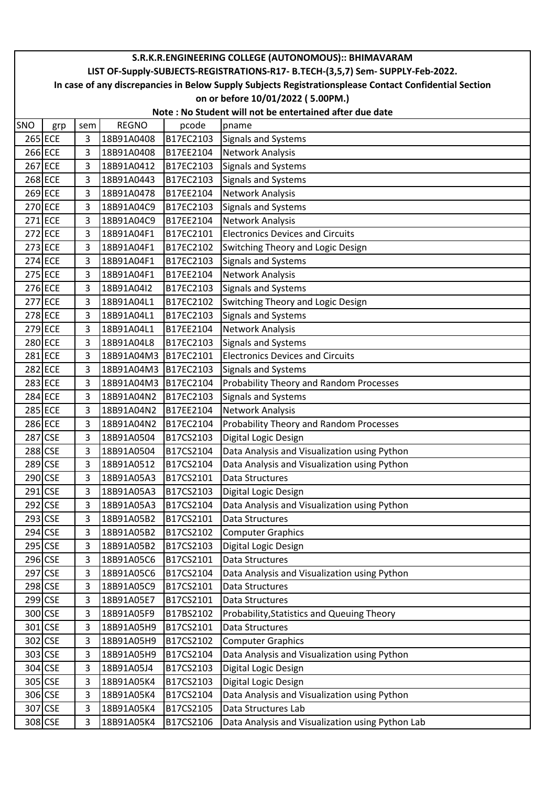|     | S.R.K.R.ENGINEERING COLLEGE (AUTONOMOUS):: BHIMAVARAM                                                  |     |              |           |                                                  |  |  |  |  |  |  |
|-----|--------------------------------------------------------------------------------------------------------|-----|--------------|-----------|--------------------------------------------------|--|--|--|--|--|--|
|     | LIST OF-Supply-SUBJECTS-REGISTRATIONS-R17- B.TECH-(3,5,7) Sem- SUPPLY-Feb-2022.                        |     |              |           |                                                  |  |  |  |  |  |  |
|     | In case of any discrepancies in Below Supply Subjects Registrationsplease Contact Confidential Section |     |              |           |                                                  |  |  |  |  |  |  |
|     |                                                                                                        |     |              |           | on or before 10/01/2022 (5.00PM.)                |  |  |  |  |  |  |
|     | Note: No Student will not be entertained after due date                                                |     |              |           |                                                  |  |  |  |  |  |  |
| SNO | grp                                                                                                    | sem | <b>REGNO</b> | pcode     | pname                                            |  |  |  |  |  |  |
|     | 265 ECE                                                                                                | 3   | 18B91A0408   | B17EC2103 | <b>Signals and Systems</b>                       |  |  |  |  |  |  |
|     | 266 ECE                                                                                                | 3   | 18B91A0408   | B17EE2104 | Network Analysis                                 |  |  |  |  |  |  |
|     | 267 ECE                                                                                                | 3   | 18B91A0412   | B17EC2103 | <b>Signals and Systems</b>                       |  |  |  |  |  |  |
|     | 268 ECE                                                                                                | 3   | 18B91A0443   | B17EC2103 | <b>Signals and Systems</b>                       |  |  |  |  |  |  |
|     | 269 ECE                                                                                                | 3   | 18B91A0478   | B17EE2104 | Network Analysis                                 |  |  |  |  |  |  |
|     | 270 ECE                                                                                                | 3   | 18B91A04C9   | B17EC2103 | <b>Signals and Systems</b>                       |  |  |  |  |  |  |
|     | 271 ECE                                                                                                | 3   | 18B91A04C9   | B17EE2104 | Network Analysis                                 |  |  |  |  |  |  |
|     | 272 ECE                                                                                                | 3   | 18B91A04F1   | B17EC2101 | <b>Electronics Devices and Circuits</b>          |  |  |  |  |  |  |
|     | 273 ECE                                                                                                | 3   | 18B91A04F1   | B17EC2102 | Switching Theory and Logic Design                |  |  |  |  |  |  |
|     | 274 ECE                                                                                                | 3   | 18B91A04F1   | B17EC2103 | <b>Signals and Systems</b>                       |  |  |  |  |  |  |
|     | 275 ECE                                                                                                | 3   | 18B91A04F1   | B17EE2104 | Network Analysis                                 |  |  |  |  |  |  |
|     | 276 ECE                                                                                                | 3   | 18B91A04I2   | B17EC2103 | Signals and Systems                              |  |  |  |  |  |  |
|     | 277 ECE                                                                                                | 3   | 18B91A04L1   | B17EC2102 | Switching Theory and Logic Design                |  |  |  |  |  |  |
|     | 278 ECE                                                                                                | 3   | 18B91A04L1   | B17EC2103 | Signals and Systems                              |  |  |  |  |  |  |
|     | 279 ECE                                                                                                | 3   | 18B91A04L1   | B17EE2104 | <b>Network Analysis</b>                          |  |  |  |  |  |  |
|     | 280 ECE                                                                                                | 3   | 18B91A04L8   | B17EC2103 | Signals and Systems                              |  |  |  |  |  |  |
|     | 281 ECE                                                                                                | 3   | 18B91A04M3   | B17EC2101 | <b>Electronics Devices and Circuits</b>          |  |  |  |  |  |  |
|     | 282 ECE                                                                                                | 3   | 18B91A04M3   | B17EC2103 | <b>Signals and Systems</b>                       |  |  |  |  |  |  |
|     | 283 ECE                                                                                                | 3   | 18B91A04M3   | B17EC2104 | Probability Theory and Random Processes          |  |  |  |  |  |  |
|     | 284 ECE                                                                                                | 3   | 18B91A04N2   | B17EC2103 | Signals and Systems                              |  |  |  |  |  |  |
|     | 285 ECE                                                                                                | 3   | 18B91A04N2   | B17EE2104 | Network Analysis                                 |  |  |  |  |  |  |
|     | 286 ECE                                                                                                | 3   | 18B91A04N2   | B17EC2104 | Probability Theory and Random Processes          |  |  |  |  |  |  |
|     | 287 CSE                                                                                                | 3   | 18B91A0504   | B17CS2103 | Digital Logic Design                             |  |  |  |  |  |  |
|     | 288 CSE                                                                                                | 3   | 18B91A0504   | B17CS2104 | Data Analysis and Visualization using Python     |  |  |  |  |  |  |
|     | 289 CSE                                                                                                | 3   | 18B91A0512   | B17CS2104 | Data Analysis and Visualization using Python     |  |  |  |  |  |  |
|     | 290 CSE                                                                                                | 3   | 18B91A05A3   | B17CS2101 | Data Structures                                  |  |  |  |  |  |  |
|     | 291 CSE                                                                                                | 3   | 18B91A05A3   | B17CS2103 | Digital Logic Design                             |  |  |  |  |  |  |
|     | 292 CSE                                                                                                | 3   | 18B91A05A3   | B17CS2104 | Data Analysis and Visualization using Python     |  |  |  |  |  |  |
|     | 293 CSE                                                                                                | 3   | 18B91A05B2   | B17CS2101 | Data Structures                                  |  |  |  |  |  |  |
|     | 294 CSE                                                                                                | 3   | 18B91A05B2   | B17CS2102 | <b>Computer Graphics</b>                         |  |  |  |  |  |  |
|     | 295 CSE                                                                                                | 3   | 18B91A05B2   | B17CS2103 | Digital Logic Design                             |  |  |  |  |  |  |
|     | 296 CSE                                                                                                | 3   | 18B91A05C6   | B17CS2101 | Data Structures                                  |  |  |  |  |  |  |
|     | 297 CSE                                                                                                | 3   | 18B91A05C6   | B17CS2104 | Data Analysis and Visualization using Python     |  |  |  |  |  |  |
|     | 298 CSE                                                                                                | 3   | 18B91A05C9   | B17CS2101 | Data Structures                                  |  |  |  |  |  |  |
|     | 299 CSE                                                                                                | 3   | 18B91A05E7   | B17CS2101 | Data Structures                                  |  |  |  |  |  |  |
|     | 300 CSE                                                                                                | 3   | 18B91A05F9   | B17BS2102 | Probability, Statistics and Queuing Theory       |  |  |  |  |  |  |
|     | 301 CSE                                                                                                | 3   | 18B91A05H9   | B17CS2101 | Data Structures                                  |  |  |  |  |  |  |
|     | 302 CSE                                                                                                | 3   | 18B91A05H9   | B17CS2102 | <b>Computer Graphics</b>                         |  |  |  |  |  |  |
|     | 303 CSE                                                                                                | 3   | 18B91A05H9   | B17CS2104 | Data Analysis and Visualization using Python     |  |  |  |  |  |  |
|     | 304 CSE                                                                                                | 3   | 18B91A05J4   | B17CS2103 | Digital Logic Design                             |  |  |  |  |  |  |
|     | 305 CSE                                                                                                | 3   | 18B91A05K4   | B17CS2103 | Digital Logic Design                             |  |  |  |  |  |  |
|     | 306 CSE                                                                                                | 3   | 18B91A05K4   | B17CS2104 | Data Analysis and Visualization using Python     |  |  |  |  |  |  |
|     | 307 CSE                                                                                                | 3   | 18B91A05K4   | B17CS2105 | Data Structures Lab                              |  |  |  |  |  |  |
|     | 308 CSE                                                                                                | 3   | 18B91A05K4   | B17CS2106 | Data Analysis and Visualization using Python Lab |  |  |  |  |  |  |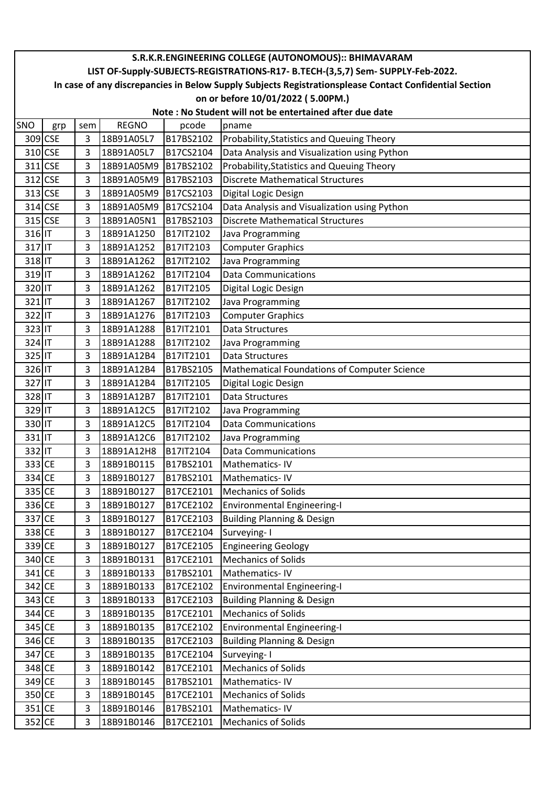|        | S.R.K.R.ENGINEERING COLLEGE (AUTONOMOUS):: BHIMAVARAM                                                  |     |              |           |                                              |  |  |  |  |  |  |
|--------|--------------------------------------------------------------------------------------------------------|-----|--------------|-----------|----------------------------------------------|--|--|--|--|--|--|
|        | LIST OF-Supply-SUBJECTS-REGISTRATIONS-R17- B.TECH-(3,5,7) Sem- SUPPLY-Feb-2022.                        |     |              |           |                                              |  |  |  |  |  |  |
|        | In case of any discrepancies in Below Supply Subjects Registrationsplease Contact Confidential Section |     |              |           |                                              |  |  |  |  |  |  |
|        |                                                                                                        |     |              |           | on or before 10/01/2022 (5.00PM.)            |  |  |  |  |  |  |
|        | Note: No Student will not be entertained after due date                                                |     |              |           |                                              |  |  |  |  |  |  |
| SNO    | grp                                                                                                    | sem | <b>REGNO</b> | pcode     | pname                                        |  |  |  |  |  |  |
|        | 309 CSE                                                                                                | 3   | 18B91A05L7   | B17BS2102 | Probability, Statistics and Queuing Theory   |  |  |  |  |  |  |
|        | 310 CSE                                                                                                | 3   | 18B91A05L7   | B17CS2104 | Data Analysis and Visualization using Python |  |  |  |  |  |  |
|        | 311 CSE                                                                                                | 3   | 18B91A05M9   | B17BS2102 | Probability, Statistics and Queuing Theory   |  |  |  |  |  |  |
|        | 312 CSE                                                                                                | 3   | 18B91A05M9   | B17BS2103 | <b>Discrete Mathematical Structures</b>      |  |  |  |  |  |  |
|        | 313 CSE                                                                                                | 3   | 18B91A05M9   | B17CS2103 | Digital Logic Design                         |  |  |  |  |  |  |
|        | 314 CSE                                                                                                | 3   | 18B91A05M9   | B17CS2104 | Data Analysis and Visualization using Python |  |  |  |  |  |  |
|        | 315 CSE                                                                                                | 3   | 18B91A05N1   | B17BS2103 | <b>Discrete Mathematical Structures</b>      |  |  |  |  |  |  |
| 316 IT |                                                                                                        | 3   | 18B91A1250   | B17IT2102 | Java Programming                             |  |  |  |  |  |  |
| 317 IT |                                                                                                        | 3   | 18B91A1252   | B17IT2103 | <b>Computer Graphics</b>                     |  |  |  |  |  |  |
| 318 IT |                                                                                                        | 3   | 18B91A1262   | B17IT2102 | Java Programming                             |  |  |  |  |  |  |
| 319 IT |                                                                                                        | 3   | 18B91A1262   | B17IT2104 | <b>Data Communications</b>                   |  |  |  |  |  |  |
| 320 IT |                                                                                                        | 3   | 18B91A1262   | B17IT2105 | Digital Logic Design                         |  |  |  |  |  |  |
| 321 IT |                                                                                                        | 3   | 18B91A1267   | B17IT2102 | Java Programming                             |  |  |  |  |  |  |
| 322 IT |                                                                                                        | 3   | 18B91A1276   | B17IT2103 | <b>Computer Graphics</b>                     |  |  |  |  |  |  |
| 323 IT |                                                                                                        | 3   | 18B91A1288   | B17IT2101 | <b>Data Structures</b>                       |  |  |  |  |  |  |
| 324 IT |                                                                                                        | 3   | 18B91A1288   | B17IT2102 | Java Programming                             |  |  |  |  |  |  |
| 325 IT |                                                                                                        | 3   | 18B91A12B4   | B17IT2101 | <b>Data Structures</b>                       |  |  |  |  |  |  |
| 326 IT |                                                                                                        | 3   | 18B91A12B4   | B17BS2105 | Mathematical Foundations of Computer Science |  |  |  |  |  |  |
| 327 IT |                                                                                                        | 3   | 18B91A12B4   | B17IT2105 | Digital Logic Design                         |  |  |  |  |  |  |
| 328 IT |                                                                                                        | 3   | 18B91A12B7   | B17IT2101 | <b>Data Structures</b>                       |  |  |  |  |  |  |
| 329 IT |                                                                                                        | 3   | 18B91A12C5   | B17IT2102 | Java Programming                             |  |  |  |  |  |  |
| 330 IT |                                                                                                        | 3   | 18B91A12C5   | B17IT2104 | <b>Data Communications</b>                   |  |  |  |  |  |  |
| 331 IT |                                                                                                        | 3   | 18B91A12C6   | B17IT2102 | Java Programming                             |  |  |  |  |  |  |
| 332 IT |                                                                                                        | 3   | 18B91A12H8   | B17IT2104 | <b>Data Communications</b>                   |  |  |  |  |  |  |
| 333 CE |                                                                                                        | 3   | 18B91B0115   | B17BS2101 | Mathematics-IV                               |  |  |  |  |  |  |
| 334 CE |                                                                                                        | 3   | 18B91B0127   | B17BS2101 | Mathematics-IV                               |  |  |  |  |  |  |
| 335 CE |                                                                                                        | 3   | 18B91B0127   | B17CE2101 | Mechanics of Solids                          |  |  |  |  |  |  |
| 336 CE |                                                                                                        | 3   | 18B91B0127   | B17CE2102 | <b>Environmental Engineering-I</b>           |  |  |  |  |  |  |
| 337 CE |                                                                                                        | 3   | 18B91B0127   | B17CE2103 | <b>Building Planning &amp; Design</b>        |  |  |  |  |  |  |
| 338 CE |                                                                                                        | 3   | 18B91B0127   | B17CE2104 | Surveying-I                                  |  |  |  |  |  |  |
| 339 CE |                                                                                                        | 3   | 18B91B0127   | B17CE2105 | <b>Engineering Geology</b>                   |  |  |  |  |  |  |
| 340 CE |                                                                                                        | 3   | 18B91B0131   | B17CE2101 | <b>Mechanics of Solids</b>                   |  |  |  |  |  |  |
| 341 CE |                                                                                                        | 3   | 18B91B0133   | B17BS2101 | Mathematics-IV                               |  |  |  |  |  |  |
| 342 CE |                                                                                                        | 3   | 18B91B0133   | B17CE2102 | <b>Environmental Engineering-I</b>           |  |  |  |  |  |  |
| 343 CE |                                                                                                        | 3   | 18B91B0133   | B17CE2103 | <b>Building Planning &amp; Design</b>        |  |  |  |  |  |  |
| 344 CE |                                                                                                        | 3   | 18B91B0135   | B17CE2101 | <b>Mechanics of Solids</b>                   |  |  |  |  |  |  |
| 345 CE |                                                                                                        | 3   | 18B91B0135   | B17CE2102 | <b>Environmental Engineering-I</b>           |  |  |  |  |  |  |
| 346 CE |                                                                                                        | 3   | 18B91B0135   | B17CE2103 | <b>Building Planning &amp; Design</b>        |  |  |  |  |  |  |
| 347 CE |                                                                                                        | 3   | 18B91B0135   | B17CE2104 | Surveying-1                                  |  |  |  |  |  |  |
| 348 CE |                                                                                                        | 3   | 18B91B0142   | B17CE2101 | <b>Mechanics of Solids</b>                   |  |  |  |  |  |  |
| 349 CE |                                                                                                        | 3   | 18B91B0145   | B17BS2101 | Mathematics-IV                               |  |  |  |  |  |  |
| 350 CE |                                                                                                        | 3   | 18B91B0145   | B17CE2101 | <b>Mechanics of Solids</b>                   |  |  |  |  |  |  |
| 351 CE |                                                                                                        | 3   | 18B91B0146   | B17BS2101 | Mathematics-IV                               |  |  |  |  |  |  |
| 352 CE |                                                                                                        | 3   | 18B91B0146   | B17CE2101 | <b>Mechanics of Solids</b>                   |  |  |  |  |  |  |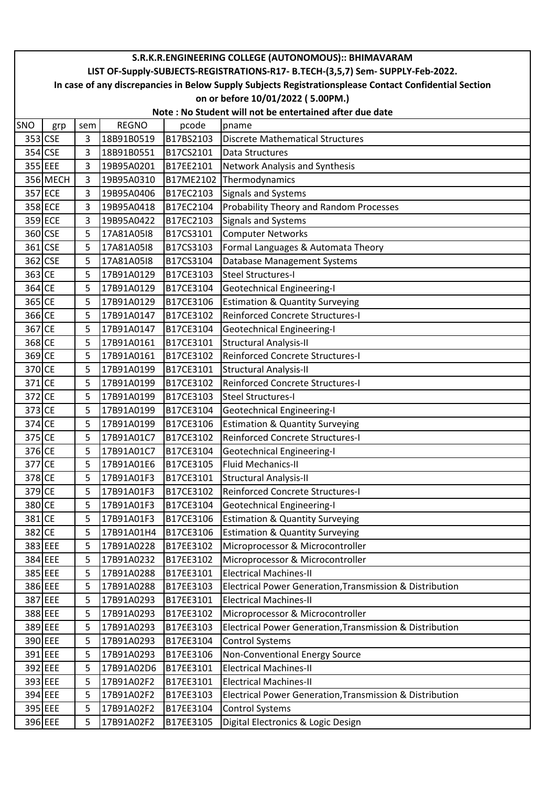|        | S.R.K.R.ENGINEERING COLLEGE (AUTONOMOUS):: BHIMAVARAM                                                  |     |              |           |                                                          |  |  |  |  |  |  |
|--------|--------------------------------------------------------------------------------------------------------|-----|--------------|-----------|----------------------------------------------------------|--|--|--|--|--|--|
|        | LIST OF-Supply-SUBJECTS-REGISTRATIONS-R17- B.TECH-(3,5,7) Sem- SUPPLY-Feb-2022.                        |     |              |           |                                                          |  |  |  |  |  |  |
|        | In case of any discrepancies in Below Supply Subjects Registrationsplease Contact Confidential Section |     |              |           |                                                          |  |  |  |  |  |  |
|        |                                                                                                        |     |              |           | on or before 10/01/2022 (5.00PM.)                        |  |  |  |  |  |  |
|        | Note: No Student will not be entertained after due date                                                |     |              |           |                                                          |  |  |  |  |  |  |
| SNO    | grp                                                                                                    | sem | <b>REGNO</b> | pcode     | pname                                                    |  |  |  |  |  |  |
|        | 353 CSE                                                                                                | 3   | 18B91B0519   | B17BS2103 | <b>Discrete Mathematical Structures</b>                  |  |  |  |  |  |  |
|        | 354 CSE                                                                                                | 3   | 18B91B0551   | B17CS2101 | Data Structures                                          |  |  |  |  |  |  |
|        | 355 EEE                                                                                                | 3   | 19B95A0201   | B17EE2101 | Network Analysis and Synthesis                           |  |  |  |  |  |  |
|        | 356 MECH                                                                                               | 3   | 19B95A0310   | B17ME2102 | Thermodynamics                                           |  |  |  |  |  |  |
|        | 357 ECE                                                                                                | 3   | 19B95A0406   | B17EC2103 | <b>Signals and Systems</b>                               |  |  |  |  |  |  |
|        | 358 ECE                                                                                                | 3   | 19B95A0418   | B17EC2104 | Probability Theory and Random Processes                  |  |  |  |  |  |  |
|        | 359 ECE                                                                                                | 3   | 19B95A0422   | B17EC2103 | Signals and Systems                                      |  |  |  |  |  |  |
|        | 360 CSE                                                                                                | 5   | 17A81A05I8   | B17CS3101 | <b>Computer Networks</b>                                 |  |  |  |  |  |  |
|        | 361 CSE                                                                                                | 5   | 17A81A05I8   | B17CS3103 | Formal Languages & Automata Theory                       |  |  |  |  |  |  |
|        | 362 CSE                                                                                                | 5   | 17A81A05I8   | B17CS3104 | <b>Database Management Systems</b>                       |  |  |  |  |  |  |
| 363 CE |                                                                                                        | 5   | 17B91A0129   | B17CE3103 | <b>Steel Structures-I</b>                                |  |  |  |  |  |  |
| 364 CE |                                                                                                        | 5   | 17B91A0129   | B17CE3104 | <b>Geotechnical Engineering-I</b>                        |  |  |  |  |  |  |
| 365 CE |                                                                                                        | 5   | 17B91A0129   | B17CE3106 | <b>Estimation &amp; Quantity Surveying</b>               |  |  |  |  |  |  |
| 366 CE |                                                                                                        | 5   | 17B91A0147   | B17CE3102 | Reinforced Concrete Structures-I                         |  |  |  |  |  |  |
| 367 CE |                                                                                                        | 5   | 17B91A0147   | B17CE3104 | <b>Geotechnical Engineering-I</b>                        |  |  |  |  |  |  |
| 368 CE |                                                                                                        | 5   | 17B91A0161   | B17CE3101 | <b>Structural Analysis-II</b>                            |  |  |  |  |  |  |
| 369 CE |                                                                                                        | 5   | 17B91A0161   | B17CE3102 | Reinforced Concrete Structures-I                         |  |  |  |  |  |  |
| 370 CE |                                                                                                        | 5   | 17B91A0199   | B17CE3101 | <b>Structural Analysis-II</b>                            |  |  |  |  |  |  |
| 371 CE |                                                                                                        | 5   | 17B91A0199   | B17CE3102 | Reinforced Concrete Structures-I                         |  |  |  |  |  |  |
| 372 CE |                                                                                                        | 5   | 17B91A0199   | B17CE3103 | <b>Steel Structures-I</b>                                |  |  |  |  |  |  |
| 373 CE |                                                                                                        | 5   | 17B91A0199   | B17CE3104 | <b>Geotechnical Engineering-I</b>                        |  |  |  |  |  |  |
| 374 CE |                                                                                                        | 5   | 17B91A0199   | B17CE3106 | <b>Estimation &amp; Quantity Surveying</b>               |  |  |  |  |  |  |
| 375 CE |                                                                                                        | 5   | 17B91A01C7   | B17CE3102 | Reinforced Concrete Structures-I                         |  |  |  |  |  |  |
| 376 CE |                                                                                                        | 5   | 17B91A01C7   | B17CE3104 | Geotechnical Engineering-I                               |  |  |  |  |  |  |
| 377 CE |                                                                                                        | 5   | 17B91A01E6   | B17CE3105 | <b>Fluid Mechanics-II</b>                                |  |  |  |  |  |  |
| 378 CE |                                                                                                        | 5   | 17B91A01F3   | B17CE3101 | <b>Structural Analysis-II</b>                            |  |  |  |  |  |  |
| 379 CE |                                                                                                        | 5   | 17B91A01F3   | B17CE3102 | Reinforced Concrete Structures-I                         |  |  |  |  |  |  |
| 380 CE |                                                                                                        | 5   | 17B91A01F3   | B17CE3104 | <b>Geotechnical Engineering-I</b>                        |  |  |  |  |  |  |
| 381 CE |                                                                                                        | 5   | 17B91A01F3   | B17CE3106 | <b>Estimation &amp; Quantity Surveying</b>               |  |  |  |  |  |  |
| 382 CE |                                                                                                        | 5   | 17B91A01H4   | B17CE3106 | <b>Estimation &amp; Quantity Surveying</b>               |  |  |  |  |  |  |
|        | 383 EEE                                                                                                | 5   | 17B91A0228   | B17EE3102 | Microprocessor & Microcontroller                         |  |  |  |  |  |  |
|        | 384 EEE                                                                                                | 5   | 17B91A0232   | B17EE3102 | Microprocessor & Microcontroller                         |  |  |  |  |  |  |
|        | 385 EEE                                                                                                | 5   | 17B91A0288   | B17EE3101 | <b>Electrical Machines-II</b>                            |  |  |  |  |  |  |
|        | 386 EEE                                                                                                | 5   | 17B91A0288   | B17EE3103 | Electrical Power Generation, Transmission & Distribution |  |  |  |  |  |  |
|        | 387 EEE                                                                                                | 5   | 17B91A0293   | B17EE3101 | <b>Electrical Machines-II</b>                            |  |  |  |  |  |  |
|        | 388 EEE                                                                                                | 5   | 17B91A0293   | B17EE3102 | Microprocessor & Microcontroller                         |  |  |  |  |  |  |
|        | 389 EEE                                                                                                | 5   | 17B91A0293   | B17EE3103 | Electrical Power Generation, Transmission & Distribution |  |  |  |  |  |  |
|        | 390 EEE                                                                                                | 5   | 17B91A0293   | B17EE3104 | <b>Control Systems</b>                                   |  |  |  |  |  |  |
|        | 391 EEE                                                                                                | 5   | 17B91A0293   | B17EE3106 | Non-Conventional Energy Source                           |  |  |  |  |  |  |
|        | 392 EEE                                                                                                | 5   | 17B91A02D6   | B17EE3101 | <b>Electrical Machines-II</b>                            |  |  |  |  |  |  |
|        | 393 EEE                                                                                                | 5   | 17B91A02F2   | B17EE3101 | <b>Electrical Machines-II</b>                            |  |  |  |  |  |  |
|        | 394 EEE                                                                                                | 5   | 17B91A02F2   | B17EE3103 | Electrical Power Generation, Transmission & Distribution |  |  |  |  |  |  |
|        | 395 EEE                                                                                                | 5   | 17B91A02F2   | B17EE3104 | <b>Control Systems</b>                                   |  |  |  |  |  |  |
|        | 396 EEE                                                                                                | 5   | 17B91A02F2   | B17EE3105 | Digital Electronics & Logic Design                       |  |  |  |  |  |  |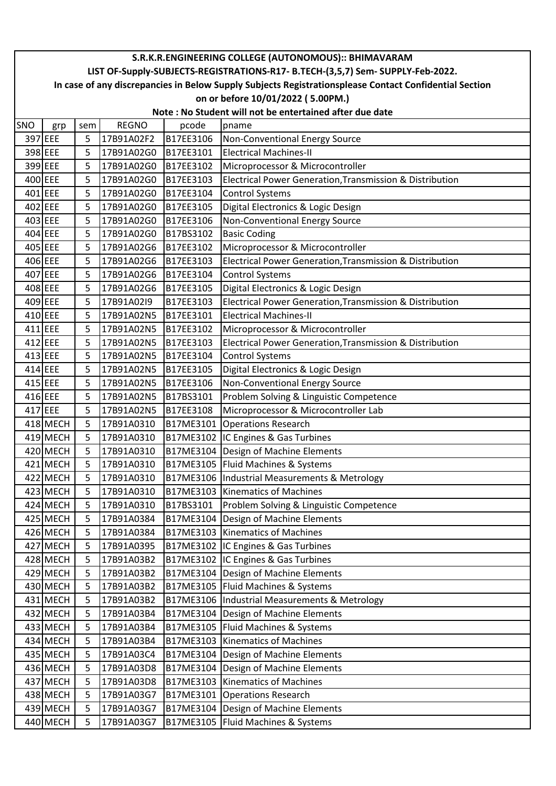|         | S.R.K.R.ENGINEERING COLLEGE (AUTONOMOUS):: BHIMAVARAM                                                  |     |              |           |                                                          |  |  |  |  |  |  |
|---------|--------------------------------------------------------------------------------------------------------|-----|--------------|-----------|----------------------------------------------------------|--|--|--|--|--|--|
|         | LIST OF-Supply-SUBJECTS-REGISTRATIONS-R17- B.TECH-(3,5,7) Sem- SUPPLY-Feb-2022.                        |     |              |           |                                                          |  |  |  |  |  |  |
|         | In case of any discrepancies in Below Supply Subjects Registrationsplease Contact Confidential Section |     |              |           |                                                          |  |  |  |  |  |  |
|         |                                                                                                        |     |              |           | on or before 10/01/2022 (5.00PM.)                        |  |  |  |  |  |  |
|         | Note: No Student will not be entertained after due date                                                |     |              |           |                                                          |  |  |  |  |  |  |
| SNO     | grp                                                                                                    | sem | <b>REGNO</b> | pcode     | pname                                                    |  |  |  |  |  |  |
|         | 397 EEE                                                                                                | 5   | 17B91A02F2   | B17EE3106 | Non-Conventional Energy Source                           |  |  |  |  |  |  |
|         | 398 EEE                                                                                                | 5   | 17B91A02G0   | B17EE3101 | <b>Electrical Machines-II</b>                            |  |  |  |  |  |  |
|         | 399 EEE                                                                                                | 5   | 17B91A02G0   | B17EE3102 | Microprocessor & Microcontroller                         |  |  |  |  |  |  |
| 400 EEE |                                                                                                        | 5   | 17B91A02G0   | B17EE3103 | Electrical Power Generation, Transmission & Distribution |  |  |  |  |  |  |
|         | 401 EEE                                                                                                | 5   | 17B91A02G0   | B17EE3104 | <b>Control Systems</b>                                   |  |  |  |  |  |  |
| 402 EEE |                                                                                                        | 5   | 17B91A02G0   | B17EE3105 | Digital Electronics & Logic Design                       |  |  |  |  |  |  |
|         | 403 EEE                                                                                                | 5   | 17B91A02G0   | B17EE3106 | Non-Conventional Energy Source                           |  |  |  |  |  |  |
|         | 404 EEE                                                                                                | 5   | 17B91A02G0   | B17BS3102 | <b>Basic Coding</b>                                      |  |  |  |  |  |  |
| 405 EEE |                                                                                                        | 5   | 17B91A02G6   | B17EE3102 | Microprocessor & Microcontroller                         |  |  |  |  |  |  |
|         | 406 EEE                                                                                                | 5   | 17B91A02G6   | B17EE3103 | Electrical Power Generation, Transmission & Distribution |  |  |  |  |  |  |
| 407 EEE |                                                                                                        | 5   | 17B91A02G6   | B17EE3104 | <b>Control Systems</b>                                   |  |  |  |  |  |  |
|         | 408 EEE                                                                                                | 5   | 17B91A02G6   | B17EE3105 | Digital Electronics & Logic Design                       |  |  |  |  |  |  |
| 409 EEE |                                                                                                        | 5   | 17B91A02I9   | B17EE3103 | Electrical Power Generation, Transmission & Distribution |  |  |  |  |  |  |
|         | 410 EEE                                                                                                | 5   | 17B91A02N5   | B17EE3101 | <b>Electrical Machines-II</b>                            |  |  |  |  |  |  |
|         | 411 EEE                                                                                                | 5   | 17B91A02N5   | B17EE3102 | Microprocessor & Microcontroller                         |  |  |  |  |  |  |
| 412 EEE |                                                                                                        | 5   | 17B91A02N5   | B17EE3103 | Electrical Power Generation, Transmission & Distribution |  |  |  |  |  |  |
|         | 413 EEE                                                                                                | 5   | 17B91A02N5   | B17EE3104 | <b>Control Systems</b>                                   |  |  |  |  |  |  |
| 414 EEE |                                                                                                        | 5   | 17B91A02N5   | B17EE3105 | Digital Electronics & Logic Design                       |  |  |  |  |  |  |
| 415 EEE |                                                                                                        | 5   | 17B91A02N5   | B17EE3106 | Non-Conventional Energy Source                           |  |  |  |  |  |  |
|         | 416 EEE                                                                                                | 5   | 17B91A02N5   | B17BS3101 | Problem Solving & Linguistic Competence                  |  |  |  |  |  |  |
| 417 EEE |                                                                                                        | 5   | 17B91A02N5   | B17EE3108 | Microprocessor & Microcontroller Lab                     |  |  |  |  |  |  |
|         | 418 MECH                                                                                               | 5   | 17B91A0310   | B17ME3101 | Operations Research                                      |  |  |  |  |  |  |
|         | 419 MECH                                                                                               | 5   | 17B91A0310   |           | B17ME3102 IC Engines & Gas Turbines                      |  |  |  |  |  |  |
|         | 420 MECH                                                                                               | 5   | 17B91A0310   |           | B17ME3104   Design of Machine Elements                   |  |  |  |  |  |  |
|         | 421 MECH                                                                                               | 5   | 17B91A0310   |           | B17ME3105   Fluid Machines & Systems                     |  |  |  |  |  |  |
|         | 422 MECH                                                                                               | 5   | 17B91A0310   |           | B17ME3106  Industrial Measurements & Metrology           |  |  |  |  |  |  |
|         | 423 MECH                                                                                               | 5   | 17B91A0310   |           | B17ME3103 Kinematics of Machines                         |  |  |  |  |  |  |
|         | 424 MECH                                                                                               | 5   | 17B91A0310   | B17BS3101 | Problem Solving & Linguistic Competence                  |  |  |  |  |  |  |
|         | 425 MECH                                                                                               | 5   | 17B91A0384   |           | B17ME3104   Design of Machine Elements                   |  |  |  |  |  |  |
|         | 426 MECH                                                                                               | 5   | 17B91A0384   |           | B17ME3103 Kinematics of Machines                         |  |  |  |  |  |  |
|         | 427 MECH                                                                                               | 5   | 17B91A0395   |           | B17ME3102 IC Engines & Gas Turbines                      |  |  |  |  |  |  |
|         | 428 MECH                                                                                               | 5   | 17B91A03B2   |           | B17ME3102 IC Engines & Gas Turbines                      |  |  |  |  |  |  |
|         | 429 MECH                                                                                               | 5   | 17B91A03B2   |           | B17ME3104   Design of Machine Elements                   |  |  |  |  |  |  |
|         | 430 MECH                                                                                               | 5   | 17B91A03B2   |           | B17ME3105   Fluid Machines & Systems                     |  |  |  |  |  |  |
|         | 431 MECH                                                                                               | 5   | 17B91A03B2   |           | B17ME3106  Industrial Measurements & Metrology           |  |  |  |  |  |  |
|         | 432 MECH                                                                                               | 5   | 17B91A03B4   |           | B17ME3104   Design of Machine Elements                   |  |  |  |  |  |  |
|         | 433 MECH                                                                                               | 5   | 17B91A03B4   |           | B17ME3105   Fluid Machines & Systems                     |  |  |  |  |  |  |
|         | 434 MECH                                                                                               | 5   | 17B91A03B4   |           | B17ME3103 Kinematics of Machines                         |  |  |  |  |  |  |
|         | 435 MECH                                                                                               | 5   | 17B91A03C4   |           | B17ME3104   Design of Machine Elements                   |  |  |  |  |  |  |
|         | 436 MECH                                                                                               | 5   | 17B91A03D8   |           | B17ME3104 Design of Machine Elements                     |  |  |  |  |  |  |
|         | 437 MECH                                                                                               | 5   | 17B91A03D8   |           | B17ME3103   Kinematics of Machines                       |  |  |  |  |  |  |
|         | 438 MECH                                                                                               | 5   | 17B91A03G7   |           | B17ME3101 Operations Research                            |  |  |  |  |  |  |
|         | 439 MECH                                                                                               | 5   | 17B91A03G7   |           | B17ME3104   Design of Machine Elements                   |  |  |  |  |  |  |
|         | 440 MECH                                                                                               | 5   | 17B91A03G7   |           | B17ME3105   Fluid Machines & Systems                     |  |  |  |  |  |  |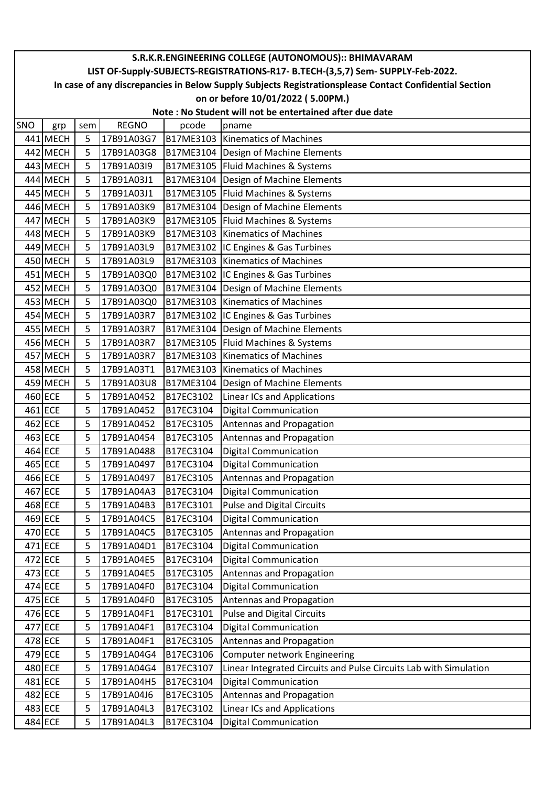|     | S.R.K.R.ENGINEERING COLLEGE (AUTONOMOUS):: BHIMAVARAM                                                  |     |              |           |                                                                   |  |  |  |  |  |  |
|-----|--------------------------------------------------------------------------------------------------------|-----|--------------|-----------|-------------------------------------------------------------------|--|--|--|--|--|--|
|     | LIST OF-Supply-SUBJECTS-REGISTRATIONS-R17- B.TECH-(3,5,7) Sem- SUPPLY-Feb-2022.                        |     |              |           |                                                                   |  |  |  |  |  |  |
|     | In case of any discrepancies in Below Supply Subjects Registrationsplease Contact Confidential Section |     |              |           |                                                                   |  |  |  |  |  |  |
|     |                                                                                                        |     |              |           | on or before 10/01/2022 (5.00PM.)                                 |  |  |  |  |  |  |
|     | Note: No Student will not be entertained after due date                                                |     |              |           |                                                                   |  |  |  |  |  |  |
| SNO | grp                                                                                                    | sem | <b>REGNO</b> | pcode     | pname                                                             |  |  |  |  |  |  |
|     | 441 MECH                                                                                               | 5   | 17B91A03G7   |           | B17ME3103 Kinematics of Machines                                  |  |  |  |  |  |  |
|     | 442 MECH                                                                                               | 5   | 17B91A03G8   |           | B17ME3104 Design of Machine Elements                              |  |  |  |  |  |  |
|     | 443 MECH                                                                                               | 5   | 17B91A03I9   |           | B17ME3105   Fluid Machines & Systems                              |  |  |  |  |  |  |
|     | 444 MECH                                                                                               | 5   | 17B91A03J1   |           | B17ME3104   Design of Machine Elements                            |  |  |  |  |  |  |
|     | 445 MECH                                                                                               | 5   | 17B91A03J1   |           | B17ME3105   Fluid Machines & Systems                              |  |  |  |  |  |  |
|     | 446 MECH                                                                                               | 5   | 17B91A03K9   |           | B17ME3104 Design of Machine Elements                              |  |  |  |  |  |  |
|     | 447 MECH                                                                                               | 5   | 17B91A03K9   |           | B17ME3105   Fluid Machines & Systems                              |  |  |  |  |  |  |
|     | 448 MECH                                                                                               | 5   | 17B91A03K9   |           | B17ME3103 Kinematics of Machines                                  |  |  |  |  |  |  |
|     | 449 MECH                                                                                               | 5   | 17B91A03L9   |           | B17ME3102 IC Engines & Gas Turbines                               |  |  |  |  |  |  |
|     | 450 MECH                                                                                               | 5   | 17B91A03L9   |           | B17ME3103 Kinematics of Machines                                  |  |  |  |  |  |  |
|     | 451 MECH                                                                                               | 5   | 17B91A03Q0   |           | B17ME3102 IC Engines & Gas Turbines                               |  |  |  |  |  |  |
|     | 452 MECH                                                                                               | 5   | 17B91A03Q0   |           | B17ME3104   Design of Machine Elements                            |  |  |  |  |  |  |
|     | 453 MECH                                                                                               | 5   | 17B91A03Q0   |           | B17ME3103 Kinematics of Machines                                  |  |  |  |  |  |  |
|     | 454 MECH                                                                                               | 5   | 17B91A03R7   |           | B17ME3102 IC Engines & Gas Turbines                               |  |  |  |  |  |  |
|     | 455 MECH                                                                                               | 5   | 17B91A03R7   |           | B17ME3104 Design of Machine Elements                              |  |  |  |  |  |  |
|     | 456 MECH                                                                                               | 5   | 17B91A03R7   |           | B17ME3105   Fluid Machines & Systems                              |  |  |  |  |  |  |
|     | 457 MECH                                                                                               | 5   | 17B91A03R7   |           | B17ME3103 Kinematics of Machines                                  |  |  |  |  |  |  |
|     | 458 MECH                                                                                               | 5   | 17B91A03T1   |           | B17ME3103 Kinematics of Machines                                  |  |  |  |  |  |  |
|     | 459 MECH                                                                                               | 5   | 17B91A03U8   | B17ME3104 | Design of Machine Elements                                        |  |  |  |  |  |  |
|     | 460 ECE                                                                                                | 5   | 17B91A0452   | B17EC3102 | <b>Linear ICs and Applications</b>                                |  |  |  |  |  |  |
|     | 461 ECE                                                                                                | 5   | 17B91A0452   | B17EC3104 | <b>Digital Communication</b>                                      |  |  |  |  |  |  |
|     | 462 ECE                                                                                                | 5   | 17B91A0452   | B17EC3105 | Antennas and Propagation                                          |  |  |  |  |  |  |
|     | 463 ECE                                                                                                | 5   | 17B91A0454   | B17EC3105 | Antennas and Propagation                                          |  |  |  |  |  |  |
|     | 464 ECE                                                                                                | 5   | 17B91A0488   | B17EC3104 | <b>Digital Communication</b>                                      |  |  |  |  |  |  |
|     | 465 ECE                                                                                                | 5   | 17B91A0497   | B17EC3104 | <b>Digital Communication</b>                                      |  |  |  |  |  |  |
|     | 466 ECE                                                                                                | 5   | 17B91A0497   | B17EC3105 | Antennas and Propagation                                          |  |  |  |  |  |  |
|     | 467 ECE                                                                                                | 5   | 17B91A04A3   | B17EC3104 | <b>Digital Communication</b>                                      |  |  |  |  |  |  |
|     | 468 ECE                                                                                                | 5   | 17B91A04B3   | B17EC3101 | <b>Pulse and Digital Circuits</b>                                 |  |  |  |  |  |  |
|     | 469 ECE                                                                                                | 5   | 17B91A04C5   | B17EC3104 | <b>Digital Communication</b>                                      |  |  |  |  |  |  |
|     | 470 ECE                                                                                                | 5   | 17B91A04C5   | B17EC3105 | Antennas and Propagation                                          |  |  |  |  |  |  |
|     | 471 ECE                                                                                                | 5   | 17B91A04D1   | B17EC3104 | <b>Digital Communication</b>                                      |  |  |  |  |  |  |
|     | 472 ECE                                                                                                | 5   | 17B91A04E5   | B17EC3104 | <b>Digital Communication</b>                                      |  |  |  |  |  |  |
|     | 473 ECE                                                                                                | 5   | 17B91A04E5   | B17EC3105 | Antennas and Propagation                                          |  |  |  |  |  |  |
|     | 474 ECE                                                                                                | 5   | 17B91A04F0   | B17EC3104 | <b>Digital Communication</b>                                      |  |  |  |  |  |  |
|     | 475 ECE                                                                                                | 5   | 17B91A04F0   | B17EC3105 | Antennas and Propagation                                          |  |  |  |  |  |  |
|     | 476 ECE                                                                                                | 5   | 17B91A04F1   | B17EC3101 | <b>Pulse and Digital Circuits</b>                                 |  |  |  |  |  |  |
|     | 477 ECE                                                                                                | 5   | 17B91A04F1   | B17EC3104 | <b>Digital Communication</b>                                      |  |  |  |  |  |  |
|     | 478 ECE                                                                                                | 5   | 17B91A04F1   | B17EC3105 | Antennas and Propagation                                          |  |  |  |  |  |  |
|     | 479 ECE                                                                                                | 5   | 17B91A04G4   | B17EC3106 | Computer network Engineering                                      |  |  |  |  |  |  |
|     | 480 ECE                                                                                                | 5   | 17B91A04G4   | B17EC3107 | Linear Integrated Circuits and Pulse Circuits Lab with Simulation |  |  |  |  |  |  |
|     | 481 ECE                                                                                                | 5   | 17B91A04H5   | B17EC3104 | <b>Digital Communication</b>                                      |  |  |  |  |  |  |
|     | 482 ECE                                                                                                | 5   | 17B91A04J6   | B17EC3105 | Antennas and Propagation                                          |  |  |  |  |  |  |
|     | 483 ECE                                                                                                | 5   | 17B91A04L3   | B17EC3102 | <b>Linear ICs and Applications</b>                                |  |  |  |  |  |  |
|     | 484 ECE                                                                                                | 5   | 17B91A04L3   | B17EC3104 | <b>Digital Communication</b>                                      |  |  |  |  |  |  |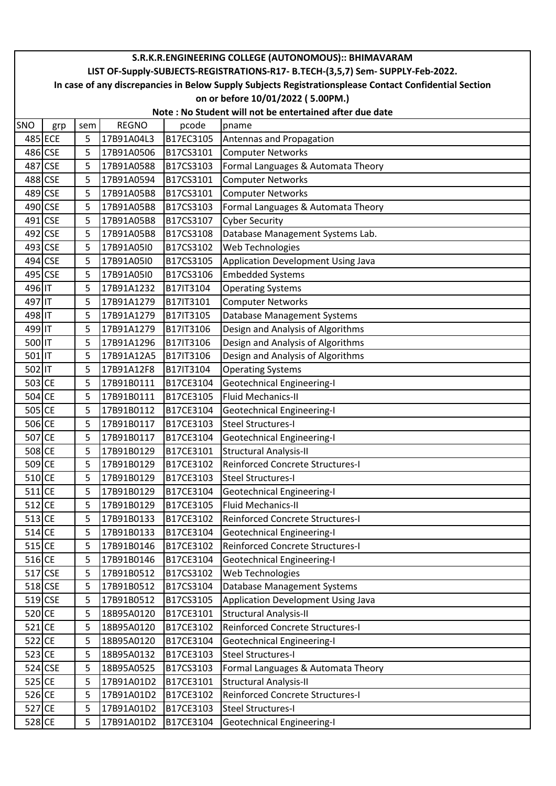|          | S.R.K.R.ENGINEERING COLLEGE (AUTONOMOUS):: BHIMAVARAM                                                  |     |              |           |                                    |  |  |  |  |  |  |
|----------|--------------------------------------------------------------------------------------------------------|-----|--------------|-----------|------------------------------------|--|--|--|--|--|--|
|          | LIST OF-Supply-SUBJECTS-REGISTRATIONS-R17- B.TECH-(3,5,7) Sem- SUPPLY-Feb-2022.                        |     |              |           |                                    |  |  |  |  |  |  |
|          | In case of any discrepancies in Below Supply Subjects Registrationsplease Contact Confidential Section |     |              |           |                                    |  |  |  |  |  |  |
|          |                                                                                                        |     |              |           | on or before 10/01/2022 (5.00PM.)  |  |  |  |  |  |  |
|          | Note: No Student will not be entertained after due date                                                |     |              |           |                                    |  |  |  |  |  |  |
| SNO      | grp                                                                                                    | sem | <b>REGNO</b> | pcode     | pname                              |  |  |  |  |  |  |
|          | 485 ECE                                                                                                | 5   | 17B91A04L3   | B17EC3105 | Antennas and Propagation           |  |  |  |  |  |  |
| 486 CSE  |                                                                                                        | 5   | 17B91A0506   | B17CS3101 | <b>Computer Networks</b>           |  |  |  |  |  |  |
| 487      | <b>CSE</b>                                                                                             | 5   | 17B91A0588   | B17CS3103 | Formal Languages & Automata Theory |  |  |  |  |  |  |
|          | 488 CSE                                                                                                | 5   | 17B91A0594   | B17CS3101 | <b>Computer Networks</b>           |  |  |  |  |  |  |
|          | 489 CSE                                                                                                | 5   | 17B91A05B8   | B17CS3101 | <b>Computer Networks</b>           |  |  |  |  |  |  |
|          | 490 CSE                                                                                                | 5   | 17B91A05B8   | B17CS3103 | Formal Languages & Automata Theory |  |  |  |  |  |  |
| 491 CSE  |                                                                                                        | 5   | 17B91A05B8   | B17CS3107 | <b>Cyber Security</b>              |  |  |  |  |  |  |
|          | 492 CSE                                                                                                | 5   | 17B91A05B8   | B17CS3108 | Database Management Systems Lab.   |  |  |  |  |  |  |
|          | 493 CSE                                                                                                | 5   | 17B91A05I0   | B17CS3102 | Web Technologies                   |  |  |  |  |  |  |
| 494      | <b>CSE</b>                                                                                             | 5   | 17B91A05I0   | B17CS3105 | Application Development Using Java |  |  |  |  |  |  |
|          | 495 CSE                                                                                                | 5   | 17B91A05I0   | B17CS3106 | <b>Embedded Systems</b>            |  |  |  |  |  |  |
| 496 IT   |                                                                                                        | 5   | 17B91A1232   | B17IT3104 | <b>Operating Systems</b>           |  |  |  |  |  |  |
| 497 IT   |                                                                                                        | 5   | 17B91A1279   | B17IT3101 | <b>Computer Networks</b>           |  |  |  |  |  |  |
| 498 IT   |                                                                                                        | 5   | 17B91A1279   | B17IT3105 | <b>Database Management Systems</b> |  |  |  |  |  |  |
| 499 IT   |                                                                                                        | 5   | 17B91A1279   | B17IT3106 | Design and Analysis of Algorithms  |  |  |  |  |  |  |
| 500 IT   |                                                                                                        | 5   | 17B91A1296   | B17IT3106 | Design and Analysis of Algorithms  |  |  |  |  |  |  |
| 501      |                                                                                                        | 5   | 17B91A12A5   | B17IT3106 | Design and Analysis of Algorithms  |  |  |  |  |  |  |
| 502 IT   |                                                                                                        | 5   | 17B91A12F8   | B17IT3104 | <b>Operating Systems</b>           |  |  |  |  |  |  |
| 503 CE   |                                                                                                        | 5   | 17B91B0111   | B17CE3104 | Geotechnical Engineering-I         |  |  |  |  |  |  |
| 504 CE   |                                                                                                        | 5   | 17B91B0111   | B17CE3105 | Fluid Mechanics-II                 |  |  |  |  |  |  |
| 505 CE   |                                                                                                        | 5   | 17B91B0112   | B17CE3104 | <b>Geotechnical Engineering-I</b>  |  |  |  |  |  |  |
| 506 CE   |                                                                                                        | 5   | 17B91B0117   | B17CE3103 | Steel Structures-I                 |  |  |  |  |  |  |
| 507 CE   |                                                                                                        | 5   | 17B91B0117   | B17CE3104 | Geotechnical Engineering-I         |  |  |  |  |  |  |
| 508 CE   |                                                                                                        | 5   | 17B91B0129   | B17CE3101 | <b>Structural Analysis-II</b>      |  |  |  |  |  |  |
| 509 CE   |                                                                                                        | 5   | 17B91B0129   | B17CE3102 | Reinforced Concrete Structures-I   |  |  |  |  |  |  |
| $510$ CE |                                                                                                        | 5   | 17B91B0129   | B17CE3103 | Steel Structures-I                 |  |  |  |  |  |  |
| $511$ CE |                                                                                                        | 5   | 17B91B0129   | B17CE3104 | Geotechnical Engineering-I         |  |  |  |  |  |  |
| $512$ CE |                                                                                                        | 5   | 17B91B0129   | B17CE3105 | Fluid Mechanics-II                 |  |  |  |  |  |  |
| $513$ CE |                                                                                                        | 5   | 17B91B0133   | B17CE3102 | Reinforced Concrete Structures-I   |  |  |  |  |  |  |
| $514$ CE |                                                                                                        | 5   | 17B91B0133   | B17CE3104 | Geotechnical Engineering-I         |  |  |  |  |  |  |
| $515$ CE |                                                                                                        | 5   | 17B91B0146   | B17CE3102 | Reinforced Concrete Structures-I   |  |  |  |  |  |  |
| 516 CE   |                                                                                                        | 5   | 17B91B0146   | B17CE3104 | Geotechnical Engineering-I         |  |  |  |  |  |  |
|          | 517 CSE                                                                                                | 5   | 17B91B0512   | B17CS3102 | Web Technologies                   |  |  |  |  |  |  |
|          | 518 CSE                                                                                                | 5   | 17B91B0512   | B17CS3104 | Database Management Systems        |  |  |  |  |  |  |
|          | 519 CSE                                                                                                | 5   | 17B91B0512   | B17CS3105 | Application Development Using Java |  |  |  |  |  |  |
| 520 CE   |                                                                                                        | 5   | 18B95A0120   | B17CE3101 | <b>Structural Analysis-II</b>      |  |  |  |  |  |  |
| $521$ CE |                                                                                                        | 5   | 18B95A0120   | B17CE3102 | Reinforced Concrete Structures-I   |  |  |  |  |  |  |
| 522 CE   |                                                                                                        | 5   | 18B95A0120   | B17CE3104 | <b>Geotechnical Engineering-I</b>  |  |  |  |  |  |  |
| 523 CE   |                                                                                                        | 5   | 18B95A0132   | B17CE3103 | Steel Structures-I                 |  |  |  |  |  |  |
|          | 524 CSE                                                                                                | 5   | 18B95A0525   | B17CS3103 | Formal Languages & Automata Theory |  |  |  |  |  |  |
| $525$ CE |                                                                                                        | 5   | 17B91A01D2   | B17CE3101 | <b>Structural Analysis-II</b>      |  |  |  |  |  |  |
| 526 CE   |                                                                                                        | 5   | 17B91A01D2   | B17CE3102 | Reinforced Concrete Structures-I   |  |  |  |  |  |  |
| 527 CE   |                                                                                                        | 5   | 17B91A01D2   | B17CE3103 | <b>Steel Structures-I</b>          |  |  |  |  |  |  |
| 528 CE   |                                                                                                        | 5   | 17B91A01D2   | B17CE3104 | Geotechnical Engineering-I         |  |  |  |  |  |  |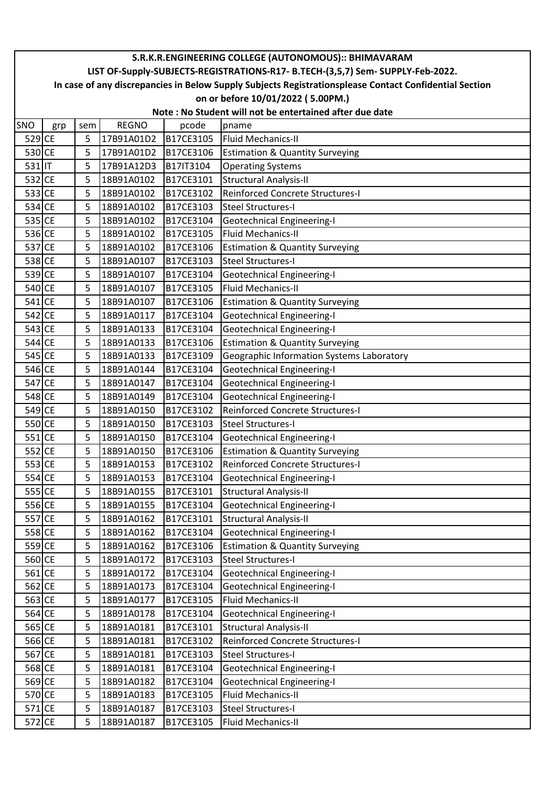| S.R.K.R.ENGINEERING COLLEGE (AUTONOMOUS):: BHIMAVARAM |                                                                                                        |     |              |           |                                            |  |  |  |  |  |
|-------------------------------------------------------|--------------------------------------------------------------------------------------------------------|-----|--------------|-----------|--------------------------------------------|--|--|--|--|--|
|                                                       | LIST OF-Supply-SUBJECTS-REGISTRATIONS-R17- B.TECH-(3,5,7) Sem- SUPPLY-Feb-2022.                        |     |              |           |                                            |  |  |  |  |  |
|                                                       | In case of any discrepancies in Below Supply Subjects Registrationsplease Contact Confidential Section |     |              |           |                                            |  |  |  |  |  |
|                                                       | on or before 10/01/2022 (5.00PM.)                                                                      |     |              |           |                                            |  |  |  |  |  |
|                                                       | Note: No Student will not be entertained after due date                                                |     |              |           |                                            |  |  |  |  |  |
| SNO                                                   | grp                                                                                                    | sem | <b>REGNO</b> | pcode     | pname                                      |  |  |  |  |  |
| 529 CE                                                |                                                                                                        | 5   | 17B91A01D2   | B17CE3105 | Fluid Mechanics-II                         |  |  |  |  |  |
| 530 CE                                                |                                                                                                        | 5   | 17B91A01D2   | B17CE3106 | <b>Estimation &amp; Quantity Surveying</b> |  |  |  |  |  |
| 531 IT                                                |                                                                                                        | 5   | 17B91A12D3   | B17IT3104 | <b>Operating Systems</b>                   |  |  |  |  |  |
| 532 CE                                                |                                                                                                        | 5   | 18B91A0102   | B17CE3101 | <b>Structural Analysis-II</b>              |  |  |  |  |  |
| 533 CE                                                |                                                                                                        | 5   | 18B91A0102   | B17CE3102 | <b>Reinforced Concrete Structures-I</b>    |  |  |  |  |  |
| 534 CE                                                |                                                                                                        | 5   | 18B91A0102   | B17CE3103 | <b>Steel Structures-I</b>                  |  |  |  |  |  |
| 535 CE                                                |                                                                                                        | 5   | 18B91A0102   | B17CE3104 | <b>Geotechnical Engineering-I</b>          |  |  |  |  |  |
| 536 CE                                                |                                                                                                        | 5   | 18B91A0102   | B17CE3105 | <b>Fluid Mechanics-II</b>                  |  |  |  |  |  |
| 537 CE                                                |                                                                                                        | 5   | 18B91A0102   | B17CE3106 | <b>Estimation &amp; Quantity Surveying</b> |  |  |  |  |  |
| 538 CE                                                |                                                                                                        | 5   | 18B91A0107   | B17CE3103 | Steel Structures-I                         |  |  |  |  |  |
| 539 CE                                                |                                                                                                        | 5   | 18B91A0107   | B17CE3104 | Geotechnical Engineering-I                 |  |  |  |  |  |
| 540 CE                                                |                                                                                                        | 5   | 18B91A0107   | B17CE3105 | <b>Fluid Mechanics-II</b>                  |  |  |  |  |  |
| 541 CE                                                |                                                                                                        | 5   | 18B91A0107   | B17CE3106 | <b>Estimation &amp; Quantity Surveying</b> |  |  |  |  |  |
| 542 CE                                                |                                                                                                        | 5   | 18B91A0117   | B17CE3104 | <b>Geotechnical Engineering-I</b>          |  |  |  |  |  |
| 543 CE                                                |                                                                                                        | 5   | 18B91A0133   | B17CE3104 | <b>Geotechnical Engineering-I</b>          |  |  |  |  |  |
| 544 CE                                                |                                                                                                        | 5   | 18B91A0133   | B17CE3106 | <b>Estimation &amp; Quantity Surveying</b> |  |  |  |  |  |
| 545 CE                                                |                                                                                                        | 5   | 18B91A0133   | B17CE3109 | Geographic Information Systems Laboratory  |  |  |  |  |  |
| 546 CE                                                |                                                                                                        | 5   | 18B91A0144   | B17CE3104 | <b>Geotechnical Engineering-I</b>          |  |  |  |  |  |
| 547 CE                                                |                                                                                                        | 5   | 18B91A0147   | B17CE3104 | <b>Geotechnical Engineering-I</b>          |  |  |  |  |  |
| 548 CE                                                |                                                                                                        | 5   | 18B91A0149   | B17CE3104 | <b>Geotechnical Engineering-I</b>          |  |  |  |  |  |
| 549 CE                                                |                                                                                                        | 5   | 18B91A0150   | B17CE3102 | Reinforced Concrete Structures-I           |  |  |  |  |  |
| 550 CE                                                |                                                                                                        | 5   | 18B91A0150   | B17CE3103 | <b>Steel Structures-I</b>                  |  |  |  |  |  |
| $551$ CE                                              |                                                                                                        | 5   | 18B91A0150   | B17CE3104 | <b>Geotechnical Engineering-I</b>          |  |  |  |  |  |
| 552 CE                                                |                                                                                                        | 5   | 18B91A0150   | B17CE3106 | <b>Estimation &amp; Quantity Surveying</b> |  |  |  |  |  |
| 553 CE                                                |                                                                                                        | 5   | 18B91A0153   | B17CE3102 | <b>Reinforced Concrete Structures-I</b>    |  |  |  |  |  |
| 554 CE                                                |                                                                                                        | 5   | 18B91A0153   | B17CE3104 | <b>Geotechnical Engineering-I</b>          |  |  |  |  |  |
| 555 CE                                                |                                                                                                        | 5   | 18B91A0155   | B17CE3101 | <b>Structural Analysis-II</b>              |  |  |  |  |  |
| 556 CE                                                |                                                                                                        | 5   | 18B91A0155   | B17CE3104 | <b>Geotechnical Engineering-I</b>          |  |  |  |  |  |
| 557 CE                                                |                                                                                                        | 5   | 18B91A0162   | B17CE3101 | <b>Structural Analysis-II</b>              |  |  |  |  |  |
| 558 CE                                                |                                                                                                        | 5   | 18B91A0162   | B17CE3104 | <b>Geotechnical Engineering-I</b>          |  |  |  |  |  |
| 559 CE                                                |                                                                                                        | 5   | 18B91A0162   | B17CE3106 | <b>Estimation &amp; Quantity Surveying</b> |  |  |  |  |  |
| 560 CE                                                |                                                                                                        | 5   | 18B91A0172   | B17CE3103 | <b>Steel Structures-I</b>                  |  |  |  |  |  |
| $561$ CE                                              |                                                                                                        | 5   | 18B91A0172   | B17CE3104 | <b>Geotechnical Engineering-I</b>          |  |  |  |  |  |
| 562 CE                                                |                                                                                                        | 5   | 18B91A0173   | B17CE3104 | <b>Geotechnical Engineering-I</b>          |  |  |  |  |  |
| 563 CE                                                |                                                                                                        | 5   | 18B91A0177   | B17CE3105 | <b>Fluid Mechanics-II</b>                  |  |  |  |  |  |
| 564 CE                                                |                                                                                                        | 5   | 18B91A0178   | B17CE3104 | <b>Geotechnical Engineering-I</b>          |  |  |  |  |  |
| 565 CE                                                |                                                                                                        | 5   | 18B91A0181   | B17CE3101 | <b>Structural Analysis-II</b>              |  |  |  |  |  |
| 566 CE                                                |                                                                                                        | 5   | 18B91A0181   | B17CE3102 | Reinforced Concrete Structures-I           |  |  |  |  |  |
| 567 CE                                                |                                                                                                        | 5   | 18B91A0181   | B17CE3103 | <b>Steel Structures-I</b>                  |  |  |  |  |  |
| 568 CE                                                |                                                                                                        | 5   | 18B91A0181   | B17CE3104 | <b>Geotechnical Engineering-I</b>          |  |  |  |  |  |
| 569 CE                                                |                                                                                                        | 5   | 18B91A0182   | B17CE3104 | <b>Geotechnical Engineering-I</b>          |  |  |  |  |  |
| 570 CE                                                |                                                                                                        | 5   | 18B91A0183   | B17CE3105 | Fluid Mechanics-II                         |  |  |  |  |  |
| $571$ CE                                              |                                                                                                        | 5   | 18B91A0187   | B17CE3103 | <b>Steel Structures-I</b>                  |  |  |  |  |  |
| 572 CE                                                |                                                                                                        | 5   | 18B91A0187   | B17CE3105 | Fluid Mechanics-II                         |  |  |  |  |  |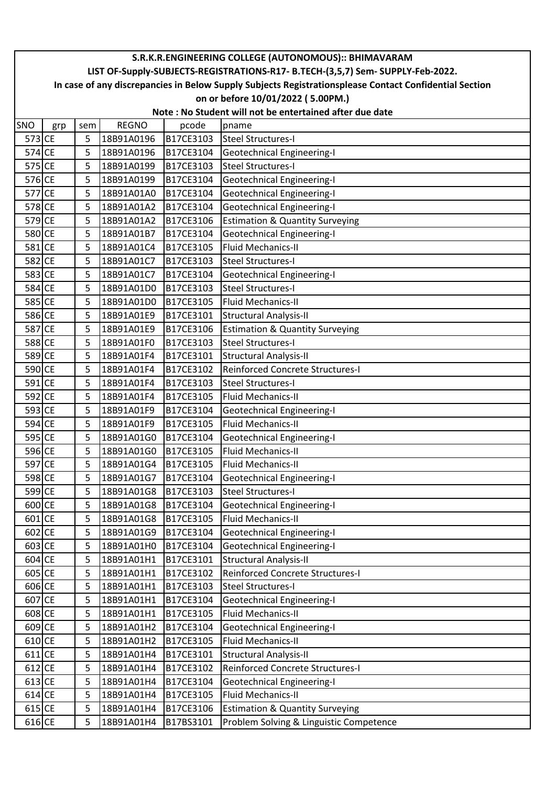| S.R.K.R.ENGINEERING COLLEGE (AUTONOMOUS):: BHIMAVARAM |                                                                                                        |     |              |           |                                            |  |  |  |  |  |
|-------------------------------------------------------|--------------------------------------------------------------------------------------------------------|-----|--------------|-----------|--------------------------------------------|--|--|--|--|--|
|                                                       | LIST OF-Supply-SUBJECTS-REGISTRATIONS-R17- B.TECH-(3,5,7) Sem- SUPPLY-Feb-2022.                        |     |              |           |                                            |  |  |  |  |  |
|                                                       | In case of any discrepancies in Below Supply Subjects Registrationsplease Contact Confidential Section |     |              |           |                                            |  |  |  |  |  |
|                                                       | on or before 10/01/2022 (5.00PM.)                                                                      |     |              |           |                                            |  |  |  |  |  |
|                                                       | Note: No Student will not be entertained after due date                                                |     |              |           |                                            |  |  |  |  |  |
| SNO                                                   | grp                                                                                                    | sem | <b>REGNO</b> | pcode     | pname                                      |  |  |  |  |  |
| 573 CE                                                |                                                                                                        | 5   | 18B91A0196   | B17CE3103 | Steel Structures-I                         |  |  |  |  |  |
| 574 CE                                                |                                                                                                        | 5   | 18B91A0196   | B17CE3104 | Geotechnical Engineering-I                 |  |  |  |  |  |
| 575 CE                                                |                                                                                                        | 5   | 18B91A0199   | B17CE3103 | Steel Structures-I                         |  |  |  |  |  |
| 576 CE                                                |                                                                                                        | 5   | 18B91A0199   | B17CE3104 | <b>Geotechnical Engineering-I</b>          |  |  |  |  |  |
| 577 CE                                                |                                                                                                        | 5   | 18B91A01A0   | B17CE3104 | <b>Geotechnical Engineering-I</b>          |  |  |  |  |  |
| 578 CE                                                |                                                                                                        | 5   | 18B91A01A2   | B17CE3104 | Geotechnical Engineering-I                 |  |  |  |  |  |
| 579 CE                                                |                                                                                                        | 5   | 18B91A01A2   | B17CE3106 | <b>Estimation &amp; Quantity Surveying</b> |  |  |  |  |  |
| 580 CE                                                |                                                                                                        | 5   | 18B91A01B7   | B17CE3104 | Geotechnical Engineering-I                 |  |  |  |  |  |
| 581 CE                                                |                                                                                                        | 5   | 18B91A01C4   | B17CE3105 | <b>Fluid Mechanics-II</b>                  |  |  |  |  |  |
| 582 CE                                                |                                                                                                        | 5   | 18B91A01C7   | B17CE3103 | <b>Steel Structures-I</b>                  |  |  |  |  |  |
| 583 CE                                                |                                                                                                        | 5   | 18B91A01C7   | B17CE3104 | Geotechnical Engineering-I                 |  |  |  |  |  |
| 584 CE                                                |                                                                                                        | 5   | 18B91A01D0   | B17CE3103 | <b>Steel Structures-I</b>                  |  |  |  |  |  |
| 585 CE                                                |                                                                                                        | 5   | 18B91A01D0   | B17CE3105 | Fluid Mechanics-II                         |  |  |  |  |  |
| 586 CE                                                |                                                                                                        | 5   | 18B91A01E9   | B17CE3101 | <b>Structural Analysis-II</b>              |  |  |  |  |  |
| 587 CE                                                |                                                                                                        | 5   | 18B91A01E9   | B17CE3106 | <b>Estimation &amp; Quantity Surveying</b> |  |  |  |  |  |
| 588 CE                                                |                                                                                                        | 5   | 18B91A01F0   | B17CE3103 | <b>Steel Structures-I</b>                  |  |  |  |  |  |
| 589 CE                                                |                                                                                                        | 5   | 18B91A01F4   | B17CE3101 | <b>Structural Analysis-II</b>              |  |  |  |  |  |
| 590 CE                                                |                                                                                                        | 5   | 18B91A01F4   | B17CE3102 | Reinforced Concrete Structures-I           |  |  |  |  |  |
| 591 CE                                                |                                                                                                        | 5   | 18B91A01F4   | B17CE3103 | <b>Steel Structures-I</b>                  |  |  |  |  |  |
| 592 CE                                                |                                                                                                        | 5   | 18B91A01F4   | B17CE3105 | <b>Fluid Mechanics-II</b>                  |  |  |  |  |  |
| 593 CE                                                |                                                                                                        | 5   | 18B91A01F9   | B17CE3104 | <b>Geotechnical Engineering-I</b>          |  |  |  |  |  |
| 594 CE                                                |                                                                                                        | 5   | 18B91A01F9   | B17CE3105 | <b>Fluid Mechanics-II</b>                  |  |  |  |  |  |
| 595 CE                                                |                                                                                                        | 5   | 18B91A01G0   | B17CE3104 | <b>Geotechnical Engineering-I</b>          |  |  |  |  |  |
| 596 CE                                                |                                                                                                        | 5   | 18B91A01G0   | B17CE3105 | <b>Fluid Mechanics-II</b>                  |  |  |  |  |  |
| 597 CE                                                |                                                                                                        | 5   | 18B91A01G4   | B17CE3105 | <b>Fluid Mechanics-II</b>                  |  |  |  |  |  |
| 598 CE                                                |                                                                                                        | 5   | 18B91A01G7   | B17CE3104 | <b>Geotechnical Engineering-I</b>          |  |  |  |  |  |
| 599 CE                                                |                                                                                                        | 5   | 18B91A01G8   | B17CE3103 | <b>Steel Structures-I</b>                  |  |  |  |  |  |
| 600 CE                                                |                                                                                                        | 5   | 18B91A01G8   | B17CE3104 | <b>Geotechnical Engineering-I</b>          |  |  |  |  |  |
| 601 CE                                                |                                                                                                        | 5   | 18B91A01G8   | B17CE3105 | <b>Fluid Mechanics-II</b>                  |  |  |  |  |  |
| 602 CE                                                |                                                                                                        | 5   | 18B91A01G9   | B17CE3104 | <b>Geotechnical Engineering-I</b>          |  |  |  |  |  |
| 603 CE                                                |                                                                                                        | 5   | 18B91A01H0   | B17CE3104 | <b>Geotechnical Engineering-I</b>          |  |  |  |  |  |
| $604$ CE                                              |                                                                                                        | 5   | 18B91A01H1   | B17CE3101 | <b>Structural Analysis-II</b>              |  |  |  |  |  |
| 605 CE                                                |                                                                                                        | 5   | 18B91A01H1   | B17CE3102 | Reinforced Concrete Structures-I           |  |  |  |  |  |
| 606 CE                                                |                                                                                                        | 5   | 18B91A01H1   | B17CE3103 | <b>Steel Structures-I</b>                  |  |  |  |  |  |
| 607 CE                                                |                                                                                                        | 5   | 18B91A01H1   | B17CE3104 | <b>Geotechnical Engineering-I</b>          |  |  |  |  |  |
| 608 CE                                                |                                                                                                        | 5   | 18B91A01H1   | B17CE3105 | <b>Fluid Mechanics-II</b>                  |  |  |  |  |  |
| 609 CE                                                |                                                                                                        | 5   | 18B91A01H2   | B17CE3104 | <b>Geotechnical Engineering-I</b>          |  |  |  |  |  |
| 610 CE                                                |                                                                                                        | 5   | 18B91A01H2   | B17CE3105 | <b>Fluid Mechanics-II</b>                  |  |  |  |  |  |
| $611$ CE                                              |                                                                                                        | 5   | 18B91A01H4   | B17CE3101 | Structural Analysis-II                     |  |  |  |  |  |
| 612 CE                                                |                                                                                                        | 5   | 18B91A01H4   | B17CE3102 | Reinforced Concrete Structures-I           |  |  |  |  |  |
| 613 CE                                                |                                                                                                        | 5   | 18B91A01H4   | B17CE3104 | <b>Geotechnical Engineering-I</b>          |  |  |  |  |  |
| 614 CE                                                |                                                                                                        | 5   | 18B91A01H4   | B17CE3105 | <b>Fluid Mechanics-II</b>                  |  |  |  |  |  |
| 615 CE                                                |                                                                                                        | 5   | 18B91A01H4   | B17CE3106 | <b>Estimation &amp; Quantity Surveying</b> |  |  |  |  |  |
| 616 CE                                                |                                                                                                        | 5   | 18B91A01H4   | B17BS3101 | Problem Solving & Linguistic Competence    |  |  |  |  |  |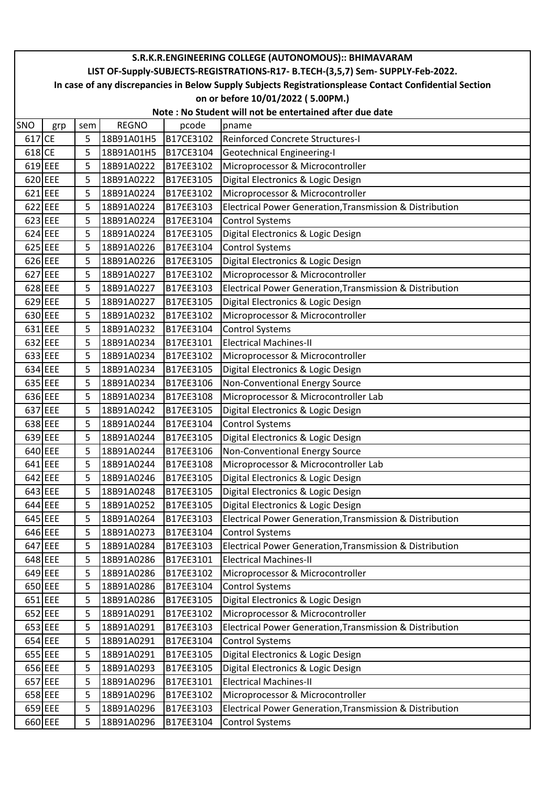|        | S.R.K.R.ENGINEERING COLLEGE (AUTONOMOUS):: BHIMAVARAM                                                  |     |              |           |                                                                                 |  |  |  |  |  |
|--------|--------------------------------------------------------------------------------------------------------|-----|--------------|-----------|---------------------------------------------------------------------------------|--|--|--|--|--|
|        |                                                                                                        |     |              |           | LIST OF-Supply-SUBJECTS-REGISTRATIONS-R17- B.TECH-(3,5,7) Sem- SUPPLY-Feb-2022. |  |  |  |  |  |
|        | In case of any discrepancies in Below Supply Subjects Registrationsplease Contact Confidential Section |     |              |           |                                                                                 |  |  |  |  |  |
|        | on or before 10/01/2022 (5.00PM.)                                                                      |     |              |           |                                                                                 |  |  |  |  |  |
|        | Note: No Student will not be entertained after due date                                                |     |              |           |                                                                                 |  |  |  |  |  |
| SNO    | grp                                                                                                    | sem | <b>REGNO</b> | pcode     | pname                                                                           |  |  |  |  |  |
| 617 CE |                                                                                                        | 5   | 18B91A01H5   | B17CE3102 | Reinforced Concrete Structures-I                                                |  |  |  |  |  |
| 618 CE |                                                                                                        | 5   | 18B91A01H5   | B17CE3104 | Geotechnical Engineering-I                                                      |  |  |  |  |  |
|        | 619 EEE                                                                                                | 5   | 18B91A0222   | B17EE3102 | Microprocessor & Microcontroller                                                |  |  |  |  |  |
|        | 620 EEE                                                                                                | 5   | 18B91A0222   | B17EE3105 | Digital Electronics & Logic Design                                              |  |  |  |  |  |
|        | $621$ EEE                                                                                              | 5   | 18B91A0224   | B17EE3102 | Microprocessor & Microcontroller                                                |  |  |  |  |  |
|        | $622$ EEE                                                                                              | 5   | 18B91A0224   | B17EE3103 | Electrical Power Generation, Transmission & Distribution                        |  |  |  |  |  |
|        | 623 EEE                                                                                                | 5   | 18B91A0224   | B17EE3104 | <b>Control Systems</b>                                                          |  |  |  |  |  |
|        | $624$ EEE                                                                                              | 5   | 18B91A0224   | B17EE3105 | Digital Electronics & Logic Design                                              |  |  |  |  |  |
|        | 625 EEE                                                                                                | 5   | 18B91A0226   | B17EE3104 | <b>Control Systems</b>                                                          |  |  |  |  |  |
|        | 626 EEE                                                                                                | 5   | 18B91A0226   | B17EE3105 | Digital Electronics & Logic Design                                              |  |  |  |  |  |
|        | 627 EEE                                                                                                | 5   | 18B91A0227   | B17EE3102 | Microprocessor & Microcontroller                                                |  |  |  |  |  |
|        | $628$ EEE                                                                                              | 5   | 18B91A0227   | B17EE3103 | Electrical Power Generation, Transmission & Distribution                        |  |  |  |  |  |
|        | 629 EEE                                                                                                | 5   | 18B91A0227   | B17EE3105 | Digital Electronics & Logic Design                                              |  |  |  |  |  |
|        | 630 EEE                                                                                                | 5   | 18B91A0232   | B17EE3102 | Microprocessor & Microcontroller                                                |  |  |  |  |  |
|        | 631 EEE                                                                                                | 5   | 18B91A0232   | B17EE3104 | <b>Control Systems</b>                                                          |  |  |  |  |  |
|        | 632 EEE                                                                                                | 5   | 18B91A0234   | B17EE3101 | <b>Electrical Machines-II</b>                                                   |  |  |  |  |  |
|        | 633 EEE                                                                                                | 5   | 18B91A0234   | B17EE3102 | Microprocessor & Microcontroller                                                |  |  |  |  |  |
|        | 634 EEE                                                                                                | 5   | 18B91A0234   | B17EE3105 | Digital Electronics & Logic Design                                              |  |  |  |  |  |
|        | 635 EEE                                                                                                | 5   | 18B91A0234   | B17EE3106 | Non-Conventional Energy Source                                                  |  |  |  |  |  |
|        | 636 EEE                                                                                                | 5   | 18B91A0234   | B17EE3108 | Microprocessor & Microcontroller Lab                                            |  |  |  |  |  |
|        | 637 EEE                                                                                                | 5   | 18B91A0242   | B17EE3105 | Digital Electronics & Logic Design                                              |  |  |  |  |  |
|        | 638 EEE                                                                                                | 5   | 18B91A0244   | B17EE3104 | <b>Control Systems</b>                                                          |  |  |  |  |  |
|        | 639 EEE                                                                                                | 5   | 18B91A0244   | B17EE3105 | Digital Electronics & Logic Design                                              |  |  |  |  |  |
|        | 640 EEE                                                                                                | 5   | 18B91A0244   | B17EE3106 | Non-Conventional Energy Source                                                  |  |  |  |  |  |
|        | 641 EEE                                                                                                | 5   | 18B91A0244   | B17EE3108 | Microprocessor & Microcontroller Lab                                            |  |  |  |  |  |
|        | 642 EEE                                                                                                | 5   | 18B91A0246   | B17EE3105 | Digital Electronics & Logic Design                                              |  |  |  |  |  |
|        | 643 EEE                                                                                                | 5   | 18B91A0248   | B17EE3105 | Digital Electronics & Logic Design                                              |  |  |  |  |  |
|        | 644 EEE                                                                                                | 5   | 18B91A0252   | B17EE3105 | Digital Electronics & Logic Design                                              |  |  |  |  |  |
|        | 645 EEE                                                                                                | 5   | 18B91A0264   | B17EE3103 | Electrical Power Generation, Transmission & Distribution                        |  |  |  |  |  |
|        | 646 EEE                                                                                                | 5   | 18B91A0273   | B17EE3104 | <b>Control Systems</b>                                                          |  |  |  |  |  |
|        | 647 EEE                                                                                                | 5   | 18B91A0284   | B17EE3103 | Electrical Power Generation, Transmission & Distribution                        |  |  |  |  |  |
|        | 648 EEE                                                                                                | 5   | 18B91A0286   | B17EE3101 | <b>Electrical Machines-II</b>                                                   |  |  |  |  |  |
|        | 649 EEE                                                                                                | 5   | 18B91A0286   | B17EE3102 | Microprocessor & Microcontroller                                                |  |  |  |  |  |
|        | 650 EEE                                                                                                | 5   | 18B91A0286   | B17EE3104 | <b>Control Systems</b>                                                          |  |  |  |  |  |
|        | 651 EEE                                                                                                | 5   | 18B91A0286   | B17EE3105 | Digital Electronics & Logic Design                                              |  |  |  |  |  |
|        | 652 EEE                                                                                                | 5   | 18B91A0291   | B17EE3102 | Microprocessor & Microcontroller                                                |  |  |  |  |  |
|        | 653 EEE                                                                                                | 5   | 18B91A0291   | B17EE3103 | Electrical Power Generation, Transmission & Distribution                        |  |  |  |  |  |
|        | 654 EEE                                                                                                | 5   | 18B91A0291   | B17EE3104 | <b>Control Systems</b>                                                          |  |  |  |  |  |
|        | 655 EEE                                                                                                | 5   | 18B91A0291   | B17EE3105 | Digital Electronics & Logic Design                                              |  |  |  |  |  |
|        | 656 EEE                                                                                                | 5   | 18B91A0293   | B17EE3105 | Digital Electronics & Logic Design                                              |  |  |  |  |  |
|        | 657 EEE                                                                                                | 5   | 18B91A0296   | B17EE3101 | <b>Electrical Machines-II</b>                                                   |  |  |  |  |  |
|        | 658 EEE                                                                                                | 5   | 18B91A0296   | B17EE3102 | Microprocessor & Microcontroller                                                |  |  |  |  |  |
|        | 659 EEE                                                                                                | 5   | 18B91A0296   | B17EE3103 | Electrical Power Generation, Transmission & Distribution                        |  |  |  |  |  |
|        | 660 EEE                                                                                                | 5   | 18B91A0296   | B17EE3104 | <b>Control Systems</b>                                                          |  |  |  |  |  |
|        |                                                                                                        |     |              |           |                                                                                 |  |  |  |  |  |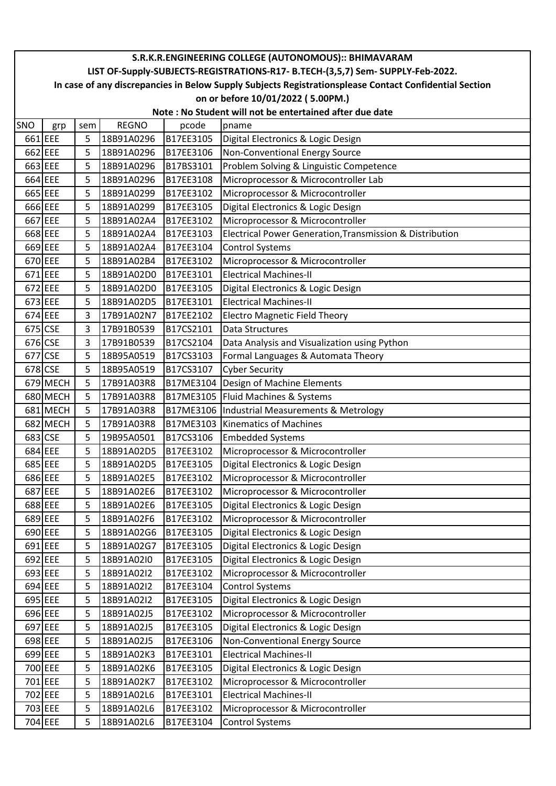|         | S.R.K.R.ENGINEERING COLLEGE (AUTONOMOUS):: BHIMAVARAM                                                  |     |              |           |                                                          |  |  |  |  |  |
|---------|--------------------------------------------------------------------------------------------------------|-----|--------------|-----------|----------------------------------------------------------|--|--|--|--|--|
|         | LIST OF-Supply-SUBJECTS-REGISTRATIONS-R17- B.TECH-(3,5,7) Sem- SUPPLY-Feb-2022.                        |     |              |           |                                                          |  |  |  |  |  |
|         | In case of any discrepancies in Below Supply Subjects Registrationsplease Contact Confidential Section |     |              |           |                                                          |  |  |  |  |  |
|         | on or before 10/01/2022 (5.00PM.)                                                                      |     |              |           |                                                          |  |  |  |  |  |
|         | Note: No Student will not be entertained after due date                                                |     |              |           |                                                          |  |  |  |  |  |
| SNO     | grp                                                                                                    | sem | <b>REGNO</b> | pcode     | pname                                                    |  |  |  |  |  |
| 661 EEE |                                                                                                        | 5   | 18B91A0296   | B17EE3105 | Digital Electronics & Logic Design                       |  |  |  |  |  |
| 662 EEE |                                                                                                        | 5   | 18B91A0296   | B17EE3106 | Non-Conventional Energy Source                           |  |  |  |  |  |
| 663 EEE |                                                                                                        | 5   | 18B91A0296   | B17BS3101 | Problem Solving & Linguistic Competence                  |  |  |  |  |  |
| 664 EEE |                                                                                                        | 5   | 18B91A0296   | B17EE3108 | Microprocessor & Microcontroller Lab                     |  |  |  |  |  |
| 665 EEE |                                                                                                        | 5   | 18B91A0299   | B17EE3102 | Microprocessor & Microcontroller                         |  |  |  |  |  |
| 666 EEE |                                                                                                        | 5   | 18B91A0299   | B17EE3105 | Digital Electronics & Logic Design                       |  |  |  |  |  |
| 667 EEE |                                                                                                        | 5   | 18B91A02A4   | B17EE3102 | Microprocessor & Microcontroller                         |  |  |  |  |  |
| 668 EEE |                                                                                                        | 5   | 18B91A02A4   | B17EE3103 | Electrical Power Generation, Transmission & Distribution |  |  |  |  |  |
| 669 EEE |                                                                                                        | 5   | 18B91A02A4   | B17EE3104 | <b>Control Systems</b>                                   |  |  |  |  |  |
| 670 EEE |                                                                                                        | 5   | 18B91A02B4   | B17EE3102 | Microprocessor & Microcontroller                         |  |  |  |  |  |
| 671 EEE |                                                                                                        | 5   | 18B91A02D0   | B17EE3101 | <b>Electrical Machines-II</b>                            |  |  |  |  |  |
| 672 EEE |                                                                                                        | 5   | 18B91A02D0   | B17EE3105 | Digital Electronics & Logic Design                       |  |  |  |  |  |
| 673 EEE |                                                                                                        | 5   | 18B91A02D5   | B17EE3101 | <b>Electrical Machines-II</b>                            |  |  |  |  |  |
| 674 EEE |                                                                                                        | 3   | 17B91A02N7   | B17EE2102 | <b>Electro Magnetic Field Theory</b>                     |  |  |  |  |  |
|         | 675 CSE                                                                                                | 3   | 17B91B0539   | B17CS2101 | <b>Data Structures</b>                                   |  |  |  |  |  |
| 676 CSE |                                                                                                        | 3   | 17B91B0539   | B17CS2104 | Data Analysis and Visualization using Python             |  |  |  |  |  |
| 677 CSE |                                                                                                        | 5   | 18B95A0519   | B17CS3103 | Formal Languages & Automata Theory                       |  |  |  |  |  |
| 678 CSE |                                                                                                        | 5   | 18B95A0519   | B17CS3107 | <b>Cyber Security</b>                                    |  |  |  |  |  |
|         | 679 MECH                                                                                               | 5   | 17B91A03R8   |           | B17ME3104   Design of Machine Elements                   |  |  |  |  |  |
|         | 680 MECH                                                                                               | 5   | 17B91A03R8   |           | B17ME3105   Fluid Machines & Systems                     |  |  |  |  |  |
|         | 681 MECH                                                                                               | 5   | 17B91A03R8   |           | B17ME3106  Industrial Measurements & Metrology           |  |  |  |  |  |
|         | 682 MECH                                                                                               | 5   | 17B91A03R8   |           | B17ME3103 Kinematics of Machines                         |  |  |  |  |  |
| 683 CSE |                                                                                                        | 5   | 19B95A0501   | B17CS3106 | <b>Embedded Systems</b>                                  |  |  |  |  |  |
| 684 EEE |                                                                                                        | 5   | 18B91A02D5   | B17EE3102 | Microprocessor & Microcontroller                         |  |  |  |  |  |
|         | 685 EEE                                                                                                | 5   | 18B91A02D5   | B17EE3105 | Digital Electronics & Logic Design                       |  |  |  |  |  |
| 686 EEE |                                                                                                        | 5   | 18B91A02E5   | B17EE3102 | Microprocessor & Microcontroller                         |  |  |  |  |  |
|         | 687 EEE                                                                                                | 5   | 18B91A02E6   | B17EE3102 | Microprocessor & Microcontroller                         |  |  |  |  |  |
| 688 EEE |                                                                                                        | 5   | 18B91A02E6   | B17EE3105 | Digital Electronics & Logic Design                       |  |  |  |  |  |
|         | 689 EEE                                                                                                | 5   | 18B91A02F6   | B17EE3102 | Microprocessor & Microcontroller                         |  |  |  |  |  |
| 690 EEE |                                                                                                        | 5   | 18B91A02G6   | B17EE3105 | Digital Electronics & Logic Design                       |  |  |  |  |  |
| 691 EEE |                                                                                                        | 5   | 18B91A02G7   | B17EE3105 | Digital Electronics & Logic Design                       |  |  |  |  |  |
|         | 692 EEE                                                                                                | 5   | 18B91A02I0   | B17EE3105 | Digital Electronics & Logic Design                       |  |  |  |  |  |
| 693 EEE |                                                                                                        | 5   | 18B91A02I2   | B17EE3102 | Microprocessor & Microcontroller                         |  |  |  |  |  |
|         | 694 EEE                                                                                                | 5   | 18B91A02I2   | B17EE3104 | <b>Control Systems</b>                                   |  |  |  |  |  |
| 695 EEE |                                                                                                        | 5   | 18B91A02I2   | B17EE3105 | Digital Electronics & Logic Design                       |  |  |  |  |  |
|         | 696 EEE                                                                                                | 5   | 18B91A02J5   | B17EE3102 | Microprocessor & Microcontroller                         |  |  |  |  |  |
|         | 697 EEE                                                                                                | 5   | 18B91A02J5   | B17EE3105 | Digital Electronics & Logic Design                       |  |  |  |  |  |
| 698 EEE |                                                                                                        | 5   | 18B91A02J5   | B17EE3106 | Non-Conventional Energy Source                           |  |  |  |  |  |
| 699 EEE |                                                                                                        | 5   | 18B91A02K3   | B17EE3101 | <b>Electrical Machines-II</b>                            |  |  |  |  |  |
| 700 EEE |                                                                                                        | 5   | 18B91A02K6   | B17EE3105 | Digital Electronics & Logic Design                       |  |  |  |  |  |
|         | 701 EEE                                                                                                | 5   | 18B91A02K7   | B17EE3102 | Microprocessor & Microcontroller                         |  |  |  |  |  |
|         | 702 EEE                                                                                                | 5   | 18B91A02L6   | B17EE3101 | <b>Electrical Machines-II</b>                            |  |  |  |  |  |
| 703 EEE |                                                                                                        | 5   | 18B91A02L6   | B17EE3102 | Microprocessor & Microcontroller                         |  |  |  |  |  |
|         | 704 EEE                                                                                                | 5   | 18B91A02L6   | B17EE3104 | <b>Control Systems</b>                                   |  |  |  |  |  |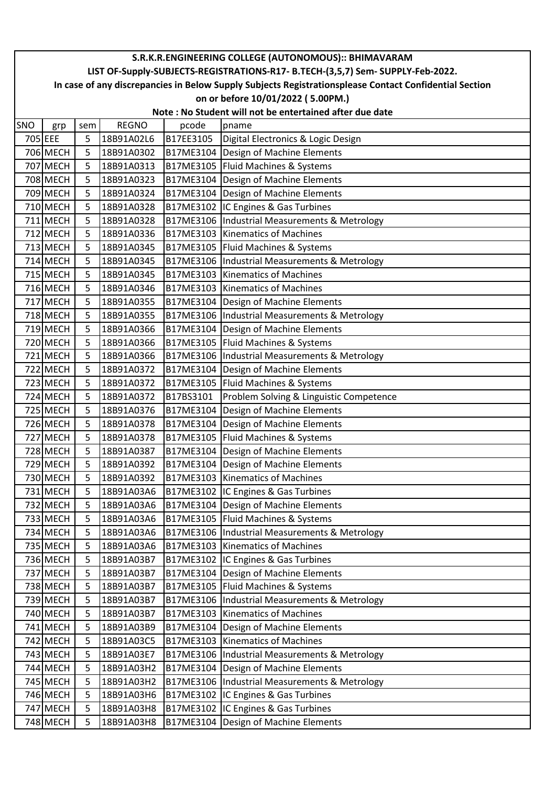|     | S.R.K.R.ENGINEERING COLLEGE (AUTONOMOUS):: BHIMAVARAM                                                  |     |              |           |                                                |  |  |  |  |  |  |
|-----|--------------------------------------------------------------------------------------------------------|-----|--------------|-----------|------------------------------------------------|--|--|--|--|--|--|
|     | LIST OF-Supply-SUBJECTS-REGISTRATIONS-R17- B.TECH-(3,5,7) Sem- SUPPLY-Feb-2022.                        |     |              |           |                                                |  |  |  |  |  |  |
|     | In case of any discrepancies in Below Supply Subjects Registrationsplease Contact Confidential Section |     |              |           |                                                |  |  |  |  |  |  |
|     | on or before 10/01/2022 (5.00PM.)                                                                      |     |              |           |                                                |  |  |  |  |  |  |
|     | Note: No Student will not be entertained after due date                                                |     |              |           |                                                |  |  |  |  |  |  |
| SNO | grp                                                                                                    | sem | <b>REGNO</b> | pcode     | pname                                          |  |  |  |  |  |  |
|     | 705 EEE                                                                                                | 5   | 18B91A02L6   | B17EE3105 | Digital Electronics & Logic Design             |  |  |  |  |  |  |
|     | 706 MECH                                                                                               | 5   | 18B91A0302   |           | B17ME3104 Design of Machine Elements           |  |  |  |  |  |  |
|     | 707 MECH                                                                                               | 5   | 18B91A0313   |           | B17ME3105   Fluid Machines & Systems           |  |  |  |  |  |  |
|     | 708 MECH                                                                                               | 5   | 18B91A0323   |           | B17ME3104 Design of Machine Elements           |  |  |  |  |  |  |
|     | 709 MECH                                                                                               | 5   | 18B91A0324   |           | B17ME3104   Design of Machine Elements         |  |  |  |  |  |  |
|     | 710 MECH                                                                                               | 5   | 18B91A0328   |           | B17ME3102 IC Engines & Gas Turbines            |  |  |  |  |  |  |
|     | 711 MECH                                                                                               | 5   | 18B91A0328   |           | B17ME3106  Industrial Measurements & Metrology |  |  |  |  |  |  |
|     | 712 MECH                                                                                               | 5   | 18B91A0336   |           | B17ME3103 Kinematics of Machines               |  |  |  |  |  |  |
|     | 713 MECH                                                                                               | 5   | 18B91A0345   |           | B17ME3105   Fluid Machines & Systems           |  |  |  |  |  |  |
|     | 714 MECH                                                                                               | 5   | 18B91A0345   |           | B17ME3106  Industrial Measurements & Metrology |  |  |  |  |  |  |
|     | 715 MECH                                                                                               | 5   | 18B91A0345   |           | B17ME3103 Kinematics of Machines               |  |  |  |  |  |  |
|     | 716 MECH                                                                                               | 5   | 18B91A0346   |           | <b>B17ME3103 Kinematics of Machines</b>        |  |  |  |  |  |  |
|     | 717 MECH                                                                                               | 5   | 18B91A0355   |           | B17ME3104   Design of Machine Elements         |  |  |  |  |  |  |
|     | 718 MECH                                                                                               | 5   | 18B91A0355   |           | B17ME3106  Industrial Measurements & Metrology |  |  |  |  |  |  |
|     | 719 MECH                                                                                               | 5   | 18B91A0366   |           | B17ME3104 Design of Machine Elements           |  |  |  |  |  |  |
|     | 720 MECH                                                                                               | 5   | 18B91A0366   |           | B17ME3105   Fluid Machines & Systems           |  |  |  |  |  |  |
|     | 721 MECH                                                                                               | 5   | 18B91A0366   |           | B17ME3106  Industrial Measurements & Metrology |  |  |  |  |  |  |
|     | 722 MECH                                                                                               | 5   | 18B91A0372   |           | B17ME3104   Design of Machine Elements         |  |  |  |  |  |  |
|     | 723 MECH                                                                                               | 5   | 18B91A0372   | B17ME3105 | Fluid Machines & Systems                       |  |  |  |  |  |  |
|     | 724 MECH                                                                                               | 5   | 18B91A0372   | B17BS3101 | Problem Solving & Linguistic Competence        |  |  |  |  |  |  |
|     | 725 MECH                                                                                               | 5   | 18B91A0376   | B17ME3104 | Design of Machine Elements                     |  |  |  |  |  |  |
|     | 726 MECH                                                                                               | 5   | 18B91A0378   |           | B17ME3104   Design of Machine Elements         |  |  |  |  |  |  |
|     | 727 MECH                                                                                               | 5   | 18B91A0378   |           | B17ME3105   Fluid Machines & Systems           |  |  |  |  |  |  |
|     | 728 MECH                                                                                               | 5   | 18B91A0387   |           | B17ME3104   Design of Machine Elements         |  |  |  |  |  |  |
|     | 729 MECH                                                                                               | 5   | 18B91A0392   | B17ME3104 | Design of Machine Elements                     |  |  |  |  |  |  |
|     | 730 MECH                                                                                               | 5   | 18B91A0392   |           | B17ME3103   Kinematics of Machines             |  |  |  |  |  |  |
|     | 731 MECH                                                                                               | 5   | 18B91A03A6   |           | B17ME3102 IC Engines & Gas Turbines            |  |  |  |  |  |  |
|     | 732 MECH                                                                                               | 5   | 18B91A03A6   |           | B17ME3104   Design of Machine Elements         |  |  |  |  |  |  |
|     | 733 MECH                                                                                               | 5   | 18B91A03A6   |           | B17ME3105   Fluid Machines & Systems           |  |  |  |  |  |  |
|     | 734 MECH                                                                                               | 5   | 18B91A03A6   |           | B17ME3106  Industrial Measurements & Metrology |  |  |  |  |  |  |
|     | 735 MECH                                                                                               | 5   | 18B91A03A6   |           | B17ME3103 Kinematics of Machines               |  |  |  |  |  |  |
|     | 736 MECH                                                                                               | 5   | 18B91A03B7   |           | B17ME3102 IC Engines & Gas Turbines            |  |  |  |  |  |  |
|     | 737 MECH                                                                                               | 5   | 18B91A03B7   |           | B17ME3104   Design of Machine Elements         |  |  |  |  |  |  |
|     | 738 MECH                                                                                               | 5   | 18B91A03B7   |           | B17ME3105   Fluid Machines & Systems           |  |  |  |  |  |  |
|     | 739 MECH                                                                                               | 5   | 18B91A03B7   |           | B17ME3106  Industrial Measurements & Metrology |  |  |  |  |  |  |
|     | 740 MECH                                                                                               | 5   | 18B91A03B7   |           | B17ME3103 Kinematics of Machines               |  |  |  |  |  |  |
|     | 741 MECH                                                                                               | 5   | 18B91A03B9   | B17ME3104 | Design of Machine Elements                     |  |  |  |  |  |  |
|     | 742 MECH                                                                                               | 5   | 18B91A03C5   |           | B17ME3103 Kinematics of Machines               |  |  |  |  |  |  |
|     | 743 MECH                                                                                               | 5   | 18B91A03E7   |           | B17ME3106  Industrial Measurements & Metrology |  |  |  |  |  |  |
|     | 744 MECH                                                                                               | 5   | 18B91A03H2   |           | B17ME3104   Design of Machine Elements         |  |  |  |  |  |  |
|     | 745 MECH                                                                                               | 5   | 18B91A03H2   |           | B17ME3106  Industrial Measurements & Metrology |  |  |  |  |  |  |
|     | 746 MECH                                                                                               | 5   | 18B91A03H6   |           | B17ME3102 IC Engines & Gas Turbines            |  |  |  |  |  |  |
|     | 747 MECH                                                                                               | 5   | 18B91A03H8   |           | B17ME3102 IC Engines & Gas Turbines            |  |  |  |  |  |  |
|     | 748 MECH                                                                                               | 5   | 18B91A03H8   |           | B17ME3104   Design of Machine Elements         |  |  |  |  |  |  |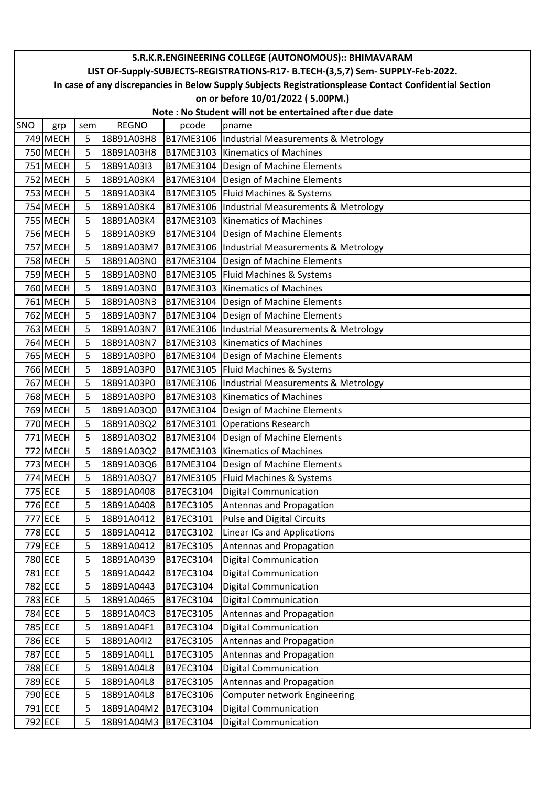| S.R.K.R.ENGINEERING COLLEGE (AUTONOMOUS):: BHIMAVARAM |                                                                                                        |     |              |           |                                                |  |  |  |  |  |
|-------------------------------------------------------|--------------------------------------------------------------------------------------------------------|-----|--------------|-----------|------------------------------------------------|--|--|--|--|--|
|                                                       | LIST OF-Supply-SUBJECTS-REGISTRATIONS-R17- B.TECH-(3,5,7) Sem- SUPPLY-Feb-2022.                        |     |              |           |                                                |  |  |  |  |  |
|                                                       | In case of any discrepancies in Below Supply Subjects Registrationsplease Contact Confidential Section |     |              |           |                                                |  |  |  |  |  |
|                                                       | on or before 10/01/2022 (5.00PM.)                                                                      |     |              |           |                                                |  |  |  |  |  |
|                                                       | Note: No Student will not be entertained after due date                                                |     |              |           |                                                |  |  |  |  |  |
| SNO                                                   | grp                                                                                                    | sem | <b>REGNO</b> | pcode     | pname                                          |  |  |  |  |  |
|                                                       | 749 MECH                                                                                               | 5   | 18B91A03H8   |           | B17ME3106  Industrial Measurements & Metrology |  |  |  |  |  |
|                                                       | 750 MECH                                                                                               | 5   | 18B91A03H8   |           | B17ME3103 Kinematics of Machines               |  |  |  |  |  |
|                                                       | 751 MECH                                                                                               | 5   | 18B91A03I3   |           | B17ME3104 Design of Machine Elements           |  |  |  |  |  |
|                                                       | 752 MECH                                                                                               | 5   | 18B91A03K4   |           | B17ME3104   Design of Machine Elements         |  |  |  |  |  |
|                                                       | 753 MECH                                                                                               | 5   | 18B91A03K4   |           | B17ME3105   Fluid Machines & Systems           |  |  |  |  |  |
|                                                       | 754 MECH                                                                                               | 5   | 18B91A03K4   |           | B17ME3106  Industrial Measurements & Metrology |  |  |  |  |  |
|                                                       | <b>755 MECH</b>                                                                                        | 5   | 18B91A03K4   |           | B17ME3103 Kinematics of Machines               |  |  |  |  |  |
|                                                       | 756 MECH                                                                                               | 5   | 18B91A03K9   |           | B17ME3104 Design of Machine Elements           |  |  |  |  |  |
|                                                       | 757 MECH                                                                                               | 5   | 18B91A03M7   |           | B17ME3106  Industrial Measurements & Metrology |  |  |  |  |  |
|                                                       | 758 MECH                                                                                               | 5   | 18B91A03N0   |           | B17ME3104 Design of Machine Elements           |  |  |  |  |  |
|                                                       | 759 MECH                                                                                               | 5   | 18B91A03N0   |           | B17ME3105   Fluid Machines & Systems           |  |  |  |  |  |
|                                                       | 760 MECH                                                                                               | 5   | 18B91A03N0   |           | B17ME3103   Kinematics of Machines             |  |  |  |  |  |
|                                                       | 761 MECH                                                                                               | 5   | 18B91A03N3   |           | B17ME3104 Design of Machine Elements           |  |  |  |  |  |
|                                                       | 762 MECH                                                                                               | 5   | 18B91A03N7   |           | B17ME3104 Design of Machine Elements           |  |  |  |  |  |
|                                                       | 763 MECH                                                                                               | 5   | 18B91A03N7   |           | B17ME3106  Industrial Measurements & Metrology |  |  |  |  |  |
|                                                       | 764 MECH                                                                                               | 5   | 18B91A03N7   |           | B17ME3103 Kinematics of Machines               |  |  |  |  |  |
|                                                       | 765 MECH                                                                                               | 5   | 18B91A03P0   |           | B17ME3104   Design of Machine Elements         |  |  |  |  |  |
|                                                       | 766 MECH                                                                                               | 5   | 18B91A03P0   |           | B17ME3105   Fluid Machines & Systems           |  |  |  |  |  |
|                                                       | 767 MECH                                                                                               | 5   | 18B91A03P0   |           | B17ME3106  Industrial Measurements & Metrology |  |  |  |  |  |
|                                                       | 768 MECH                                                                                               | 5   | 18B91A03P0   |           | B17ME3103 Kinematics of Machines               |  |  |  |  |  |
|                                                       | 769 MECH                                                                                               | 5   | 18B91A03Q0   |           | B17ME3104   Design of Machine Elements         |  |  |  |  |  |
|                                                       | 770 MECH                                                                                               | 5   | 18B91A03Q2   | B17ME3101 | <b>Operations Research</b>                     |  |  |  |  |  |
|                                                       | 771 MECH                                                                                               | 5   | 18B91A03Q2   |           | B17ME3104   Design of Machine Elements         |  |  |  |  |  |
|                                                       | 772 MECH                                                                                               | 5   | 18B91A03Q2   |           | B17ME3103 Kinematics of Machines               |  |  |  |  |  |
|                                                       | 773 MECH                                                                                               | 5   | 18B91A03Q6   |           | B17ME3104   Design of Machine Elements         |  |  |  |  |  |
|                                                       | 774 MECH                                                                                               | 5   | 18B91A03Q7   |           | B17ME3105   Fluid Machines & Systems           |  |  |  |  |  |
|                                                       | 775 ECE                                                                                                | 5   | 18B91A0408   | B17EC3104 | <b>Digital Communication</b>                   |  |  |  |  |  |
|                                                       | 776 ECE                                                                                                | 5   | 18B91A0408   | B17EC3105 | Antennas and Propagation                       |  |  |  |  |  |
|                                                       | 777 ECE                                                                                                | 5   | 18B91A0412   | B17EC3101 | <b>Pulse and Digital Circuits</b>              |  |  |  |  |  |
|                                                       | 778 ECE                                                                                                | 5   | 18B91A0412   | B17EC3102 | <b>Linear ICs and Applications</b>             |  |  |  |  |  |
|                                                       | 779 ECE                                                                                                | 5   | 18B91A0412   | B17EC3105 | Antennas and Propagation                       |  |  |  |  |  |
|                                                       | 780 ECE                                                                                                | 5   | 18B91A0439   | B17EC3104 | <b>Digital Communication</b>                   |  |  |  |  |  |
|                                                       | 781 ECE                                                                                                | 5   | 18B91A0442   | B17EC3104 | <b>Digital Communication</b>                   |  |  |  |  |  |
|                                                       | 782 ECE                                                                                                | 5   | 18B91A0443   | B17EC3104 | <b>Digital Communication</b>                   |  |  |  |  |  |
|                                                       | 783 ECE                                                                                                | 5   | 18B91A0465   | B17EC3104 | <b>Digital Communication</b>                   |  |  |  |  |  |
|                                                       | 784 ECE                                                                                                | 5   | 18B91A04C3   | B17EC3105 | Antennas and Propagation                       |  |  |  |  |  |
|                                                       | 785 ECE                                                                                                | 5   | 18B91A04F1   | B17EC3104 | <b>Digital Communication</b>                   |  |  |  |  |  |
|                                                       | 786 ECE                                                                                                | 5   | 18B91A04I2   | B17EC3105 | Antennas and Propagation                       |  |  |  |  |  |
|                                                       | 787 ECE                                                                                                | 5   | 18B91A04L1   | B17EC3105 | Antennas and Propagation                       |  |  |  |  |  |
|                                                       | 788 ECE                                                                                                | 5   | 18B91A04L8   | B17EC3104 | <b>Digital Communication</b>                   |  |  |  |  |  |
|                                                       | 789 ECE                                                                                                | 5   | 18B91A04L8   | B17EC3105 | Antennas and Propagation                       |  |  |  |  |  |
|                                                       | 790 ECE                                                                                                | 5   | 18B91A04L8   | B17EC3106 | Computer network Engineering                   |  |  |  |  |  |
|                                                       | 791 ECE                                                                                                | 5   | 18B91A04M2   | B17EC3104 | <b>Digital Communication</b>                   |  |  |  |  |  |
|                                                       | 792 ECE                                                                                                | 5   | 18B91A04M3   | B17EC3104 | <b>Digital Communication</b>                   |  |  |  |  |  |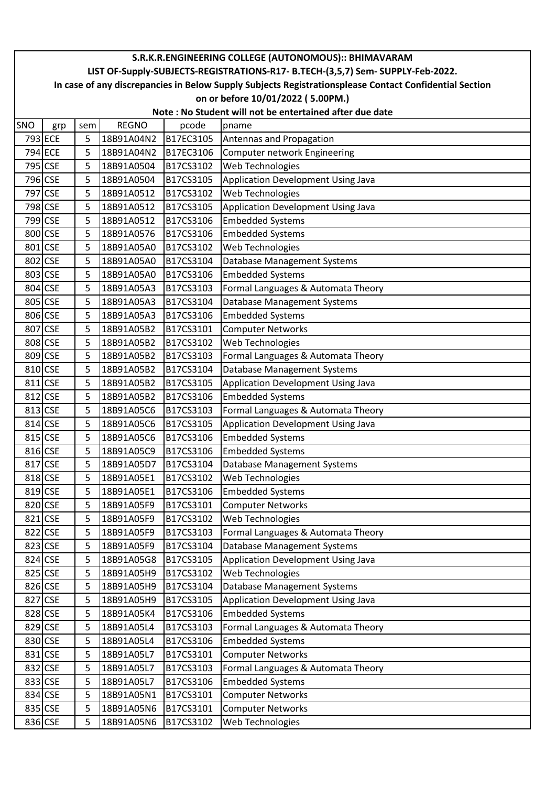| S.R.K.R.ENGINEERING COLLEGE (AUTONOMOUS):: BHIMAVARAM |                                                                                                        |     |              |           |                                                                                 |  |  |  |  |  |  |
|-------------------------------------------------------|--------------------------------------------------------------------------------------------------------|-----|--------------|-----------|---------------------------------------------------------------------------------|--|--|--|--|--|--|
|                                                       |                                                                                                        |     |              |           | LIST OF-Supply-SUBJECTS-REGISTRATIONS-R17- B.TECH-(3,5,7) Sem- SUPPLY-Feb-2022. |  |  |  |  |  |  |
|                                                       | In case of any discrepancies in Below Supply Subjects Registrationsplease Contact Confidential Section |     |              |           |                                                                                 |  |  |  |  |  |  |
|                                                       | on or before 10/01/2022 (5.00PM.)                                                                      |     |              |           |                                                                                 |  |  |  |  |  |  |
|                                                       | Note : No Student will not be entertained after due date                                               |     |              |           |                                                                                 |  |  |  |  |  |  |
| SNO                                                   | grp                                                                                                    | sem | <b>REGNO</b> | pcode     | pname                                                                           |  |  |  |  |  |  |
|                                                       | 793 ECE                                                                                                | 5   | 18B91A04N2   | B17EC3105 | Antennas and Propagation                                                        |  |  |  |  |  |  |
|                                                       | 794 ECE                                                                                                | 5   | 18B91A04N2   | B17EC3106 | Computer network Engineering                                                    |  |  |  |  |  |  |
|                                                       | 795 CSE                                                                                                | 5   | 18B91A0504   | B17CS3102 | Web Technologies                                                                |  |  |  |  |  |  |
|                                                       | 796 CSE                                                                                                | 5   | 18B91A0504   | B17CS3105 | Application Development Using Java                                              |  |  |  |  |  |  |
|                                                       | 797 CSE                                                                                                | 5   | 18B91A0512   | B17CS3102 | Web Technologies                                                                |  |  |  |  |  |  |
|                                                       | 798 CSE                                                                                                | 5   | 18B91A0512   | B17CS3105 | Application Development Using Java                                              |  |  |  |  |  |  |
|                                                       | 799 CSE                                                                                                | 5   | 18B91A0512   | B17CS3106 | <b>Embedded Systems</b>                                                         |  |  |  |  |  |  |
|                                                       | 800 CSE                                                                                                | 5   | 18B91A0576   | B17CS3106 | <b>Embedded Systems</b>                                                         |  |  |  |  |  |  |
|                                                       | 801 CSE                                                                                                | 5   | 18B91A05A0   | B17CS3102 | Web Technologies                                                                |  |  |  |  |  |  |
|                                                       | 802 CSE                                                                                                | 5   | 18B91A05A0   | B17CS3104 | Database Management Systems                                                     |  |  |  |  |  |  |
|                                                       | 803 CSE                                                                                                | 5   | 18B91A05A0   | B17CS3106 | <b>Embedded Systems</b>                                                         |  |  |  |  |  |  |
| 804 CSE                                               |                                                                                                        | 5   | 18B91A05A3   | B17CS3103 | Formal Languages & Automata Theory                                              |  |  |  |  |  |  |
|                                                       | 805 CSE                                                                                                | 5   | 18B91A05A3   | B17CS3104 | Database Management Systems                                                     |  |  |  |  |  |  |
|                                                       | 806 CSE                                                                                                | 5   | 18B91A05A3   | B17CS3106 | <b>Embedded Systems</b>                                                         |  |  |  |  |  |  |
| 807                                                   | <b>CSE</b>                                                                                             | 5   | 18B91A05B2   | B17CS3101 | <b>Computer Networks</b>                                                        |  |  |  |  |  |  |
|                                                       | 808 CSE                                                                                                | 5   | 18B91A05B2   | B17CS3102 | Web Technologies                                                                |  |  |  |  |  |  |
|                                                       | 809 CSE                                                                                                | 5   | 18B91A05B2   | B17CS3103 | Formal Languages & Automata Theory                                              |  |  |  |  |  |  |
|                                                       | 810 CSE                                                                                                | 5   | 18B91A05B2   | B17CS3104 | Database Management Systems                                                     |  |  |  |  |  |  |
| 811 CSE                                               |                                                                                                        | 5   | 18B91A05B2   | B17CS3105 | Application Development Using Java                                              |  |  |  |  |  |  |
|                                                       | 812 CSE                                                                                                | 5   | 18B91A05B2   | B17CS3106 | <b>Embedded Systems</b>                                                         |  |  |  |  |  |  |
|                                                       | 813 CSE                                                                                                | 5   | 18B91A05C6   | B17CS3103 | Formal Languages & Automata Theory                                              |  |  |  |  |  |  |
| 814                                                   | <b>CSE</b>                                                                                             | 5   | 18B91A05C6   | B17CS3105 | Application Development Using Java                                              |  |  |  |  |  |  |
|                                                       | 815 CSE                                                                                                | 5   | 18B91A05C6   | B17CS3106 | <b>Embedded Systems</b>                                                         |  |  |  |  |  |  |
|                                                       | 816 CSE                                                                                                | 5   | 18B91A05C9   | B17CS3106 | <b>Embedded Systems</b>                                                         |  |  |  |  |  |  |
|                                                       | 817 CSE                                                                                                | 5   | 18B91A05D7   | B17CS3104 | Database Management Systems                                                     |  |  |  |  |  |  |
| 818 CSE                                               |                                                                                                        | 5   | 18B91A05E1   | B17CS3102 | <b>Web Technologies</b>                                                         |  |  |  |  |  |  |
|                                                       | 819 CSE                                                                                                | 5   | 18B91A05E1   | B17CS3106 | <b>Embedded Systems</b>                                                         |  |  |  |  |  |  |
|                                                       | 820 CSE                                                                                                | 5   | 18B91A05F9   | B17CS3101 | <b>Computer Networks</b>                                                        |  |  |  |  |  |  |
| 821                                                   | <b>CSE</b>                                                                                             | 5   | 18B91A05F9   | B17CS3102 | Web Technologies                                                                |  |  |  |  |  |  |
|                                                       | 822 CSE                                                                                                | 5   | 18B91A05F9   | B17CS3103 | Formal Languages & Automata Theory                                              |  |  |  |  |  |  |
|                                                       | 823 CSE                                                                                                | 5   | 18B91A05F9   | B17CS3104 | <b>Database Management Systems</b>                                              |  |  |  |  |  |  |
|                                                       | 824 CSE                                                                                                | 5   | 18B91A05G8   | B17CS3105 | Application Development Using Java                                              |  |  |  |  |  |  |
|                                                       | 825 CSE                                                                                                | 5   | 18B91A05H9   | B17CS3102 | Web Technologies                                                                |  |  |  |  |  |  |
|                                                       | 826 CSE                                                                                                | 5   | 18B91A05H9   | B17CS3104 | Database Management Systems                                                     |  |  |  |  |  |  |
| 827                                                   | <b>CSE</b>                                                                                             | 5   | 18B91A05H9   | B17CS3105 | Application Development Using Java                                              |  |  |  |  |  |  |
|                                                       | 828 CSE                                                                                                | 5   | 18B91A05K4   | B17CS3106 | <b>Embedded Systems</b>                                                         |  |  |  |  |  |  |
|                                                       | 829 CSE                                                                                                | 5   | 18B91A05L4   | B17CS3103 | Formal Languages & Automata Theory                                              |  |  |  |  |  |  |
|                                                       | 830 CSE                                                                                                | 5   | 18B91A05L4   | B17CS3106 | <b>Embedded Systems</b>                                                         |  |  |  |  |  |  |
| 831                                                   | <b>CSE</b>                                                                                             | 5   | 18B91A05L7   | B17CS3101 | <b>Computer Networks</b>                                                        |  |  |  |  |  |  |
|                                                       | 832 CSE                                                                                                | 5   | 18B91A05L7   | B17CS3103 | Formal Languages & Automata Theory                                              |  |  |  |  |  |  |
|                                                       | 833 CSE                                                                                                | 5   | 18B91A05L7   | B17CS3106 | <b>Embedded Systems</b>                                                         |  |  |  |  |  |  |
|                                                       | 834 CSE                                                                                                | 5   | 18B91A05N1   | B17CS3101 | <b>Computer Networks</b>                                                        |  |  |  |  |  |  |
|                                                       | 835 CSE                                                                                                | 5   | 18B91A05N6   | B17CS3101 | <b>Computer Networks</b>                                                        |  |  |  |  |  |  |
|                                                       | 836 CSE                                                                                                | 5   | 18B91A05N6   | B17CS3102 | Web Technologies                                                                |  |  |  |  |  |  |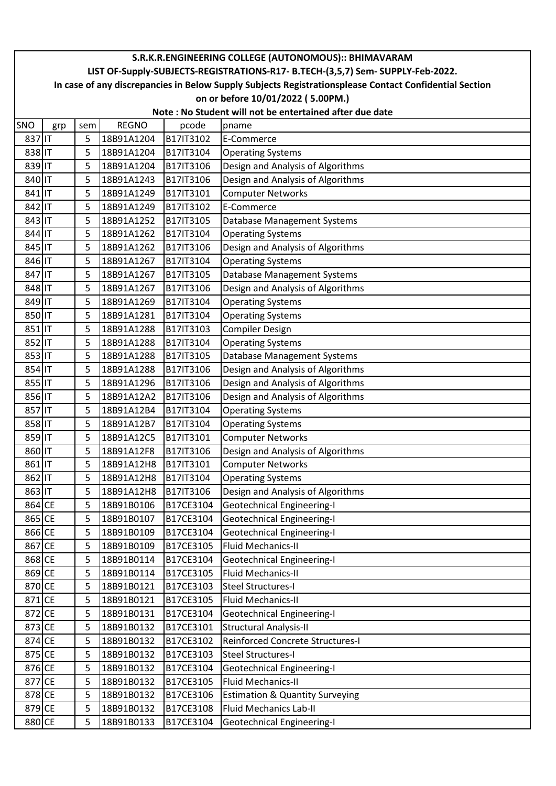|        | S.R.K.R.ENGINEERING COLLEGE (AUTONOMOUS):: BHIMAVARAM                                                  |     |              |           |                                   |  |  |  |  |  |
|--------|--------------------------------------------------------------------------------------------------------|-----|--------------|-----------|-----------------------------------|--|--|--|--|--|
|        | LIST OF-Supply-SUBJECTS-REGISTRATIONS-R17- B.TECH-(3,5,7) Sem- SUPPLY-Feb-2022.                        |     |              |           |                                   |  |  |  |  |  |
|        | In case of any discrepancies in Below Supply Subjects Registrationsplease Contact Confidential Section |     |              |           |                                   |  |  |  |  |  |
|        | on or before 10/01/2022 (5.00PM.)                                                                      |     |              |           |                                   |  |  |  |  |  |
|        | Note: No Student will not be entertained after due date                                                |     |              |           |                                   |  |  |  |  |  |
| SNO    | grp                                                                                                    | sem | <b>REGNO</b> | pcode     | pname                             |  |  |  |  |  |
| 837 IT |                                                                                                        | 5   | 18B91A1204   | B17IT3102 | E-Commerce                        |  |  |  |  |  |
| 838 IT |                                                                                                        | 5   | 18B91A1204   | B17IT3104 | <b>Operating Systems</b>          |  |  |  |  |  |
| 839 IT |                                                                                                        | 5   | 18B91A1204   | B17IT3106 | Design and Analysis of Algorithms |  |  |  |  |  |
| 840 IT |                                                                                                        | 5   | 18B91A1243   | B17IT3106 | Design and Analysis of Algorithms |  |  |  |  |  |
| 841 IT |                                                                                                        | 5   | 18B91A1249   | B17IT3101 | <b>Computer Networks</b>          |  |  |  |  |  |
| 842 IT |                                                                                                        | 5   | 18B91A1249   | B17IT3102 | E-Commerce                        |  |  |  |  |  |
| 843 IT |                                                                                                        | 5   | 18B91A1252   | B17IT3105 | Database Management Systems       |  |  |  |  |  |
| 844 IT |                                                                                                        | 5   | 18B91A1262   | B17IT3104 | <b>Operating Systems</b>          |  |  |  |  |  |
| 845 IT |                                                                                                        | 5   | 18B91A1262   | B17IT3106 | Design and Analysis of Algorithms |  |  |  |  |  |
| 846 IT |                                                                                                        | 5   | 18B91A1267   | B17IT3104 | <b>Operating Systems</b>          |  |  |  |  |  |
| 847 IT |                                                                                                        | 5   | 18B91A1267   | B17IT3105 | Database Management Systems       |  |  |  |  |  |
| 848 IT |                                                                                                        | 5   | 18B91A1267   | B17IT3106 | Design and Analysis of Algorithms |  |  |  |  |  |
| 849 IT |                                                                                                        | 5   | 18B91A1269   | B17IT3104 | <b>Operating Systems</b>          |  |  |  |  |  |
| 850 IT |                                                                                                        | 5   | 18B91A1281   | B17IT3104 | <b>Operating Systems</b>          |  |  |  |  |  |
| 851 IT |                                                                                                        | 5   | 18B91A1288   | B17IT3103 | <b>Compiler Design</b>            |  |  |  |  |  |
| 852 IT |                                                                                                        | 5   | 18B91A1288   | B17IT3104 | <b>Operating Systems</b>          |  |  |  |  |  |
| 853 IT |                                                                                                        | 5   | 18B91A1288   | B17IT3105 | Database Management Systems       |  |  |  |  |  |
| 854 IT |                                                                                                        | 5   | 18B91A1288   | B17IT3106 | Design and Analysis of Algorithms |  |  |  |  |  |
| 855 IT |                                                                                                        | 5   | 18B91A1296   | B17IT3106 | Design and Analysis of Algorithms |  |  |  |  |  |
| 856 IT |                                                                                                        | 5   | 18B91A12A2   | B17IT3106 | Design and Analysis of Algorithms |  |  |  |  |  |
| 857 IT |                                                                                                        | 5   | 18B91A12B4   | B17IT3104 | <b>Operating Systems</b>          |  |  |  |  |  |
| 858 IT |                                                                                                        | 5   | 18B91A12B7   | B17IT3104 | <b>Operating Systems</b>          |  |  |  |  |  |
| 859 IT |                                                                                                        | 5   | 18B91A12C5   | B17IT3101 | <b>Computer Networks</b>          |  |  |  |  |  |
| 860 IT |                                                                                                        | 5   | 18B91A12F8   | B17IT3106 | Design and Analysis of Algorithms |  |  |  |  |  |
| 861 IT |                                                                                                        | 5   | 18B91A12H8   | B17IT3101 | <b>Computer Networks</b>          |  |  |  |  |  |
| 862 IT |                                                                                                        | 5   | 18B91A12H8   | B17IT3104 | <b>Operating Systems</b>          |  |  |  |  |  |
| 863 IT |                                                                                                        | 5   | 18B91A12H8   | B17IT3106 | Design and Analysis of Algorithms |  |  |  |  |  |
| 864 CE |                                                                                                        | 5   | 18B91B0106   | B17CE3104 | <b>Geotechnical Engineering-I</b> |  |  |  |  |  |
| 865 CE |                                                                                                        | 5   | 18B91B0107   | B17CE3104 | <b>Geotechnical Engineering-I</b> |  |  |  |  |  |
| 866 CE |                                                                                                        | 5   | 18B91B0109   | B17CE3104 | Geotechnical Engineering-I        |  |  |  |  |  |
| 867 CE |                                                                                                        | 5   | 18B91B0109   | B17CE3105 | Fluid Mechanics-II                |  |  |  |  |  |
| 868 CE |                                                                                                        | 5   | 18B91B0114   | B17CE3104 | Geotechnical Engineering-I        |  |  |  |  |  |
| 869 CE |                                                                                                        | 5   | 18B91B0114   | B17CE3105 | Fluid Mechanics-II                |  |  |  |  |  |
| 870 CE |                                                                                                        | 5   | 18B91B0121   | B17CE3103 | Steel Structures-I                |  |  |  |  |  |
| 871 CE |                                                                                                        | 5   | 18B91B0121   | B17CE3105 | Fluid Mechanics-II                |  |  |  |  |  |
| 872 CE |                                                                                                        | 5   | 18B91B0131   | B17CE3104 | <b>Geotechnical Engineering-I</b> |  |  |  |  |  |
| 873 CE |                                                                                                        | 5   | 18B91B0132   | B17CE3101 | <b>Structural Analysis-II</b>     |  |  |  |  |  |
| 874 CE |                                                                                                        | 5   | 18B91B0132   | B17CE3102 | Reinforced Concrete Structures-I  |  |  |  |  |  |
| 875 CE |                                                                                                        | 5   | 18B91B0132   | B17CE3103 | Steel Structures-I                |  |  |  |  |  |
| 876 CE |                                                                                                        | 5   | 18B91B0132   | B17CE3104 | <b>Geotechnical Engineering-I</b> |  |  |  |  |  |
| 877 CE |                                                                                                        | 5   | 18B91B0132   | B17CE3105 | <b>Fluid Mechanics-II</b>         |  |  |  |  |  |
| 878 CE |                                                                                                        | 5   | 18B91B0132   | B17CE3106 | Estimation & Quantity Surveying   |  |  |  |  |  |
| 879 CE |                                                                                                        | 5   | 18B91B0132   | B17CE3108 | <b>Fluid Mechanics Lab-II</b>     |  |  |  |  |  |
| 880 CE |                                                                                                        | 5   | 18B91B0133   | B17CE3104 | Geotechnical Engineering-I        |  |  |  |  |  |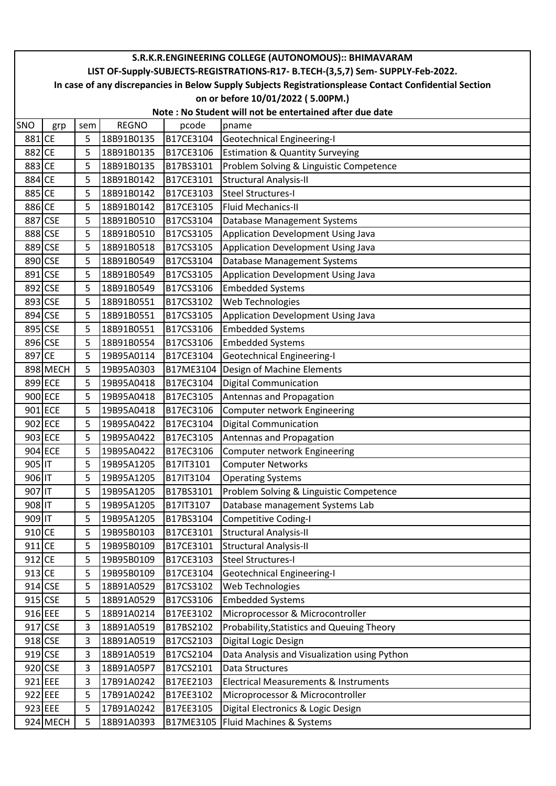|         | S.R.K.R.ENGINEERING COLLEGE (AUTONOMOUS):: BHIMAVARAM                                                  |     |              |           |                                                  |  |  |  |  |  |
|---------|--------------------------------------------------------------------------------------------------------|-----|--------------|-----------|--------------------------------------------------|--|--|--|--|--|
|         | LIST OF-Supply-SUBJECTS-REGISTRATIONS-R17- B.TECH-(3,5,7) Sem- SUPPLY-Feb-2022.                        |     |              |           |                                                  |  |  |  |  |  |
|         | In case of any discrepancies in Below Supply Subjects Registrationsplease Contact Confidential Section |     |              |           |                                                  |  |  |  |  |  |
|         | on or before 10/01/2022 (5.00PM.)                                                                      |     |              |           |                                                  |  |  |  |  |  |
|         | Note: No Student will not be entertained after due date                                                |     |              |           |                                                  |  |  |  |  |  |
| SNO     | grp                                                                                                    | sem | <b>REGNO</b> | pcode     | pname                                            |  |  |  |  |  |
| 881 CE  |                                                                                                        | 5   | 18B91B0135   | B17CE3104 | Geotechnical Engineering-I                       |  |  |  |  |  |
| 882 CE  |                                                                                                        | 5   | 18B91B0135   | B17CE3106 | <b>Estimation &amp; Quantity Surveying</b>       |  |  |  |  |  |
| 883 CE  |                                                                                                        | 5   | 18B91B0135   | B17BS3101 | Problem Solving & Linguistic Competence          |  |  |  |  |  |
| 884 CE  |                                                                                                        | 5   | 18B91B0142   | B17CE3101 | <b>Structural Analysis-II</b>                    |  |  |  |  |  |
| 885 CE  |                                                                                                        | 5   | 18B91B0142   | B17CE3103 | Steel Structures-I                               |  |  |  |  |  |
| 886 CE  |                                                                                                        | 5   | 18B91B0142   | B17CE3105 | <b>Fluid Mechanics-II</b>                        |  |  |  |  |  |
| 887 CSE |                                                                                                        | 5   | 18B91B0510   | B17CS3104 | Database Management Systems                      |  |  |  |  |  |
| 888 CSE |                                                                                                        | 5   | 18B91B0510   | B17CS3105 | Application Development Using Java               |  |  |  |  |  |
| 889 CSE |                                                                                                        | 5   | 18B91B0518   | B17CS3105 | Application Development Using Java               |  |  |  |  |  |
|         | 890 CSE                                                                                                | 5   | 18B91B0549   | B17CS3104 | Database Management Systems                      |  |  |  |  |  |
| 891 CSE |                                                                                                        | 5   | 18B91B0549   | B17CS3105 | Application Development Using Java               |  |  |  |  |  |
| 892 CSE |                                                                                                        | 5   | 18B91B0549   | B17CS3106 | <b>Embedded Systems</b>                          |  |  |  |  |  |
|         | 893 CSE                                                                                                | 5   | 18B91B0551   | B17CS3102 | Web Technologies                                 |  |  |  |  |  |
| 894 CSE |                                                                                                        | 5   | 18B91B0551   | B17CS3105 | Application Development Using Java               |  |  |  |  |  |
| 895 CSE |                                                                                                        | 5   | 18B91B0551   | B17CS3106 | <b>Embedded Systems</b>                          |  |  |  |  |  |
| 896 CSE |                                                                                                        | 5   | 18B91B0554   | B17CS3106 | <b>Embedded Systems</b>                          |  |  |  |  |  |
| 897 CE  |                                                                                                        | 5   | 19B95A0114   | B17CE3104 | <b>Geotechnical Engineering-I</b>                |  |  |  |  |  |
|         | 898 MECH                                                                                               | 5   | 19B95A0303   |           | B17ME3104 Design of Machine Elements             |  |  |  |  |  |
|         | 899 ECE                                                                                                | 5   | 19B95A0418   | B17EC3104 | <b>Digital Communication</b>                     |  |  |  |  |  |
| 900 ECE |                                                                                                        | 5   | 19B95A0418   | B17EC3105 | Antennas and Propagation                         |  |  |  |  |  |
| 901 ECE |                                                                                                        | 5   | 19B95A0418   | B17EC3106 | Computer network Engineering                     |  |  |  |  |  |
|         | 902 ECE                                                                                                | 5   | 19B95A0422   | B17EC3104 | <b>Digital Communication</b>                     |  |  |  |  |  |
|         | 903 ECE                                                                                                | 5   | 19B95A0422   | B17EC3105 | Antennas and Propagation                         |  |  |  |  |  |
|         | 904 ECE                                                                                                | 5   | 19B95A0422   | B17EC3106 | Computer network Engineering                     |  |  |  |  |  |
| 905 IT  |                                                                                                        | 5   | 19B95A1205   | B17IT3101 | <b>Computer Networks</b>                         |  |  |  |  |  |
| 906 IT  |                                                                                                        | 5   | 19B95A1205   | B17IT3104 | <b>Operating Systems</b>                         |  |  |  |  |  |
| 907 IT  |                                                                                                        | 5   | 19B95A1205   | B17BS3101 | Problem Solving & Linguistic Competence          |  |  |  |  |  |
| 908 IT  |                                                                                                        | 5   | 19B95A1205   | B17IT3107 | Database management Systems Lab                  |  |  |  |  |  |
| 909 IT  |                                                                                                        | 5   | 19B95A1205   | B17BS3104 | <b>Competitive Coding-I</b>                      |  |  |  |  |  |
| 910 CE  |                                                                                                        | 5   | 19B95B0103   | B17CE3101 | <b>Structural Analysis-II</b>                    |  |  |  |  |  |
| 911 CE  |                                                                                                        | 5   | 19B95B0109   | B17CE3101 | <b>Structural Analysis-II</b>                    |  |  |  |  |  |
| 912 CE  |                                                                                                        | 5   | 19B95B0109   | B17CE3103 | <b>Steel Structures-I</b>                        |  |  |  |  |  |
| 913 CE  |                                                                                                        | 5   | 19B95B0109   | B17CE3104 | <b>Geotechnical Engineering-I</b>                |  |  |  |  |  |
| 914 CSE |                                                                                                        | 5   | 18B91A0529   | B17CS3102 | Web Technologies                                 |  |  |  |  |  |
|         | 915 CSE                                                                                                | 5   | 18B91A0529   | B17CS3106 | <b>Embedded Systems</b>                          |  |  |  |  |  |
| 916 EEE |                                                                                                        | 5   | 18B91A0214   | B17EE3102 | Microprocessor & Microcontroller                 |  |  |  |  |  |
|         | 917 CSE                                                                                                | 3   | 18B91A0519   | B17BS2102 | Probability, Statistics and Queuing Theory       |  |  |  |  |  |
|         | 918 CSE                                                                                                | 3   | 18B91A0519   | B17CS2103 | Digital Logic Design                             |  |  |  |  |  |
|         | 919 CSE                                                                                                | 3   | 18B91A0519   | B17CS2104 | Data Analysis and Visualization using Python     |  |  |  |  |  |
|         | 920 CSE                                                                                                | 3   | 18B91A05P7   | B17CS2101 | Data Structures                                  |  |  |  |  |  |
|         | 921 EEE                                                                                                | 3   | 17B91A0242   | B17EE2103 | <b>Electrical Measurements &amp; Instruments</b> |  |  |  |  |  |
| 922 EEE |                                                                                                        | 5   | 17B91A0242   | B17EE3102 | Microprocessor & Microcontroller                 |  |  |  |  |  |
| 923 EEE |                                                                                                        | 5   | 17B91A0242   | B17EE3105 | Digital Electronics & Logic Design               |  |  |  |  |  |
|         | 924 MECH                                                                                               | 5   | 18B91A0393   |           | B17ME3105   Fluid Machines & Systems             |  |  |  |  |  |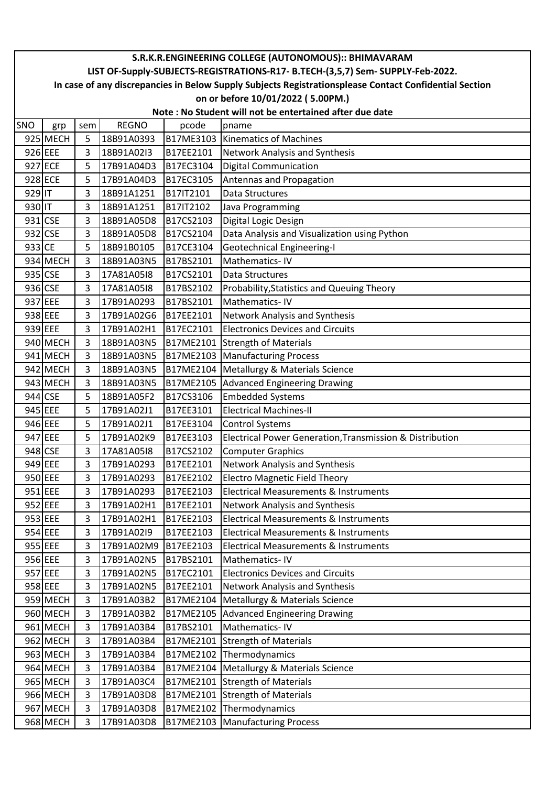|         | S.R.K.R.ENGINEERING COLLEGE (AUTONOMOUS):: BHIMAVARAM                                                  |                |              |           |                                                                                 |  |  |  |  |  |
|---------|--------------------------------------------------------------------------------------------------------|----------------|--------------|-----------|---------------------------------------------------------------------------------|--|--|--|--|--|
|         |                                                                                                        |                |              |           | LIST OF-Supply-SUBJECTS-REGISTRATIONS-R17- B.TECH-(3,5,7) Sem- SUPPLY-Feb-2022. |  |  |  |  |  |
|         | In case of any discrepancies in Below Supply Subjects Registrationsplease Contact Confidential Section |                |              |           |                                                                                 |  |  |  |  |  |
|         | on or before 10/01/2022 (5.00PM.)                                                                      |                |              |           |                                                                                 |  |  |  |  |  |
|         | Note: No Student will not be entertained after due date                                                |                |              |           |                                                                                 |  |  |  |  |  |
| SNO     | grp                                                                                                    | sem            | <b>REGNO</b> | pcode     | pname                                                                           |  |  |  |  |  |
|         | 925 MECH                                                                                               | 5              | 18B91A0393   |           | B17ME3103 Kinematics of Machines                                                |  |  |  |  |  |
| 926 EEE |                                                                                                        | 3              | 18B91A02I3   | B17EE2101 | Network Analysis and Synthesis                                                  |  |  |  |  |  |
| 927 ECE |                                                                                                        | 5              | 17B91A04D3   | B17EC3104 | <b>Digital Communication</b>                                                    |  |  |  |  |  |
| 928 ECE |                                                                                                        | 5              | 17B91A04D3   | B17EC3105 | Antennas and Propagation                                                        |  |  |  |  |  |
| 929 IT  |                                                                                                        | 3              | 18B91A1251   | B17IT2101 | Data Structures                                                                 |  |  |  |  |  |
| 930 IT  |                                                                                                        | 3              | 18B91A1251   | B17IT2102 | Java Programming                                                                |  |  |  |  |  |
| 931 CSE |                                                                                                        | 3              | 18B91A05D8   | B17CS2103 | Digital Logic Design                                                            |  |  |  |  |  |
| 932 CSE |                                                                                                        | 3              | 18B91A05D8   | B17CS2104 | Data Analysis and Visualization using Python                                    |  |  |  |  |  |
| 933 CE  |                                                                                                        | 5              | 18B91B0105   | B17CE3104 | <b>Geotechnical Engineering-I</b>                                               |  |  |  |  |  |
|         | 934 MECH                                                                                               | 3              | 18B91A03N5   | B17BS2101 | Mathematics-IV                                                                  |  |  |  |  |  |
| 935 CSE |                                                                                                        | 3              | 17A81A05I8   | B17CS2101 | Data Structures                                                                 |  |  |  |  |  |
| 936 CSE |                                                                                                        | 3              | 17A81A05I8   | B17BS2102 | Probability, Statistics and Queuing Theory                                      |  |  |  |  |  |
| 937 EEE |                                                                                                        | 3              | 17B91A0293   | B17BS2101 | Mathematics-IV                                                                  |  |  |  |  |  |
| 938 EEE |                                                                                                        | 3              | 17B91A02G6   | B17EE2101 | Network Analysis and Synthesis                                                  |  |  |  |  |  |
| 939 EEE |                                                                                                        | 3              | 17B91A02H1   | B17EC2101 | <b>Electronics Devices and Circuits</b>                                         |  |  |  |  |  |
|         | 940 MECH                                                                                               | 3              | 18B91A03N5   | B17ME2101 | Strength of Materials                                                           |  |  |  |  |  |
|         | 941 MECH                                                                                               | 3              | 18B91A03N5   |           | B17ME2103 Manufacturing Process                                                 |  |  |  |  |  |
|         | 942 MECH                                                                                               | $\overline{3}$ | 18B91A03N5   |           | B17ME2104   Metallurgy & Materials Science                                      |  |  |  |  |  |
|         | 943 MECH                                                                                               | 3              | 18B91A03N5   |           | B17ME2105 Advanced Engineering Drawing                                          |  |  |  |  |  |
| 944 CSE |                                                                                                        | 5              | 18B91A05F2   | B17CS3106 | <b>Embedded Systems</b>                                                         |  |  |  |  |  |
| 945 EEE |                                                                                                        | 5              | 17B91A02J1   | B17EE3101 | <b>Electrical Machines-II</b>                                                   |  |  |  |  |  |
| 946 EEE |                                                                                                        | 5              | 17B91A02J1   | B17EE3104 | <b>Control Systems</b>                                                          |  |  |  |  |  |
| 947 EEE |                                                                                                        | 5              | 17B91A02K9   | B17EE3103 | Electrical Power Generation, Transmission & Distribution                        |  |  |  |  |  |
| 948 CSE |                                                                                                        | 3              | 17A81A05I8   | B17CS2102 | <b>Computer Graphics</b>                                                        |  |  |  |  |  |
| 949 EEE |                                                                                                        | 3              | 17B91A0293   | B17EE2101 | <b>Network Analysis and Synthesis</b>                                           |  |  |  |  |  |
| 950 EEE |                                                                                                        | 3              | 17B91A0293   | B17EE2102 | <b>Electro Magnetic Field Theory</b>                                            |  |  |  |  |  |
| 951 EEE |                                                                                                        | 3              | 17B91A0293   | B17EE2103 | <b>Electrical Measurements &amp; Instruments</b>                                |  |  |  |  |  |
| 952 EEE |                                                                                                        | 3              | 17B91A02H1   | B17EE2101 | Network Analysis and Synthesis                                                  |  |  |  |  |  |
| 953 EEE |                                                                                                        | 3              | 17B91A02H1   | B17EE2103 | <b>Electrical Measurements &amp; Instruments</b>                                |  |  |  |  |  |
| 954 EEE |                                                                                                        | 3              | 17B91A02I9   | B17EE2103 | <b>Electrical Measurements &amp; Instruments</b>                                |  |  |  |  |  |
| 955 EEE |                                                                                                        | 3              | 17B91A02M9   | B17EE2103 | Electrical Measurements & Instruments                                           |  |  |  |  |  |
|         | 956 EEE                                                                                                | 3              | 17B91A02N5   | B17BS2101 | Mathematics-IV                                                                  |  |  |  |  |  |
| 957 EEE |                                                                                                        | 3              | 17B91A02N5   | B17EC2101 | <b>Electronics Devices and Circuits</b>                                         |  |  |  |  |  |
| 958 EEE |                                                                                                        | 3              | 17B91A02N5   | B17EE2101 | Network Analysis and Synthesis                                                  |  |  |  |  |  |
|         | 959 MECH                                                                                               | 3              | 17B91A03B2   | B17ME2104 | Metallurgy & Materials Science                                                  |  |  |  |  |  |
|         | 960 MECH                                                                                               | 3              | 17B91A03B2   | B17ME2105 | <b>Advanced Engineering Drawing</b>                                             |  |  |  |  |  |
|         | 961 MECH                                                                                               | 3              | 17B91A03B4   | B17BS2101 | Mathematics-IV                                                                  |  |  |  |  |  |
|         | 962 MECH                                                                                               | 3              | 17B91A03B4   | B17ME2101 | <b>Strength of Materials</b>                                                    |  |  |  |  |  |
|         | 963 MECH                                                                                               | 3              | 17B91A03B4   |           | B17ME2102 Thermodynamics                                                        |  |  |  |  |  |
|         | 964 MECH                                                                                               | 3              | 17B91A03B4   |           | B17ME2104 Metallurgy & Materials Science                                        |  |  |  |  |  |
|         | 965 MECH                                                                                               | 3              | 17B91A03C4   |           | B17ME2101 Strength of Materials                                                 |  |  |  |  |  |
|         | 966 MECH                                                                                               | 3              | 17B91A03D8   |           | B17ME2101 Strength of Materials                                                 |  |  |  |  |  |
|         | 967 MECH                                                                                               | 3              | 17B91A03D8   | B17ME2102 | Thermodynamics                                                                  |  |  |  |  |  |
|         | 968 MECH                                                                                               | 3              | 17B91A03D8   |           | B17ME2103 Manufacturing Process                                                 |  |  |  |  |  |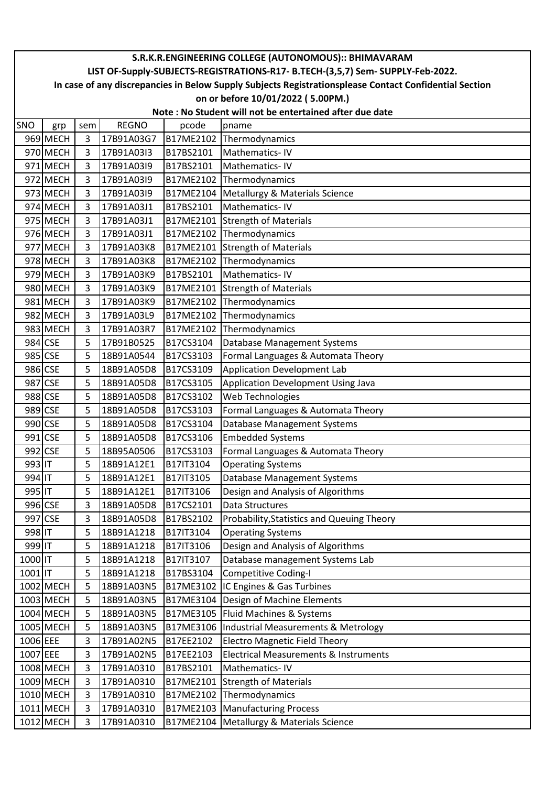|          | S.R.K.R.ENGINEERING COLLEGE (AUTONOMOUS):: BHIMAVARAM                                                                                                                                     |                |              |           |                                                |  |  |  |  |  |
|----------|-------------------------------------------------------------------------------------------------------------------------------------------------------------------------------------------|----------------|--------------|-----------|------------------------------------------------|--|--|--|--|--|
|          | LIST OF-Supply-SUBJECTS-REGISTRATIONS-R17- B.TECH-(3,5,7) Sem- SUPPLY-Feb-2022.<br>In case of any discrepancies in Below Supply Subjects Registrationsplease Contact Confidential Section |                |              |           |                                                |  |  |  |  |  |
|          | on or before 10/01/2022 (5.00PM.)                                                                                                                                                         |                |              |           |                                                |  |  |  |  |  |
|          | Note: No Student will not be entertained after due date                                                                                                                                   |                |              |           |                                                |  |  |  |  |  |
| SNO      | grp                                                                                                                                                                                       | sem            | <b>REGNO</b> | pcode     | pname                                          |  |  |  |  |  |
|          | 969 MECH                                                                                                                                                                                  | 3              | 17B91A03G7   | B17ME2102 | Thermodynamics                                 |  |  |  |  |  |
|          | 970 MECH                                                                                                                                                                                  | 3              | 17B91A03I3   | B17BS2101 | Mathematics-IV                                 |  |  |  |  |  |
|          | 971 MECH                                                                                                                                                                                  | $\overline{3}$ | 17B91A03I9   | B17BS2101 | Mathematics-IV                                 |  |  |  |  |  |
|          | 972 MECH                                                                                                                                                                                  | 3              | 17B91A03I9   | B17ME2102 | Thermodynamics                                 |  |  |  |  |  |
|          | 973 MECH                                                                                                                                                                                  | 3              | 17B91A03I9   | B17ME2104 | Metallurgy & Materials Science                 |  |  |  |  |  |
|          | 974 MECH                                                                                                                                                                                  | 3              | 17B91A03J1   | B17BS2101 | Mathematics-IV                                 |  |  |  |  |  |
|          | 975 MECH                                                                                                                                                                                  | 3              | 17B91A03J1   |           | B17ME2101 Strength of Materials                |  |  |  |  |  |
|          | 976 MECH                                                                                                                                                                                  | 3              | 17B91A03J1   |           | B17ME2102 Thermodynamics                       |  |  |  |  |  |
|          | 977 MECH                                                                                                                                                                                  | 3              | 17B91A03K8   |           | B17ME2101 Strength of Materials                |  |  |  |  |  |
|          | 978 MECH                                                                                                                                                                                  | 3              | 17B91A03K8   | B17ME2102 | Thermodynamics                                 |  |  |  |  |  |
|          | 979 MECH                                                                                                                                                                                  | 3              | 17B91A03K9   | B17BS2101 | Mathematics-IV                                 |  |  |  |  |  |
|          | 980 MECH                                                                                                                                                                                  | 3              | 17B91A03K9   |           | B17ME2101 Strength of Materials                |  |  |  |  |  |
|          | 981 MECH                                                                                                                                                                                  | 3              | 17B91A03K9   | B17ME2102 | Thermodynamics                                 |  |  |  |  |  |
|          | 982 MECH                                                                                                                                                                                  | 3              | 17B91A03L9   |           | B17ME2102 Thermodynamics                       |  |  |  |  |  |
|          | 983 MECH                                                                                                                                                                                  | 3              | 17B91A03R7   | B17ME2102 | Thermodynamics                                 |  |  |  |  |  |
|          | 984 CSE                                                                                                                                                                                   | 5              | 17B91B0525   | B17CS3104 | Database Management Systems                    |  |  |  |  |  |
|          | 985 CSE                                                                                                                                                                                   | 5              | 18B91A0544   | B17CS3103 | Formal Languages & Automata Theory             |  |  |  |  |  |
|          | 986 CSE                                                                                                                                                                                   | 5              | 18B91A05D8   | B17CS3109 | <b>Application Development Lab</b>             |  |  |  |  |  |
|          | 987 CSE                                                                                                                                                                                   | 5              | 18B91A05D8   | B17CS3105 | Application Development Using Java             |  |  |  |  |  |
| 988 CSE  |                                                                                                                                                                                           | 5              | 18B91A05D8   | B17CS3102 | Web Technologies                               |  |  |  |  |  |
| 989 CSE  |                                                                                                                                                                                           | 5              | 18B91A05D8   | B17CS3103 | Formal Languages & Automata Theory             |  |  |  |  |  |
|          | 990 CSE                                                                                                                                                                                   | 5              | 18B91A05D8   | B17CS3104 | Database Management Systems                    |  |  |  |  |  |
|          | 991 CSE                                                                                                                                                                                   | 5              | 18B91A05D8   | B17CS3106 | <b>Embedded Systems</b>                        |  |  |  |  |  |
|          | 992 CSE                                                                                                                                                                                   | 5              | 18B95A0506   | B17CS3103 | Formal Languages & Automata Theory             |  |  |  |  |  |
| 993 IT   |                                                                                                                                                                                           | 5              | 18B91A12E1   | B17IT3104 | <b>Operating Systems</b>                       |  |  |  |  |  |
| 994 IT   |                                                                                                                                                                                           | 5              | 18B91A12E1   | B17IT3105 | Database Management Systems                    |  |  |  |  |  |
| 995 IT   |                                                                                                                                                                                           | 5              | 18B91A12E1   | B17IT3106 | Design and Analysis of Algorithms              |  |  |  |  |  |
|          | 996 CSE                                                                                                                                                                                   | 3              | 18B91A05D8   | B17CS2101 | Data Structures                                |  |  |  |  |  |
| 997 CSE  |                                                                                                                                                                                           | 3              | 18B91A05D8   | B17BS2102 | Probability, Statistics and Queuing Theory     |  |  |  |  |  |
| 998 IT   |                                                                                                                                                                                           | 5              | 18B91A1218   | B17IT3104 | <b>Operating Systems</b>                       |  |  |  |  |  |
| 999 IT   |                                                                                                                                                                                           | 5              | 18B91A1218   | B17IT3106 | Design and Analysis of Algorithms              |  |  |  |  |  |
| 1000 IT  |                                                                                                                                                                                           | 5              | 18B91A1218   | B17IT3107 | Database management Systems Lab                |  |  |  |  |  |
| 1001 IT  |                                                                                                                                                                                           | 5              | 18B91A1218   | B17BS3104 | <b>Competitive Coding-I</b>                    |  |  |  |  |  |
|          | 1002 MECH                                                                                                                                                                                 | 5              | 18B91A03N5   | B17ME3102 | IC Engines & Gas Turbines                      |  |  |  |  |  |
|          | 1003 MECH                                                                                                                                                                                 | 5              | 18B91A03N5   | B17ME3104 | Design of Machine Elements                     |  |  |  |  |  |
|          | 1004 MECH                                                                                                                                                                                 | 5              | 18B91A03N5   | B17ME3105 | Fluid Machines & Systems                       |  |  |  |  |  |
|          | 1005 MECH                                                                                                                                                                                 | 5              | 18B91A03N5   | B17ME3106 | <b>Industrial Measurements &amp; Metrology</b> |  |  |  |  |  |
| 1006 EEE |                                                                                                                                                                                           | 3              | 17B91A02N5   | B17EE2102 | <b>Electro Magnetic Field Theory</b>           |  |  |  |  |  |
| 1007 EEE |                                                                                                                                                                                           | 3              | 17B91A02N5   | B17EE2103 | Electrical Measurements & Instruments          |  |  |  |  |  |
|          | 1008 MECH                                                                                                                                                                                 | 3              | 17B91A0310   | B17BS2101 | Mathematics-IV                                 |  |  |  |  |  |
|          | 1009 MECH                                                                                                                                                                                 | 3              | 17B91A0310   | B17ME2101 | <b>Strength of Materials</b>                   |  |  |  |  |  |
|          | 1010 MECH                                                                                                                                                                                 | 3              | 17B91A0310   | B17ME2102 | Thermodynamics                                 |  |  |  |  |  |
|          | 1011 MECH                                                                                                                                                                                 | 3              | 17B91A0310   | B17ME2103 | <b>Manufacturing Process</b>                   |  |  |  |  |  |
|          | 1012 MECH                                                                                                                                                                                 | 3              | 17B91A0310   | B17ME2104 | Metallurgy & Materials Science                 |  |  |  |  |  |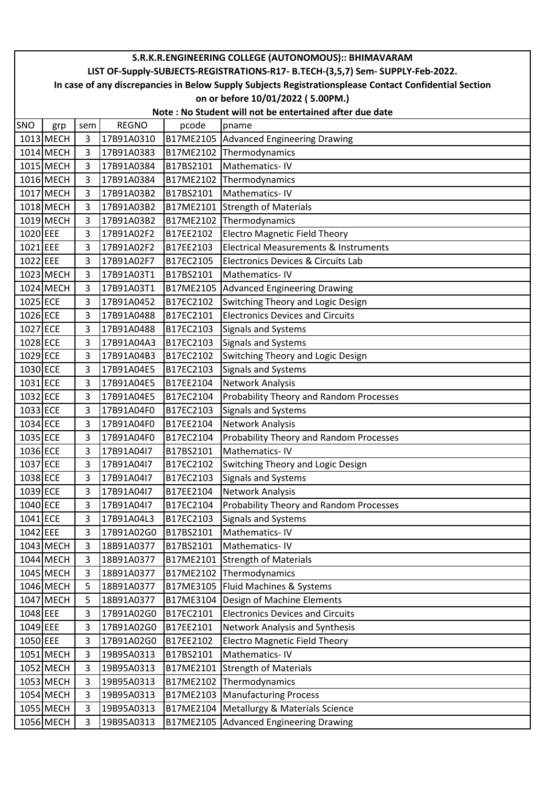|          | S.R.K.R.ENGINEERING COLLEGE (AUTONOMOUS):: BHIMAVARAM                                                  |                |              |           |                                                  |  |  |  |  |  |
|----------|--------------------------------------------------------------------------------------------------------|----------------|--------------|-----------|--------------------------------------------------|--|--|--|--|--|
|          | LIST OF-Supply-SUBJECTS-REGISTRATIONS-R17- B.TECH-(3,5,7) Sem- SUPPLY-Feb-2022.                        |                |              |           |                                                  |  |  |  |  |  |
|          | In case of any discrepancies in Below Supply Subjects Registrationsplease Contact Confidential Section |                |              |           |                                                  |  |  |  |  |  |
|          | on or before 10/01/2022 (5.00PM.)                                                                      |                |              |           |                                                  |  |  |  |  |  |
|          | Note: No Student will not be entertained after due date                                                |                |              |           |                                                  |  |  |  |  |  |
| SNO      | grp                                                                                                    | sem            | <b>REGNO</b> | pcode     | pname                                            |  |  |  |  |  |
|          | 1013 MECH                                                                                              | 3              | 17B91A0310   |           | B17ME2105 Advanced Engineering Drawing           |  |  |  |  |  |
|          | 1014 MECH                                                                                              | 3              | 17B91A0383   |           | B17ME2102 Thermodynamics                         |  |  |  |  |  |
|          | 1015 MECH                                                                                              | 3              | 17B91A0384   | B17BS2101 | Mathematics-IV                                   |  |  |  |  |  |
|          | 1016 MECH                                                                                              | $\overline{3}$ | 17B91A0384   |           | B17ME2102 Thermodynamics                         |  |  |  |  |  |
|          | 1017 MECH                                                                                              | 3              | 17B91A03B2   | B17BS2101 | Mathematics-IV                                   |  |  |  |  |  |
|          | 1018 MECH                                                                                              | 3              | 17B91A03B2   |           | B17ME2101 Strength of Materials                  |  |  |  |  |  |
|          | 1019 MECH                                                                                              | 3              | 17B91A03B2   |           | B17ME2102 Thermodynamics                         |  |  |  |  |  |
| 1020 EEE |                                                                                                        | 3              | 17B91A02F2   | B17EE2102 | Electro Magnetic Field Theory                    |  |  |  |  |  |
| 1021 EEE |                                                                                                        | 3              | 17B91A02F2   | B17EE2103 | <b>Electrical Measurements &amp; Instruments</b> |  |  |  |  |  |
| 1022 EEE |                                                                                                        | 3              | 17B91A02F7   | B17EC2105 | Electronics Devices & Circuits Lab               |  |  |  |  |  |
|          | 1023 MECH                                                                                              | 3              | 17B91A03T1   | B17BS2101 | Mathematics-IV                                   |  |  |  |  |  |
|          | 1024 MECH                                                                                              | 3              | 17B91A03T1   |           | B17ME2105 Advanced Engineering Drawing           |  |  |  |  |  |
| 1025 ECE |                                                                                                        | 3              | 17B91A0452   | B17EC2102 | <b>Switching Theory and Logic Design</b>         |  |  |  |  |  |
| 1026 ECE |                                                                                                        | 3              | 17B91A0488   | B17EC2101 | <b>Electronics Devices and Circuits</b>          |  |  |  |  |  |
| 1027 ECE |                                                                                                        | 3              | 17B91A0488   | B17EC2103 | Signals and Systems                              |  |  |  |  |  |
| 1028 ECE |                                                                                                        | 3              | 17B91A04A3   | B17EC2103 | <b>Signals and Systems</b>                       |  |  |  |  |  |
| 1029 ECE |                                                                                                        | 3              | 17B91A04B3   | B17EC2102 | Switching Theory and Logic Design                |  |  |  |  |  |
| 1030 ECE |                                                                                                        | 3              | 17B91A04E5   | B17EC2103 | <b>Signals and Systems</b>                       |  |  |  |  |  |
| 1031 ECE |                                                                                                        | 3              | 17B91A04E5   | B17EE2104 | Network Analysis                                 |  |  |  |  |  |
| 1032 ECE |                                                                                                        | 3              | 17B91A04E5   | B17EC2104 | Probability Theory and Random Processes          |  |  |  |  |  |
| 1033 ECE |                                                                                                        | 3              | 17B91A04F0   | B17EC2103 | <b>Signals and Systems</b>                       |  |  |  |  |  |
| 1034 ECE |                                                                                                        | 3              | 17B91A04F0   | B17EE2104 | Network Analysis                                 |  |  |  |  |  |
| 1035 ECE |                                                                                                        | 3              | 17B91A04F0   | B17EC2104 | Probability Theory and Random Processes          |  |  |  |  |  |
| 1036 ECE |                                                                                                        | 3              | 17B91A04I7   | B17BS2101 | Mathematics-IV                                   |  |  |  |  |  |
| 1037 ECE |                                                                                                        | 3              | 17B91A04I7   | B17EC2102 | <b>Switching Theory and Logic Design</b>         |  |  |  |  |  |
| 1038 ECE |                                                                                                        | 3              | 17B91A04I7   | B17EC2103 | <b>Signals and Systems</b>                       |  |  |  |  |  |
| 1039 ECE |                                                                                                        | 3              | 17B91A04I7   | B17EE2104 | <b>Network Analysis</b>                          |  |  |  |  |  |
| 1040 ECE |                                                                                                        | 3              | 17B91A04I7   | B17EC2104 | Probability Theory and Random Processes          |  |  |  |  |  |
| 1041 ECE |                                                                                                        | 3              | 17B91A04L3   | B17EC2103 | <b>Signals and Systems</b>                       |  |  |  |  |  |
| 1042 EEE |                                                                                                        | 3              | 17B91A02G0   | B17BS2101 | Mathematics-IV                                   |  |  |  |  |  |
|          | 1043 MECH                                                                                              | 3              | 18B91A0377   | B17BS2101 | Mathematics-IV                                   |  |  |  |  |  |
|          | 1044 MECH                                                                                              | 3              | 18B91A0377   | B17ME2101 | <b>Strength of Materials</b>                     |  |  |  |  |  |
|          | 1045 MECH                                                                                              | 3              | 18B91A0377   |           | B17ME2102 Thermodynamics                         |  |  |  |  |  |
|          | 1046 MECH                                                                                              | 5              | 18B91A0377   |           | B17ME3105 Fluid Machines & Systems               |  |  |  |  |  |
|          | 1047 MECH                                                                                              | 5              | 18B91A0377   | B17ME3104 | Design of Machine Elements                       |  |  |  |  |  |
| 1048 EEE |                                                                                                        | 3              | 17B91A02G0   | B17EC2101 | <b>Electronics Devices and Circuits</b>          |  |  |  |  |  |
| 1049 EEE |                                                                                                        | 3              | 17B91A02G0   | B17EE2101 | <b>Network Analysis and Synthesis</b>            |  |  |  |  |  |
| 1050 EEE |                                                                                                        | 3              | 17B91A02G0   | B17EE2102 | <b>Electro Magnetic Field Theory</b>             |  |  |  |  |  |
|          | 1051 MECH                                                                                              | 3              | 19B95A0313   | B17BS2101 | Mathematics-IV                                   |  |  |  |  |  |
|          | 1052 MECH                                                                                              | 3              | 19B95A0313   | B17ME2101 | Strength of Materials                            |  |  |  |  |  |
|          | 1053 MECH                                                                                              | 3              | 19B95A0313   |           | B17ME2102 Thermodynamics                         |  |  |  |  |  |
|          | 1054 MECH                                                                                              | 3              | 19B95A0313   |           | B17ME2103 Manufacturing Process                  |  |  |  |  |  |
|          | 1055 MECH                                                                                              | 3              | 19B95A0313   | B17ME2104 | Metallurgy & Materials Science                   |  |  |  |  |  |
|          | 1056 MECH                                                                                              | 3              | 19B95A0313   |           | B17ME2105 Advanced Engineering Drawing           |  |  |  |  |  |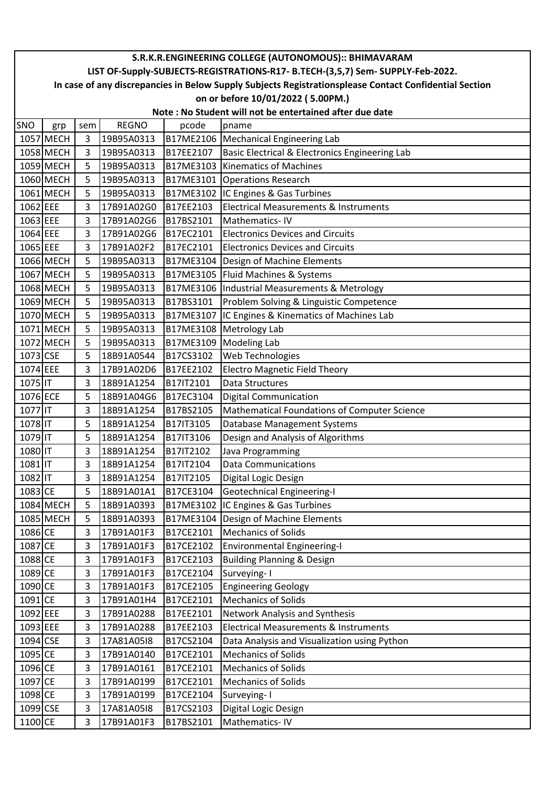| S.R.K.R.ENGINEERING COLLEGE (AUTONOMOUS):: BHIMAVARAM                                                  |           |     |              |           |                                                   |  |  |  |  |  |  |
|--------------------------------------------------------------------------------------------------------|-----------|-----|--------------|-----------|---------------------------------------------------|--|--|--|--|--|--|
| LIST OF-Supply-SUBJECTS-REGISTRATIONS-R17- B.TECH-(3,5,7) Sem- SUPPLY-Feb-2022.                        |           |     |              |           |                                                   |  |  |  |  |  |  |
| In case of any discrepancies in Below Supply Subjects Registrationsplease Contact Confidential Section |           |     |              |           |                                                   |  |  |  |  |  |  |
| on or before 10/01/2022 (5.00PM.)                                                                      |           |     |              |           |                                                   |  |  |  |  |  |  |
| Note: No Student will not be entertained after due date                                                |           |     |              |           |                                                   |  |  |  |  |  |  |
| SNO                                                                                                    | grp       | sem | <b>REGNO</b> | pcode     | pname                                             |  |  |  |  |  |  |
|                                                                                                        | 1057 MECH | 3   | 19B95A0313   |           | B17ME2106   Mechanical Engineering Lab            |  |  |  |  |  |  |
|                                                                                                        | 1058 MECH | 3   | 19B95A0313   | B17EE2107 | Basic Electrical & Electronics Engineering Lab    |  |  |  |  |  |  |
|                                                                                                        | 1059 MECH | 5   | 19B95A0313   |           | B17ME3103 Kinematics of Machines                  |  |  |  |  |  |  |
|                                                                                                        | 1060 MECH | 5   | 19B95A0313   |           | B17ME3101 Operations Research                     |  |  |  |  |  |  |
|                                                                                                        | 1061 MECH | 5   | 19B95A0313   |           | B17ME3102  IC Engines & Gas Turbines              |  |  |  |  |  |  |
| 1062 EEE                                                                                               |           | 3   | 17B91A02G0   | B17EE2103 | Electrical Measurements & Instruments             |  |  |  |  |  |  |
| 1063 EEE                                                                                               |           | 3   | 17B91A02G6   | B17BS2101 | Mathematics-IV                                    |  |  |  |  |  |  |
| 1064 EEE                                                                                               |           | 3   | 17B91A02G6   | B17EC2101 | <b>Electronics Devices and Circuits</b>           |  |  |  |  |  |  |
| 1065 EEE                                                                                               |           | 3   | 17B91A02F2   | B17EC2101 | <b>Electronics Devices and Circuits</b>           |  |  |  |  |  |  |
|                                                                                                        | 1066 MECH | 5   | 19B95A0313   |           | B17ME3104   Design of Machine Elements            |  |  |  |  |  |  |
|                                                                                                        | 1067 MECH | 5   | 19B95A0313   |           | B17ME3105   Fluid Machines & Systems              |  |  |  |  |  |  |
|                                                                                                        | 1068 MECH | 5   | 19B95A0313   |           | B17ME3106  Industrial Measurements & Metrology    |  |  |  |  |  |  |
|                                                                                                        | 1069 MECH | 5   | 19B95A0313   | B17BS3101 | Problem Solving & Linguistic Competence           |  |  |  |  |  |  |
|                                                                                                        | 1070 MECH | 5   | 19B95A0313   |           | B17ME3107 IC Engines & Kinematics of Machines Lab |  |  |  |  |  |  |
|                                                                                                        | 1071 MECH | 5   | 19B95A0313   |           | B17ME3108 Metrology Lab                           |  |  |  |  |  |  |
|                                                                                                        | 1072 MECH | 5   | 19B95A0313   |           | B17ME3109 Modeling Lab                            |  |  |  |  |  |  |
| 1073 CSE                                                                                               |           | 5   | 18B91A0544   | B17CS3102 | Web Technologies                                  |  |  |  |  |  |  |
| 1074 EEE                                                                                               |           | 3   | 17B91A02D6   | B17EE2102 | <b>Electro Magnetic Field Theory</b>              |  |  |  |  |  |  |
| 1075 IT                                                                                                |           | 3   | 18B91A1254   | B17IT2101 | <b>Data Structures</b>                            |  |  |  |  |  |  |
| 1076 ECE                                                                                               |           | 5   | 18B91A04G6   | B17EC3104 | <b>Digital Communication</b>                      |  |  |  |  |  |  |
| 1077 IT                                                                                                |           | 3   | 18B91A1254   | B17BS2105 | Mathematical Foundations of Computer Science      |  |  |  |  |  |  |
| 1078 IT                                                                                                |           | 5   | 18B91A1254   | B17IT3105 | Database Management Systems                       |  |  |  |  |  |  |
| 1079 IT                                                                                                |           | 5   | 18B91A1254   | B17IT3106 | Design and Analysis of Algorithms                 |  |  |  |  |  |  |
| 1080 IT                                                                                                |           | 3   | 18B91A1254   | B17IT2102 | Java Programming                                  |  |  |  |  |  |  |
| 1081 IT                                                                                                |           | 3   | 18B91A1254   | B17IT2104 | <b>Data Communications</b>                        |  |  |  |  |  |  |
| 1082 IT                                                                                                |           | 3   | 18B91A1254   | B17IT2105 | Digital Logic Design                              |  |  |  |  |  |  |
| 1083 CE                                                                                                |           | 5   | 18B91A01A1   | B17CE3104 | <b>Geotechnical Engineering-I</b>                 |  |  |  |  |  |  |
|                                                                                                        | 1084 MECH | 5   | 18B91A0393   |           | B17ME3102 IC Engines & Gas Turbines               |  |  |  |  |  |  |
|                                                                                                        | 1085 MECH | 5   | 18B91A0393   |           | B17ME3104   Design of Machine Elements            |  |  |  |  |  |  |
| 1086 CE                                                                                                |           | 3   | 17B91A01F3   | B17CE2101 | <b>Mechanics of Solids</b>                        |  |  |  |  |  |  |
| 1087 CE                                                                                                |           | 3   | 17B91A01F3   | B17CE2102 | <b>Environmental Engineering-I</b>                |  |  |  |  |  |  |
| 1088 CE                                                                                                |           | 3   | 17B91A01F3   | B17CE2103 | <b>Building Planning &amp; Design</b>             |  |  |  |  |  |  |
| 1089 CE                                                                                                |           | 3   | 17B91A01F3   | B17CE2104 | Surveying-I                                       |  |  |  |  |  |  |
| 1090 CE                                                                                                |           | 3   | 17B91A01F3   | B17CE2105 | <b>Engineering Geology</b>                        |  |  |  |  |  |  |
| 1091 CE                                                                                                |           | 3   | 17B91A01H4   | B17CE2101 | <b>Mechanics of Solids</b>                        |  |  |  |  |  |  |
| 1092 EEE                                                                                               |           | 3   | 17B91A0288   | B17EE2101 | Network Analysis and Synthesis                    |  |  |  |  |  |  |
| 1093 EEE                                                                                               |           | 3   | 17B91A0288   | B17EE2103 | <b>Electrical Measurements &amp; Instruments</b>  |  |  |  |  |  |  |
| 1094 CSE                                                                                               |           | 3   | 17A81A05I8   | B17CS2104 | Data Analysis and Visualization using Python      |  |  |  |  |  |  |
| 1095 CE                                                                                                |           | 3   | 17B91A0140   | B17CE2101 | <b>Mechanics of Solids</b>                        |  |  |  |  |  |  |
| 1096 CE                                                                                                |           | 3   | 17B91A0161   | B17CE2101 | <b>Mechanics of Solids</b>                        |  |  |  |  |  |  |
| 1097 CE                                                                                                |           | 3   | 17B91A0199   | B17CE2101 | <b>Mechanics of Solids</b>                        |  |  |  |  |  |  |
| 1098 CE                                                                                                |           | 3   | 17B91A0199   | B17CE2104 | Surveying-I                                       |  |  |  |  |  |  |
| 1099 CSE                                                                                               |           | 3   | 17A81A05I8   | B17CS2103 | Digital Logic Design                              |  |  |  |  |  |  |
| 1100 CE                                                                                                |           | 3   | 17B91A01F3   | B17BS2101 | Mathematics-IV                                    |  |  |  |  |  |  |
|                                                                                                        |           |     |              |           |                                                   |  |  |  |  |  |  |